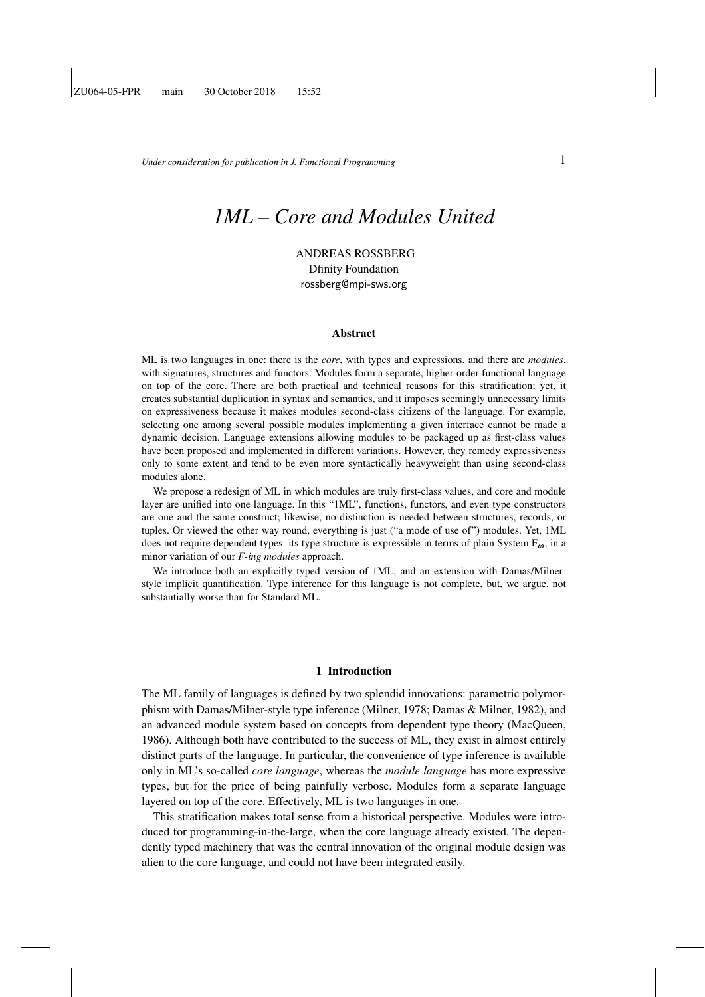*Under consideration for publication in J. Functional Programming*  $1$ 

# *1ML – Core and Modules United*

ANDREAS ROSSBERG Dfinity Foundation rossberg@mpi-sws.org

#### Abstract

ML is two languages in one: there is the *core*, with types and expressions, and there are *modules*, with signatures, structures and functors. Modules form a separate, higher-order functional language on top of the core. There are both practical and technical reasons for this stratification; yet, it creates substantial duplication in syntax and semantics, and it imposes seemingly unnecessary limits on expressiveness because it makes modules second-class citizens of the language. For example, selecting one among several possible modules implementing a given interface cannot be made a dynamic decision. Language extensions allowing modules to be packaged up as first-class values have been proposed and implemented in different variations. However, they remedy expressiveness only to some extent and tend to be even more syntactically heavyweight than using second-class modules alone.

We propose a redesign of ML in which modules are truly first-class values, and core and module layer are unified into one language. In this "1ML", functions, functors, and even type constructors are one and the same construct; likewise, no distinction is needed between structures, records, or tuples. Or viewed the other way round, everything is just ("a mode of use of") modules. Yet, 1ML does not require dependent types: its type structure is expressible in terms of plain System  $F_{\omega}$ , in a minor variation of our *F-ing modules* approach.

We introduce both an explicitly typed version of 1ML, and an extension with Damas/Milnerstyle implicit quantification. Type inference for this language is not complete, but, we argue, not substantially worse than for Standard ML.

#### 1 Introduction

The ML family of languages is defined by two splendid innovations: parametric polymorphism with Damas/Milner-style type inference (Milner, 1978; Damas & Milner, 1982), and an advanced module system based on concepts from dependent type theory (MacQueen, 1986). Although both have contributed to the success of ML, they exist in almost entirely distinct parts of the language. In particular, the convenience of type inference is available only in ML's so-called *core language*, whereas the *module language* has more expressive types, but for the price of being painfully verbose. Modules form a separate language layered on top of the core. Effectively, ML is two languages in one.

This stratification makes total sense from a historical perspective. Modules were introduced for programming-in-the-large, when the core language already existed. The dependently typed machinery that was the central innovation of the original module design was alien to the core language, and could not have been integrated easily.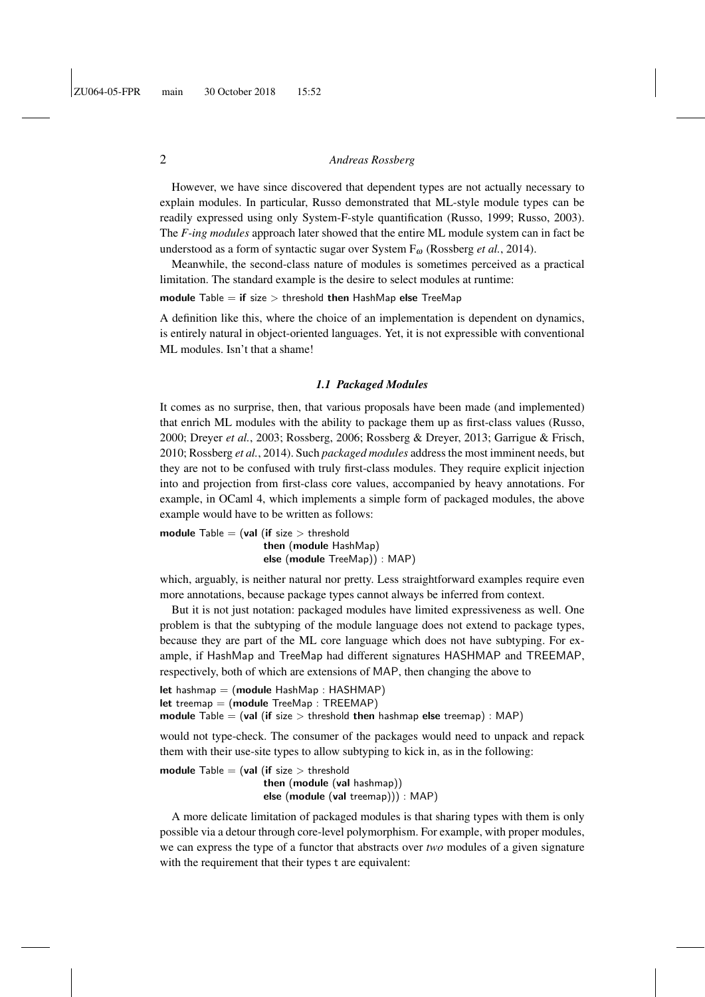However, we have since discovered that dependent types are not actually necessary to explain modules. In particular, Russo demonstrated that ML-style module types can be readily expressed using only System-F-style quantification (Russo, 1999; Russo, 2003). The *F-ing modules* approach later showed that the entire ML module system can in fact be understood as a form of syntactic sugar over System F<sup>ω</sup> (Rossberg *et al.*, 2014).

Meanwhile, the second-class nature of modules is sometimes perceived as a practical limitation. The standard example is the desire to select modules at runtime:

module Table  $=$  if size  $>$  threshold then HashMap else TreeMap

A definition like this, where the choice of an implementation is dependent on dynamics, is entirely natural in object-oriented languages. Yet, it is not expressible with conventional ML modules. Isn't that a shame!

#### *1.1 Packaged Modules*

It comes as no surprise, then, that various proposals have been made (and implemented) that enrich ML modules with the ability to package them up as first-class values (Russo, 2000; Dreyer *et al.*, 2003; Rossberg, 2006; Rossberg & Dreyer, 2013; Garrigue & Frisch, 2010; Rossberg *et al.*, 2014). Such *packaged modules* address the most imminent needs, but they are not to be confused with truly first-class modules. They require explicit injection into and projection from first-class core values, accompanied by heavy annotations. For example, in OCaml 4, which implements a simple form of packaged modules, the above example would have to be written as follows:

module Table  $=$  (val (if size  $>$  threshold then (module HashMap) else (module TreeMap)) : MAP)

which, arguably, is neither natural nor pretty. Less straightforward examples require even more annotations, because package types cannot always be inferred from context.

But it is not just notation: packaged modules have limited expressiveness as well. One problem is that the subtyping of the module language does not extend to package types, because they are part of the ML core language which does not have subtyping. For example, if HashMap and TreeMap had different signatures HASHMAP and TREEMAP, respectively, both of which are extensions of MAP, then changing the above to

let hashmap = (module HashMap : HASHMAP) let treemap = (module TreeMap : TREEMAP) module Table  $=$  (val (if size  $>$  threshold then hashmap else treemap) : MAP)

would not type-check. The consumer of the packages would need to unpack and repack them with their use-site types to allow subtyping to kick in, as in the following:

module Table  $=$  (val (if size  $>$  threshold then (module (val hashmap)) else (module (val treemap))) : MAP)

A more delicate limitation of packaged modules is that sharing types with them is only possible via a detour through core-level polymorphism. For example, with proper modules, we can express the type of a functor that abstracts over *two* modules of a given signature with the requirement that their types t are equivalent: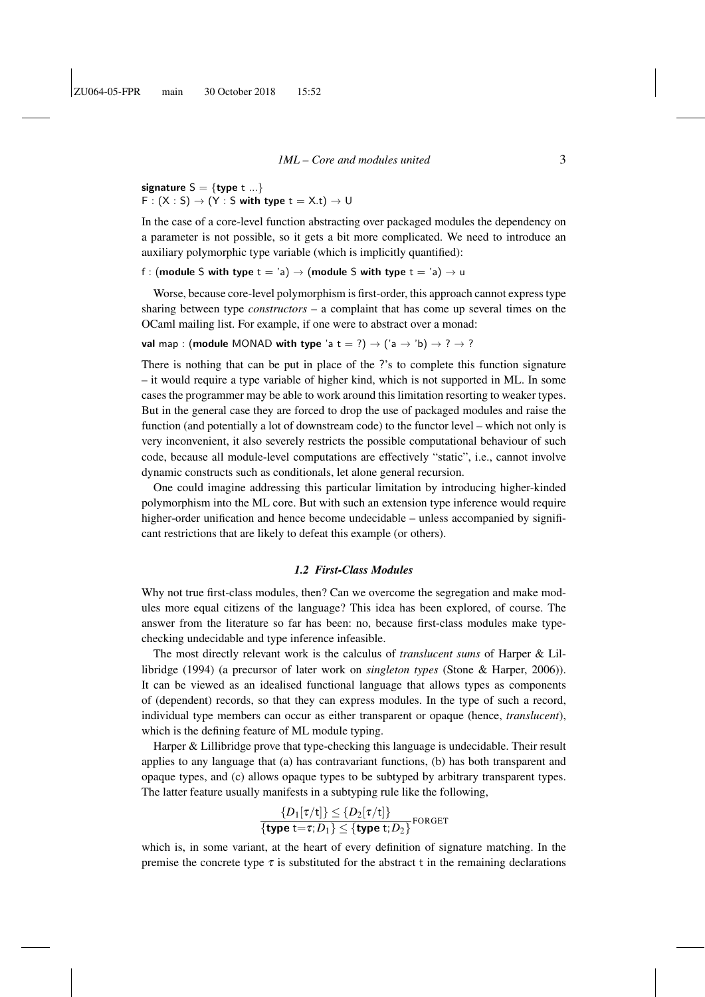signature  $S = \{type t ... \}$  $F:(X:S)\to (Y:S$  with type  $t=X.t)\to U$ 

In the case of a core-level function abstracting over packaged modules the dependency on a parameter is not possible, so it gets a bit more complicated. We need to introduce an auxiliary polymorphic type variable (which is implicitly quantified):

f : (module S with type  $t = 'a) \rightarrow ($ module S with type  $t = 'a) \rightarrow u$ 

Worse, because core-level polymorphism is first-order, this approach cannot express type sharing between type *constructors* – a complaint that has come up several times on the OCaml mailing list. For example, if one were to abstract over a monad:

val map : (module MONAD with type 'a t = ?)  $\rightarrow$  ('a  $\rightarrow$  'b)  $\rightarrow$  ?  $\rightarrow$  ?

There is nothing that can be put in place of the ?'s to complete this function signature – it would require a type variable of higher kind, which is not supported in ML. In some cases the programmer may be able to work around this limitation resorting to weaker types. But in the general case they are forced to drop the use of packaged modules and raise the function (and potentially a lot of downstream code) to the functor level – which not only is very inconvenient, it also severely restricts the possible computational behaviour of such code, because all module-level computations are effectively "static", i.e., cannot involve dynamic constructs such as conditionals, let alone general recursion.

One could imagine addressing this particular limitation by introducing higher-kinded polymorphism into the ML core. But with such an extension type inference would require higher-order unification and hence become undecidable – unless accompanied by significant restrictions that are likely to defeat this example (or others).

#### *1.2 First-Class Modules*

Why not true first-class modules, then? Can we overcome the segregation and make modules more equal citizens of the language? This idea has been explored, of course. The answer from the literature so far has been: no, because first-class modules make typechecking undecidable and type inference infeasible.

The most directly relevant work is the calculus of *translucent sums* of Harper & Lillibridge (1994) (a precursor of later work on *singleton types* (Stone & Harper, 2006)). It can be viewed as an idealised functional language that allows types as components of (dependent) records, so that they can express modules. In the type of such a record, individual type members can occur as either transparent or opaque (hence, *translucent*), which is the defining feature of ML module typing.

Harper & Lillibridge prove that type-checking this language is undecidable. Their result applies to any language that (a) has contravariant functions, (b) has both transparent and opaque types, and (c) allows opaque types to be subtyped by arbitrary transparent types. The latter feature usually manifests in a subtyping rule like the following,

$$
\frac{\{D_1[\tau/\mathsf{t}]\} \leq \{D_2[\tau/\mathsf{t}]\}}{\{\text{type } \mathsf{t} = \tau; D_1\} \leq \{\text{type } \mathsf{t}; D_2\}}\text{for} \text{ger}
$$

which is, in some variant, at the heart of every definition of signature matching. In the premise the concrete type  $\tau$  is substituted for the abstract t in the remaining declarations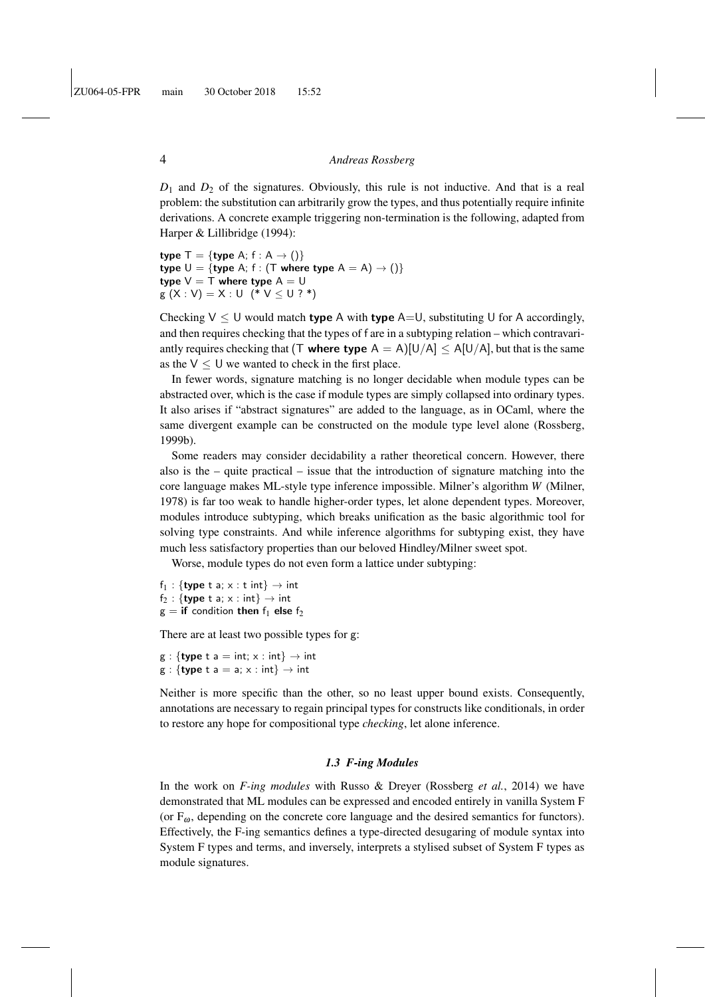$D_1$  and  $D_2$  of the signatures. Obviously, this rule is not inductive. And that is a real problem: the substitution can arbitrarily grow the types, and thus potentially require infinite derivations. A concrete example triggering non-termination is the following, adapted from Harper & Lillibridge (1994):

type  $T = \{$ type A; f : A  $\rightarrow$  ()} type  $U = \{$ type A; f : (T where type A = A)  $\rightarrow$  ()} type  $V = T$  where type  $A = U$  $g(X: V) = X: U$  (\*  $V \leq U$  ? \*)

Checking  $V \leq U$  would match **type** A with **type** A=U, substituting U for A accordingly, and then requires checking that the types of f are in a subtyping relation – which contravariantly requires checking that (T where type  $A = A/[U/A] \le A[U/A]$ , but that is the same as the  $V \leq U$  we wanted to check in the first place.

In fewer words, signature matching is no longer decidable when module types can be abstracted over, which is the case if module types are simply collapsed into ordinary types. It also arises if "abstract signatures" are added to the language, as in OCaml, where the same divergent example can be constructed on the module type level alone (Rossberg, 1999b).

Some readers may consider decidability a rather theoretical concern. However, there also is the  $-$  quite practical  $-$  issue that the introduction of signature matching into the core language makes ML-style type inference impossible. Milner's algorithm *W* (Milner, 1978) is far too weak to handle higher-order types, let alone dependent types. Moreover, modules introduce subtyping, which breaks unification as the basic algorithmic tool for solving type constraints. And while inference algorithms for subtyping exist, they have much less satisfactory properties than our beloved Hindley/Milner sweet spot.

Worse, module types do not even form a lattice under subtyping:

 $f_1$  : {type t a; x : t int}  $\rightarrow$  int  $f_2$  : {type t a;  $x : int$ }  $\rightarrow int$  $g =$  if condition then  $f_1$  else  $f_2$ 

There are at least two possible types for g:

g : {type t a = int;  $x : int$ }  $\rightarrow int$ g : {type t a = a; x : int}  $\rightarrow$  int

Neither is more specific than the other, so no least upper bound exists. Consequently, annotations are necessary to regain principal types for constructs like conditionals, in order to restore any hope for compositional type *checking*, let alone inference.

#### *1.3 F-ing Modules*

In the work on *F-ing modules* with Russo & Dreyer (Rossberg *et al.*, 2014) we have demonstrated that ML modules can be expressed and encoded entirely in vanilla System F (or  $F_{\omega}$ , depending on the concrete core language and the desired semantics for functors). Effectively, the F-ing semantics defines a type-directed desugaring of module syntax into System F types and terms, and inversely, interprets a stylised subset of System F types as module signatures.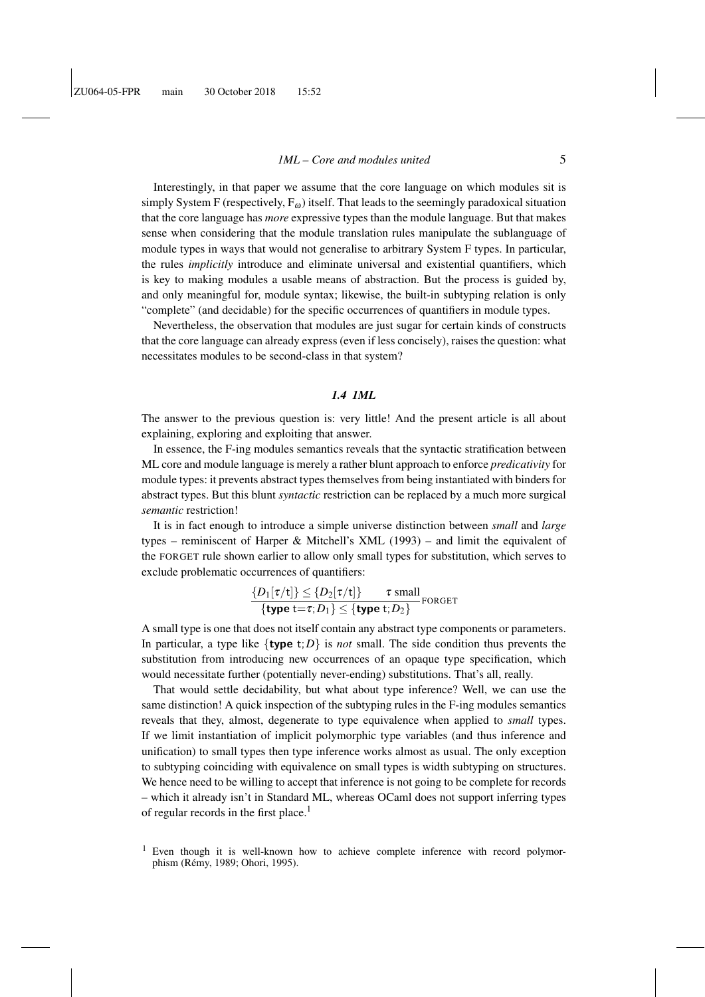Interestingly, in that paper we assume that the core language on which modules sit is simply System F (respectively,  $F_{\omega}$ ) itself. That leads to the seemingly paradoxical situation that the core language has *more* expressive types than the module language. But that makes sense when considering that the module translation rules manipulate the sublanguage of module types in ways that would not generalise to arbitrary System F types. In particular, the rules *implicitly* introduce and eliminate universal and existential quantifiers, which is key to making modules a usable means of abstraction. But the process is guided by, and only meaningful for, module syntax; likewise, the built-in subtyping relation is only "complete" (and decidable) for the specific occurrences of quantifiers in module types.

Nevertheless, the observation that modules are just sugar for certain kinds of constructs that the core language can already express (even if less concisely), raises the question: what necessitates modules to be second-class in that system?

#### *1.4 1ML*

The answer to the previous question is: very little! And the present article is all about explaining, exploring and exploiting that answer.

In essence, the F-ing modules semantics reveals that the syntactic stratification between ML core and module language is merely a rather blunt approach to enforce *predicativity* for module types: it prevents abstract types themselves from being instantiated with binders for abstract types. But this blunt *syntactic* restriction can be replaced by a much more surgical *semantic* restriction!

It is in fact enough to introduce a simple universe distinction between *small* and *large* types – reminiscent of Harper & Mitchell's XML (1993) – and limit the equivalent of the FORGET rule shown earlier to allow only small types for substitution, which serves to exclude problematic occurrences of quantifiers:

$$
\frac{\{D_1[\tau/t]\} \leq \{D_2[\tau/t]\}}{\{\text{type } t = \tau; D_1\} \leq \{\text{type } t; D_2\}} \text{for} \text{ger}
$$

A small type is one that does not itself contain any abstract type components or parameters. In particular, a type like  $\{type\ t; D\}$  is *not* small. The side condition thus prevents the substitution from introducing new occurrences of an opaque type specification, which would necessitate further (potentially never-ending) substitutions. That's all, really.

That would settle decidability, but what about type inference? Well, we can use the same distinction! A quick inspection of the subtyping rules in the F-ing modules semantics reveals that they, almost, degenerate to type equivalence when applied to *small* types. If we limit instantiation of implicit polymorphic type variables (and thus inference and unification) to small types then type inference works almost as usual. The only exception to subtyping coinciding with equivalence on small types is width subtyping on structures. We hence need to be willing to accept that inference is not going to be complete for records – which it already isn't in Standard ML, whereas OCaml does not support inferring types of regular records in the first place.<sup>1</sup>

<sup>&</sup>lt;sup>1</sup> Even though it is well-known how to achieve complete inference with record polymorphism (Remy, 1989; Ohori, 1995). ´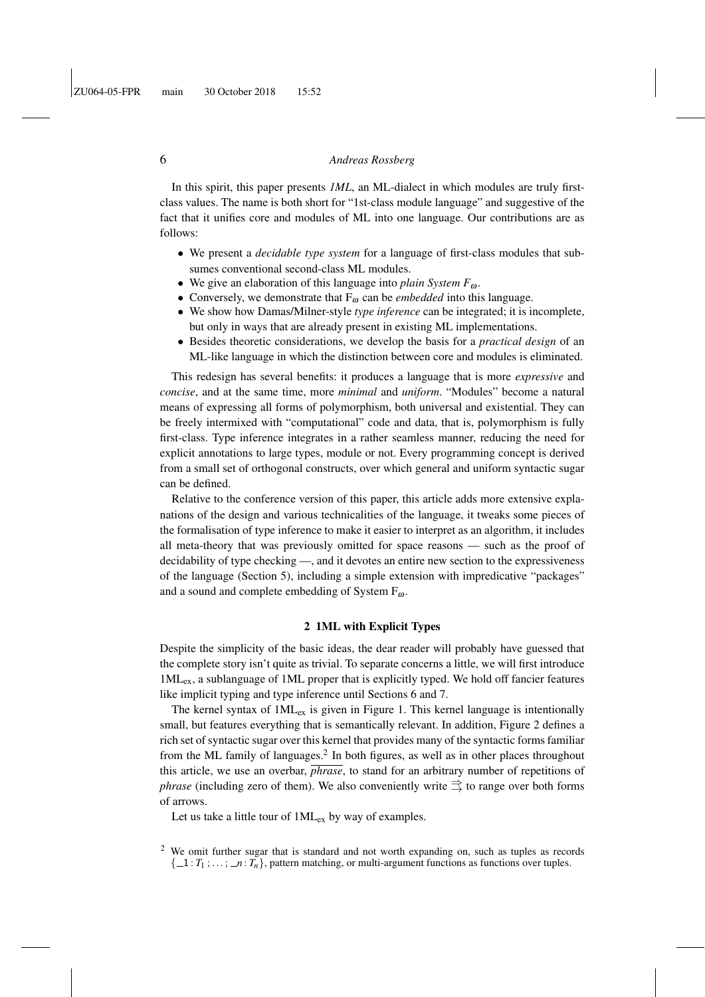In this spirit, this paper presents *1ML*, an ML-dialect in which modules are truly firstclass values. The name is both short for "1st-class module language" and suggestive of the fact that it unifies core and modules of ML into one language. Our contributions are as follows:

- We present a *decidable type system* for a language of first-class modules that subsumes conventional second-class ML modules.
- We give an elaboration of this language into *plain System F*ω.
- Conversely, we demonstrate that  $F_{\omega}$  can be *embedded* into this language.
- We show how Damas/Milner-style *type inference* can be integrated; it is incomplete, but only in ways that are already present in existing ML implementations.
- Besides theoretic considerations, we develop the basis for a *practical design* of an ML-like language in which the distinction between core and modules is eliminated.

This redesign has several benefits: it produces a language that is more *expressive* and *concise*, and at the same time, more *minimal* and *uniform*. "Modules" become a natural means of expressing all forms of polymorphism, both universal and existential. They can be freely intermixed with "computational" code and data, that is, polymorphism is fully first-class. Type inference integrates in a rather seamless manner, reducing the need for explicit annotations to large types, module or not. Every programming concept is derived from a small set of orthogonal constructs, over which general and uniform syntactic sugar can be defined.

Relative to the conference version of this paper, this article adds more extensive explanations of the design and various technicalities of the language, it tweaks some pieces of the formalisation of type inference to make it easier to interpret as an algorithm, it includes all meta-theory that was previously omitted for space reasons — such as the proof of decidability of type checking —, and it devotes an entire new section to the expressiveness of the language (Section 5), including a simple extension with impredicative "packages" and a sound and complete embedding of System  $F_{\omega}$ .

#### 2 1ML with Explicit Types

Despite the simplicity of the basic ideas, the dear reader will probably have guessed that the complete story isn't quite as trivial. To separate concerns a little, we will first introduce 1MLex, a sublanguage of 1ML proper that is explicitly typed. We hold off fancier features like implicit typing and type inference until Sections 6 and 7.

The kernel syntax of  $1ML_{ex}$  is given in Figure 1. This kernel language is intentionally small, but features everything that is semantically relevant. In addition, Figure 2 defines a rich set of syntactic sugar over this kernel that provides many of the syntactic forms familiar from the ML family of languages.<sup>2</sup> In both figures, as well as in other places throughout this article, we use an overbar, *phrase*, to stand for an arbitrary number of repetitions of *phrase* (including zero of them). We also conveniently write  $\Rightarrow$  to range over both forms of arrows.

Let us take a little tour of 1MLex by way of examples.

<sup>&</sup>lt;sup>2</sup> We omit further sugar that is standard and not worth expanding on, such as tuples as records  $\{-1: T_1; \ldots; n: T_n\}$ , pattern matching, or multi-argument functions as functions over tuples.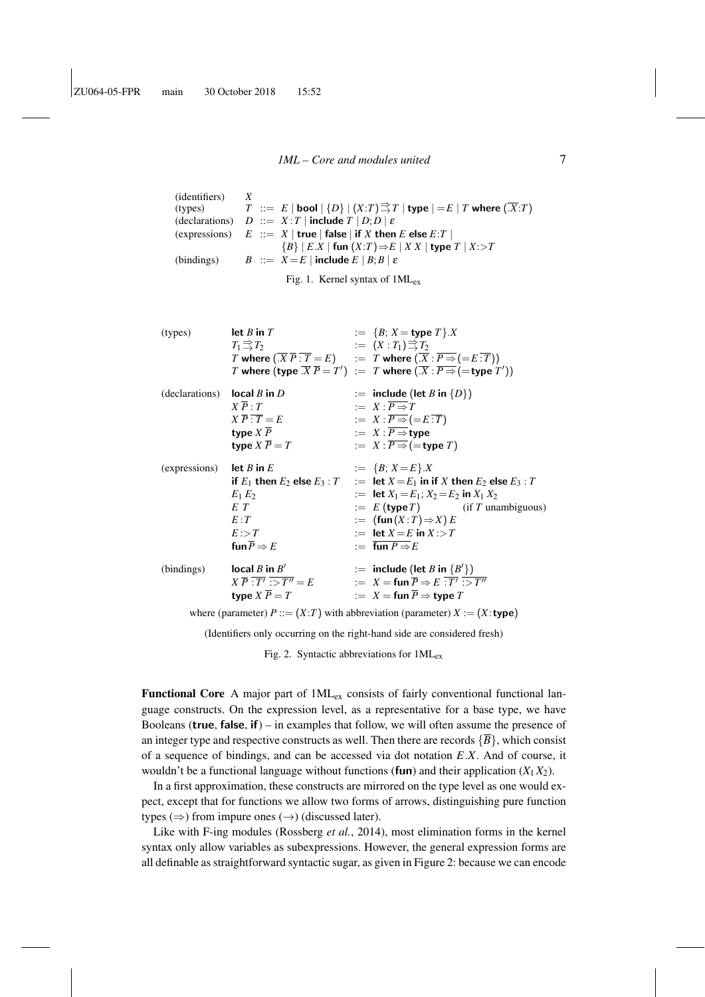| (identifiers) |                                                                                                                                                                           |
|---------------|---------------------------------------------------------------------------------------------------------------------------------------------------------------------------|
| (tvpes)       | $T \ ::=\ E \   \ {\textbf{bool}} \   \ \{D\} \   \ (X{:}T) \, \overrightarrow{\supset} \, T \   \ {\textbf{type}} \  =\ E \   \ T \ \textbf{where} \ (\overline{X{:}T})$ |
|               | (declarations) $D ::= X : T  $ include $T   D; D   \varepsilon$                                                                                                           |
|               | (expressions) $E ::= X   \text{true}   \text{false}   \text{if } X \text{ then } E \text{ else } E:T  $                                                                   |
|               | ${B}$ $\mid$ $E.X \mid$ fun $(X:T) \Rightarrow E \mid XX \mid$ type $T \mid X > T$                                                                                        |
|               | (bindings) $B ::= X = E  $ include $E   B; B   \varepsilon$                                                                                                               |
|               |                                                                                                                                                                           |

Fig. 1. Kernel syntax of 1MLex

| (types)                                                                              | let $B$ in $T$                                        | $:= \{B: X = \text{type } T\}$ .                                                                                                                                 |  |  |  |
|--------------------------------------------------------------------------------------|-------------------------------------------------------|------------------------------------------------------------------------------------------------------------------------------------------------------------------|--|--|--|
|                                                                                      | $T_1 \mathop{\Ruge \supseteq} T_2$                    | $\overline{X} = (X : T_1) \mathbb{Z} T_2$                                                                                                                        |  |  |  |
|                                                                                      |                                                       | <i>T</i> where $(\overline{X} \overline{P} \cdot \overline{T} = E)$ $\qquad := T$ where $(\overline{X} \cdot \overline{P} \Rightarrow (= E \cdot \overline{T}))$ |  |  |  |
|                                                                                      |                                                       | T where $(\text{type } \overline{X} \overline{P} = T') := T$ where $(\overline{X} : \overline{P \Rightarrow} (=\text{type } T'))$                                |  |  |  |
| (declarations)                                                                       | local $B$ in $D$                                      | $:=$ include (let B in $\{D\}$ )                                                                                                                                 |  |  |  |
|                                                                                      | $X\overline{P}$ : T                                   | $:= X : P \Rightarrow T$                                                                                                                                         |  |  |  |
|                                                                                      | $X \overline{P} \cdot \overline{T} = E$               | $:= X : \overline{P} \rightarrow (=E : \overline{T})$                                                                                                            |  |  |  |
|                                                                                      | type $X \overline{P}$                                 | $\overline{X}$ : $\overline{P}$ = type                                                                                                                           |  |  |  |
|                                                                                      | type $X \overline{P} = T$                             | $:= X : \overline{P} \rightarrow (=$ type T)                                                                                                                     |  |  |  |
| (expressions)                                                                        | let $B$ in $E$                                        | $:= \{B; X = E\}.X$                                                                                                                                              |  |  |  |
|                                                                                      | if $E_1$ then $E_2$ else $E_3:T$                      | $\mathcal{L} =$ let $X = E_1$ in if X then $E_2$ else $E_3 : T$                                                                                                  |  |  |  |
|                                                                                      | $E_1 E_2$                                             | $:=$ let $X_1 = E_1$ ; $X_2 = E_2$ in $X_1 X_2$                                                                                                                  |  |  |  |
|                                                                                      | E T                                                   | $\mathcal{F} = E(\text{type } T)$ (if T unambiguous)                                                                                                             |  |  |  |
|                                                                                      | E: T                                                  | $:=$ (fun $(X:T) \Rightarrow X) E$ )                                                                                                                             |  |  |  |
|                                                                                      | $E:$ $\geq$ $T$                                       | $:=$ let $X = E$ in $X > T$                                                                                                                                      |  |  |  |
|                                                                                      | fun $\overline{P} \Rightarrow E$                      | $:=$ fun $P \Rightarrow E$                                                                                                                                       |  |  |  |
| (bindings)                                                                           | local B in $B'$                                       | $:=$ include (let B in $\{B'\}\$ )                                                                                                                               |  |  |  |
|                                                                                      | $X \overline{P} : \overline{T'} : \overline{Z''} = E$ | $\overline{X} = X = \text{fun } \overline{P} \Rightarrow E \overline{X'} \overline{X''}$                                                                         |  |  |  |
|                                                                                      | type $X \overline{P} = T$                             | $\mathrel{\mathop:}= X = \text{fun } \overline{P} \Rightarrow \text{type } T$                                                                                    |  |  |  |
| where (parameter) $P ::= (X:T)$ with abbreviation (parameter) $X := (X:\text{type})$ |                                                       |                                                                                                                                                                  |  |  |  |

(Identifiers only occurring on the right-hand side are considered fresh)

Fig. 2. Syntactic abbreviations for 1MLex

**Functional Core** A major part of  $1ML_{ex}$  consists of fairly conventional functional language constructs. On the expression level, as a representative for a base type, we have Booleans (true, false, if) – in examples that follow, we will often assume the presence of an integer type and respective constructs as well. Then there are records  $\{\overline{B}\}\,$ , which consist of a sequence of bindings, and can be accessed via dot notation *E*.*X*. And of course, it wouldn't be a functional language without functions (fun) and their application  $(X_1 X_2)$ .

In a first approximation, these constructs are mirrored on the type level as one would expect, except that for functions we allow two forms of arrows, distinguishing pure function types ( $\Rightarrow$ ) from impure ones ( $\rightarrow$ ) (discussed later).

Like with F-ing modules (Rossberg *et al.*, 2014), most elimination forms in the kernel syntax only allow variables as subexpressions. However, the general expression forms are all definable as straightforward syntactic sugar, as given in Figure 2: because we can encode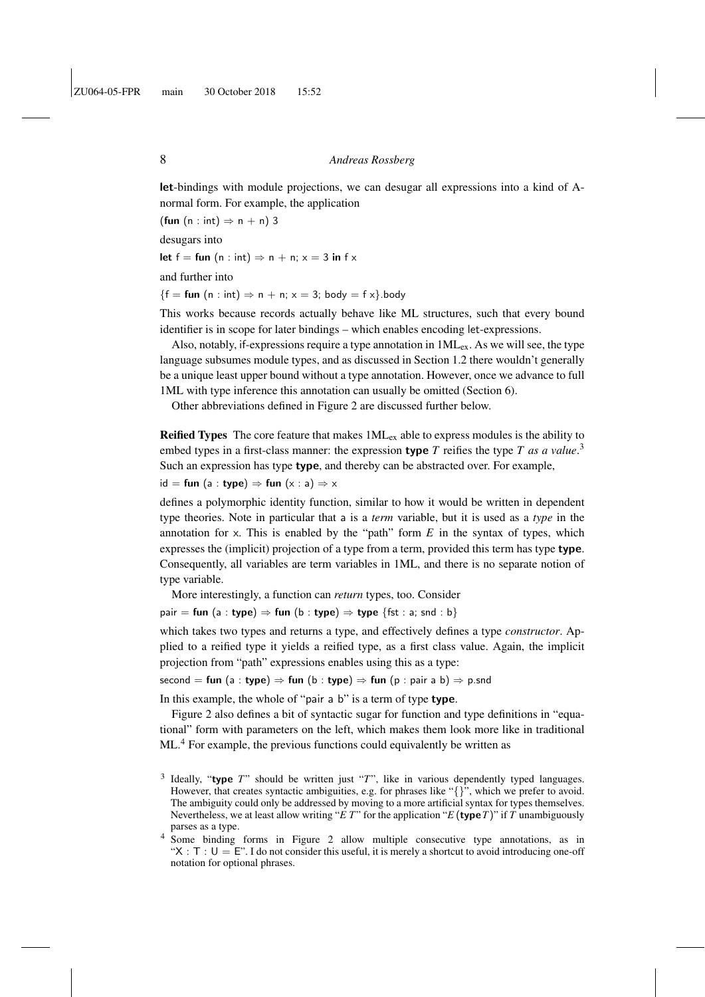let-bindings with module projections, we can desugar all expressions into a kind of Anormal form. For example, the application

(fun  $(n : int) \Rightarrow n + n$ ) 3

desugars into

let  $f = \text{fun} (n : \text{int}) \Rightarrow n + n; x = 3 \text{ in } f x$ 

and further into

 ${f = fun (n : int) \Rightarrow n + n; x = 3; body = f x}.body$ 

This works because records actually behave like ML structures, such that every bound identifier is in scope for later bindings – which enables encoding let-expressions.

Also, notably, if-expressions require a type annotation in  $1ML_{ex}$ . As we will see, the type language subsumes module types, and as discussed in Section 1.2 there wouldn't generally be a unique least upper bound without a type annotation. However, once we advance to full 1ML with type inference this annotation can usually be omitted (Section 6).

Other abbreviations defined in Figure 2 are discussed further below.

**Reified Types** The core feature that makes  $1ML_{ex}$  able to express modules is the ability to embed types in a first-class manner: the expression type *T* reifies the type *T as a value*. 3 Such an expression has type type, and thereby can be abstracted over. For example,

$$
\mathsf{id} = \mathsf{fun} \; (\mathsf{a} : \mathsf{type}) \Rightarrow \mathsf{fun} \; (\mathsf{x} : \mathsf{a}) \Rightarrow \mathsf{x}
$$

defines a polymorphic identity function, similar to how it would be written in dependent type theories. Note in particular that a is a *term* variable, but it is used as a *type* in the annotation for x. This is enabled by the "path" form  $E$  in the syntax of types, which expresses the (implicit) projection of a type from a term, provided this term has type type. Consequently, all variables are term variables in 1ML, and there is no separate notion of type variable.

More interestingly, a function can *return* types, too. Consider

pair = fun (a : type)  $\Rightarrow$  fun (b : type)  $\Rightarrow$  type {fst : a; snd : b}

which takes two types and returns a type, and effectively defines a type *constructor*. Applied to a reified type it yields a reified type, as a first class value. Again, the implicit projection from "path" expressions enables using this as a type:

second = fun (a : type)  $\Rightarrow$  fun (b : type)  $\Rightarrow$  fun (p : pair a b)  $\Rightarrow$  p.snd

In this example, the whole of "pair a b" is a term of type type.

Figure 2 also defines a bit of syntactic sugar for function and type definitions in "equational" form with parameters on the left, which makes them look more like in traditional ML.<sup>4</sup> For example, the previous functions could equivalently be written as

<sup>&</sup>lt;sup>3</sup> Ideally, "type *T*" should be written just "*T*", like in various dependently typed languages. However, that creates syntactic ambiguities, e.g. for phrases like "{}", which we prefer to avoid. The ambiguity could only be addressed by moving to a more artificial syntax for types themselves. Nevertheless, we at least allow writing "*E T*" for the application "*E* (type*T*)" if *T* unambiguously parses as a type.

Some binding forms in Figure 2 allow multiple consecutive type annotations, as in " $X : T : U = E$ ". I do not consider this useful, it is merely a shortcut to avoid introducing one-off notation for optional phrases.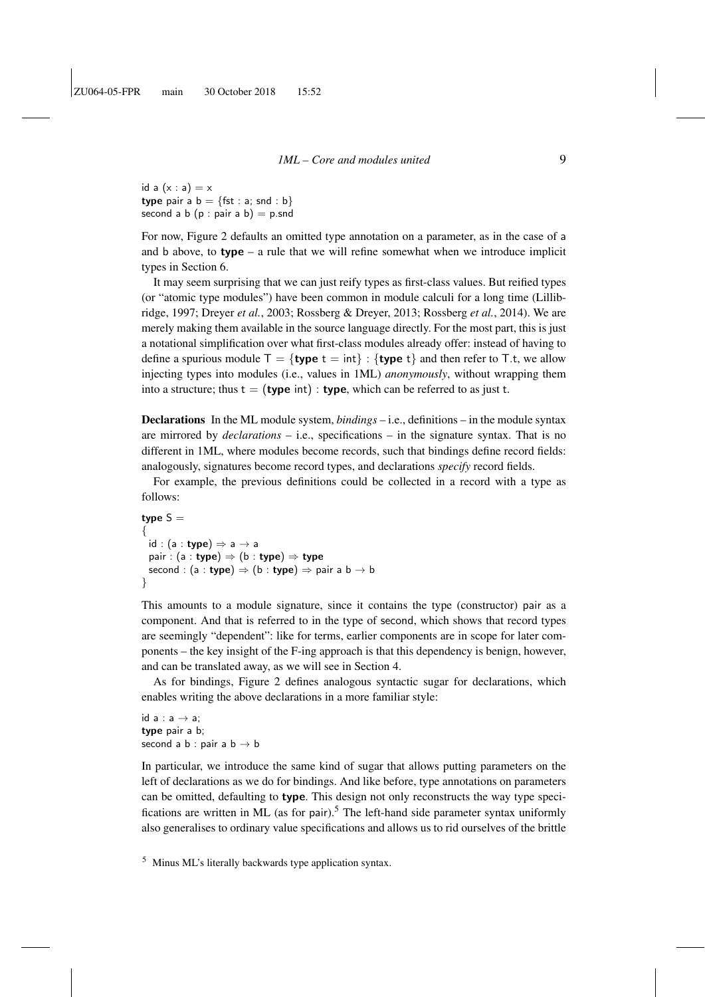id a  $(x : a) = x$ type pair a  $b = \{ \text{fst} : a; \text{snd} : b \}$ second a b  $(p : pair a b) = p.snd$ 

For now, Figure 2 defaults an omitted type annotation on a parameter, as in the case of a and  $b$  above, to type – a rule that we will refine somewhat when we introduce implicit types in Section 6.

It may seem surprising that we can just reify types as first-class values. But reified types (or "atomic type modules") have been common in module calculi for a long time (Lillibridge, 1997; Dreyer *et al.*, 2003; Rossberg & Dreyer, 2013; Rossberg *et al.*, 2014). We are merely making them available in the source language directly. For the most part, this is just a notational simplification over what first-class modules already offer: instead of having to define a spurious module  $T = \{ \text{type } t = \text{int} \}$ :  $\{ \text{type } t \}$  and then refer to T.t, we allow injecting types into modules (i.e., values in 1ML) *anonymously*, without wrapping them into a structure; thus  $t = (type int)$ : type, which can be referred to as just t.

Declarations In the ML module system, *bindings* – i.e., definitions – in the module syntax are mirrored by *declarations* – i.e., specifications – in the signature syntax. That is no different in 1ML, where modules become records, such that bindings define record fields: analogously, signatures become record types, and declarations *specify* record fields.

For example, the previous definitions could be collected in a record with a type as follows:

```
type S ={
  id : (a : type) \Rightarrow a \rightarrow a
  pair : (a : type) \Rightarrow (b : type) \Rightarrow type
  second : (a : type) \Rightarrow (b : type) \Rightarrow pair a b \rightarrow b
}
```
This amounts to a module signature, since it contains the type (constructor) pair as a component. And that is referred to in the type of second, which shows that record types are seemingly "dependent": like for terms, earlier components are in scope for later components – the key insight of the F-ing approach is that this dependency is benign, however, and can be translated away, as we will see in Section 4.

As for bindings, Figure 2 defines analogous syntactic sugar for declarations, which enables writing the above declarations in a more familiar style:

id  $a : a \rightarrow a$ ; type pair a b; second a  $b :$  pair a  $b \rightarrow b$ 

In particular, we introduce the same kind of sugar that allows putting parameters on the left of declarations as we do for bindings. And like before, type annotations on parameters can be omitted, defaulting to **type**. This design not only reconstructs the way type specifications are written in ML (as for pair).<sup>5</sup> The left-hand side parameter syntax uniformly also generalises to ordinary value specifications and allows us to rid ourselves of the brittle

<sup>5</sup> Minus ML's literally backwards type application syntax.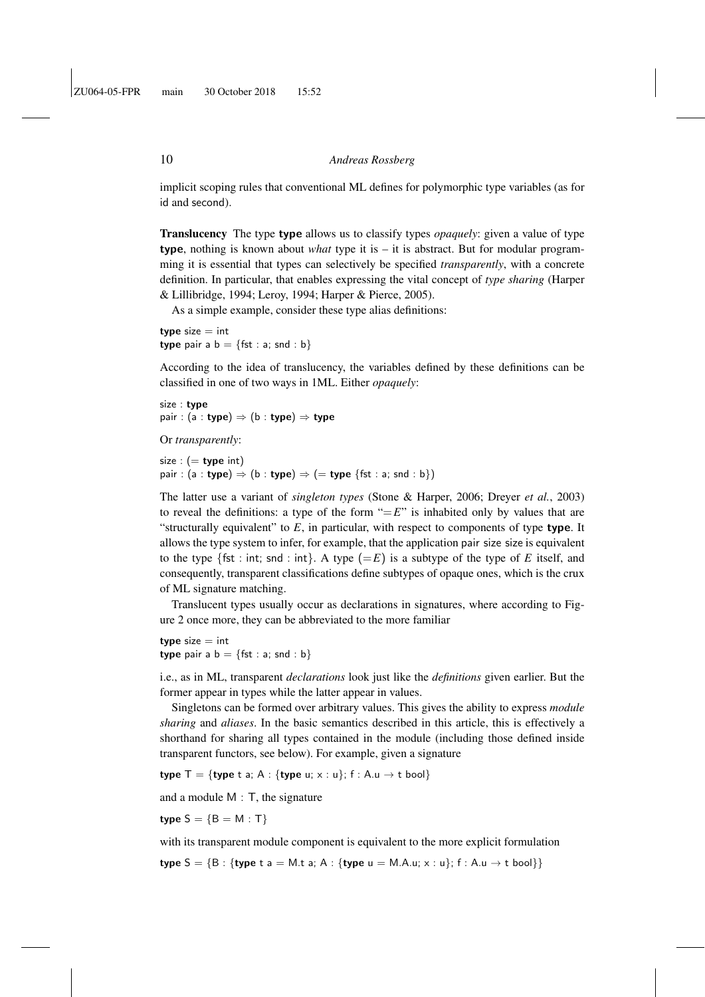implicit scoping rules that conventional ML defines for polymorphic type variables (as for id and second).

Translucency The type type allows us to classify types *opaquely*: given a value of type type, nothing is known about *what* type it is – it is abstract. But for modular programming it is essential that types can selectively be specified *transparently*, with a concrete definition. In particular, that enables expressing the vital concept of *type sharing* (Harper & Lillibridge, 1994; Leroy, 1994; Harper & Pierce, 2005).

As a simple example, consider these type alias definitions:

type  $size = int$ type pair a  $b = \{ \text{fst} : a; \text{snd} : b \}$ 

According to the idea of translucency, the variables defined by these definitions can be classified in one of two ways in 1ML. Either *opaquely*:

size : type pair :  $(a : type) \Rightarrow (b : type) \Rightarrow type$ 

Or *transparently*:

size :  $($  = type int) pair : (a : type)  $\Rightarrow$  (b : type)  $\Rightarrow$  (= type {fst : a; snd : b})

The latter use a variant of *singleton types* (Stone & Harper, 2006; Dreyer *et al.*, 2003) to reveal the definitions: a type of the form  $"=E"$  is inhabited only by values that are "structurally equivalent" to  $E$ , in particular, with respect to components of type type. It allows the type system to infer, for example, that the application pair size size is equivalent to the type  $\{ \text{fst} : \text{int} \}$  snd : int $\}$ . A type  $(=E)$  is a subtype of the type of E itself, and consequently, transparent classifications define subtypes of opaque ones, which is the crux of ML signature matching.

Translucent types usually occur as declarations in signatures, where according to Figure 2 once more, they can be abbreviated to the more familiar

type  $size = int$ type pair a  $b = \{ \text{fst} : a; \text{snd} : b \}$ 

i.e., as in ML, transparent *declarations* look just like the *definitions* given earlier. But the former appear in types while the latter appear in values.

Singletons can be formed over arbitrary values. This gives the ability to express *module sharing* and *aliases*. In the basic semantics described in this article, this is effectively a shorthand for sharing all types contained in the module (including those defined inside transparent functors, see below). For example, given a signature

type  $T = \{$ type t a; A :  $\{$ type u; x : u $\}$ ; f : A.u  $\rightarrow$  t bool $\}$ 

and a module M : T, the signature

type  $S = {B = M : T}$ 

with its transparent module component is equivalent to the more explicit formulation

type  $S = \{B : \{type \ t \ a = M.t \ a; A : \{type \ u = M.A.u; x : u\}; \ f : A.u \rightarrow t \ bool\} \}$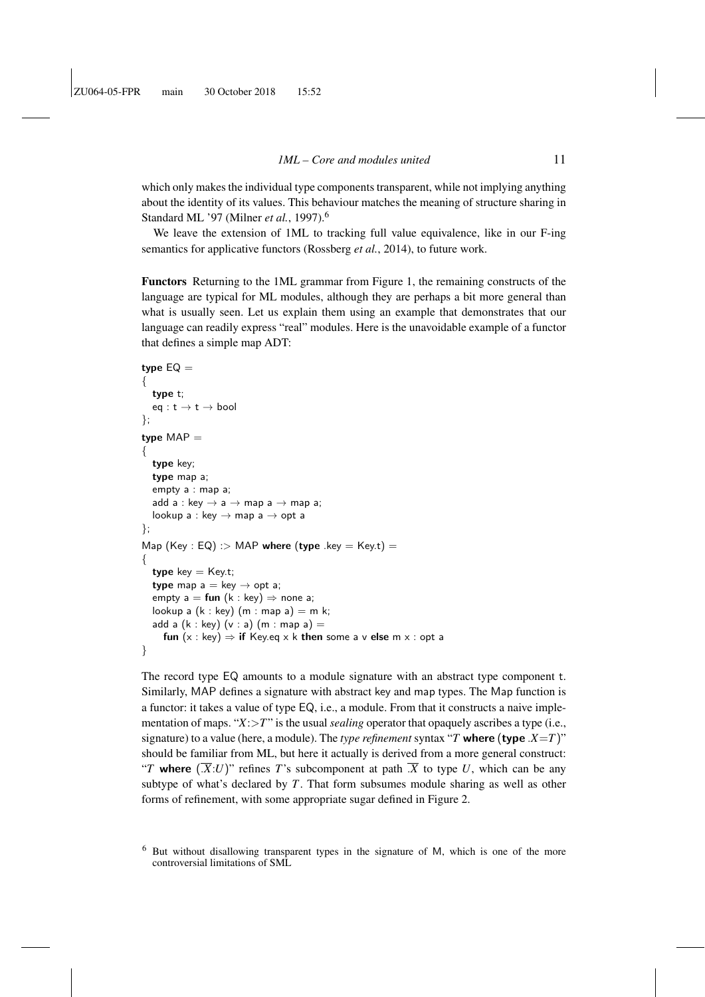which only makes the individual type components transparent, while not implying anything about the identity of its values. This behaviour matches the meaning of structure sharing in Standard ML '97 (Milner *et al.*, 1997).<sup>6</sup>

We leave the extension of 1ML to tracking full value equivalence, like in our F-ing semantics for applicative functors (Rossberg *et al.*, 2014), to future work.

Functors Returning to the 1ML grammar from Figure 1, the remaining constructs of the language are typical for ML modules, although they are perhaps a bit more general than what is usually seen. Let us explain them using an example that demonstrates that our language can readily express "real" modules. Here is the unavoidable example of a functor that defines a simple map ADT:

```
type EQ ={
  type t;
  eq : t \rightarrow t \rightarrow bool
};
type MAP ={
  type key;
  type map a;
  empty a : map a;
  add a : key \rightarrow a \rightarrow map a \rightarrow map a;
  lookup a : key \rightarrow map a \rightarrow opt a
};
Map (Key : EQ) : > MAP where (type \t .key = Key.t) =
{
  type key = Key.t;type map a = \text{key} \rightarrow \text{opt } a;
  empty a = \text{fun}(k : \text{key}) \Rightarrow \text{none } a;lookup a (k : key) (m : map a) = m k;
  add a (k : key) (v : a) (m : map a) =fun (x : key) \Rightarrow if Key.eq x k then some a v else m x : opt a
}
```
The record type EQ amounts to a module signature with an abstract type component t. Similarly, MAP defines a signature with abstract key and map types. The Map function is a functor: it takes a value of type EQ, i.e., a module. From that it constructs a naive implementation of maps. " $X$ : $>$ *T*" is the usual *sealing* operator that opaquely ascribes a type (i.e., signature) to a value (here, a module). The *type refinement* syntax "*T* where (type  $X=T$ )" should be familiar from ML, but here it actually is derived from a more general construct: "*T* where  $(\overline{X}:\overline{U})$ " refines *T*'s subcomponent at path  $\overline{X}$  to type *U*, which can be any subtype of what's declared by *T*. That form subsumes module sharing as well as other forms of refinement, with some appropriate sugar defined in Figure 2.

 $6$  But without disallowing transparent types in the signature of M, which is one of the more controversial limitations of SML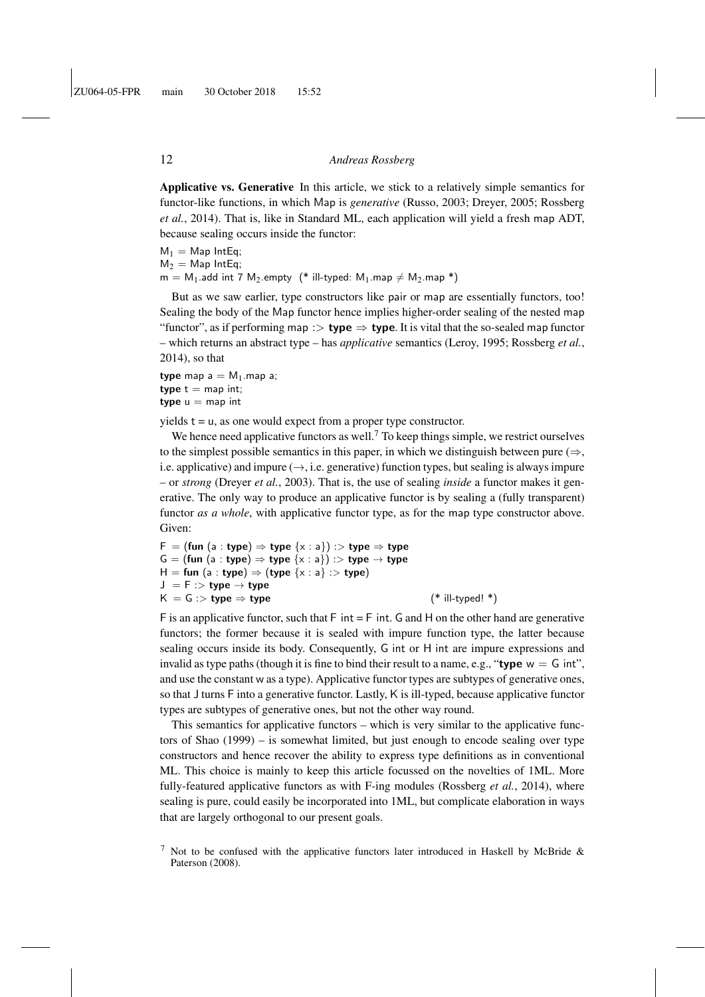Applicative vs. Generative In this article, we stick to a relatively simple semantics for functor-like functions, in which Map is *generative* (Russo, 2003; Dreyer, 2005; Rossberg *et al.*, 2014). That is, like in Standard ML, each application will yield a fresh map ADT, because sealing occurs inside the functor:

 $M_1$  = Map IntEq;

 $M_2 = Map$  IntEq;

 $m = M_1$ .add int 7 M<sub>2</sub>.empty (\* ill-typed: M<sub>1</sub>.map  $\neq M_2$ .map \*)

But as we saw earlier, type constructors like pair or map are essentially functors, too! Sealing the body of the Map functor hence implies higher-order sealing of the nested map "functor", as if performing map :> **type**  $\Rightarrow$  **type**. It is vital that the so-sealed map functor – which returns an abstract type – has *applicative* semantics (Leroy, 1995; Rossberg *et al.*, 2014), so that

type map  $a = M_1$ .map a; type  $t =$  map int; type  $u = map$  int

yields  $t = u$ , as one would expect from a proper type constructor.

We hence need applicative functors as well.<sup>7</sup> To keep things simple, we restrict ourselves to the simplest possible semantics in this paper, in which we distinguish between pure ( $\Rightarrow$ , i.e. applicative) and impure  $(\rightarrow)$ , i.e. generative) function types, but sealing is always impure – or *strong* (Dreyer *et al.*, 2003). That is, the use of sealing *inside* a functor makes it generative. The only way to produce an applicative functor is by sealing a (fully transparent) functor *as a whole*, with applicative functor type, as for the map type constructor above. Given:

 $F = (fun (a : type) \Rightarrow type \{x : a\}) :$  type  $\Rightarrow$  type  $G = (fun (a : type) \Rightarrow type (x : a)) >> type \rightarrow type$  $H = \text{fun}$  (a : type)  $\Rightarrow$  (type  $\{x : a\}$  :> type)  $J = F :$  type  $\rightarrow$  type  $K = G$  :> type  $\Rightarrow$  type (\* ill-typed! \*)

F is an applicative functor, such that  $F$  int  $=$  F int. G and H on the other hand are generative functors; the former because it is sealed with impure function type, the latter because sealing occurs inside its body. Consequently, G int or H int are impure expressions and invalid as type paths (though it is fine to bind their result to a name, e.g., "type  $w = G$  int", and use the constant w as a type). Applicative functor types are subtypes of generative ones, so that J turns F into a generative functor. Lastly, K is ill-typed, because applicative functor types are subtypes of generative ones, but not the other way round.

This semantics for applicative functors – which is very similar to the applicative functors of Shao (1999) – is somewhat limited, but just enough to encode sealing over type constructors and hence recover the ability to express type definitions as in conventional ML. This choice is mainly to keep this article focussed on the novelties of 1ML. More fully-featured applicative functors as with F-ing modules (Rossberg *et al.*, 2014), where sealing is pure, could easily be incorporated into 1ML, but complicate elaboration in ways that are largely orthogonal to our present goals.

<sup>&</sup>lt;sup>7</sup> Not to be confused with the applicative functors later introduced in Haskell by McBride & Paterson (2008).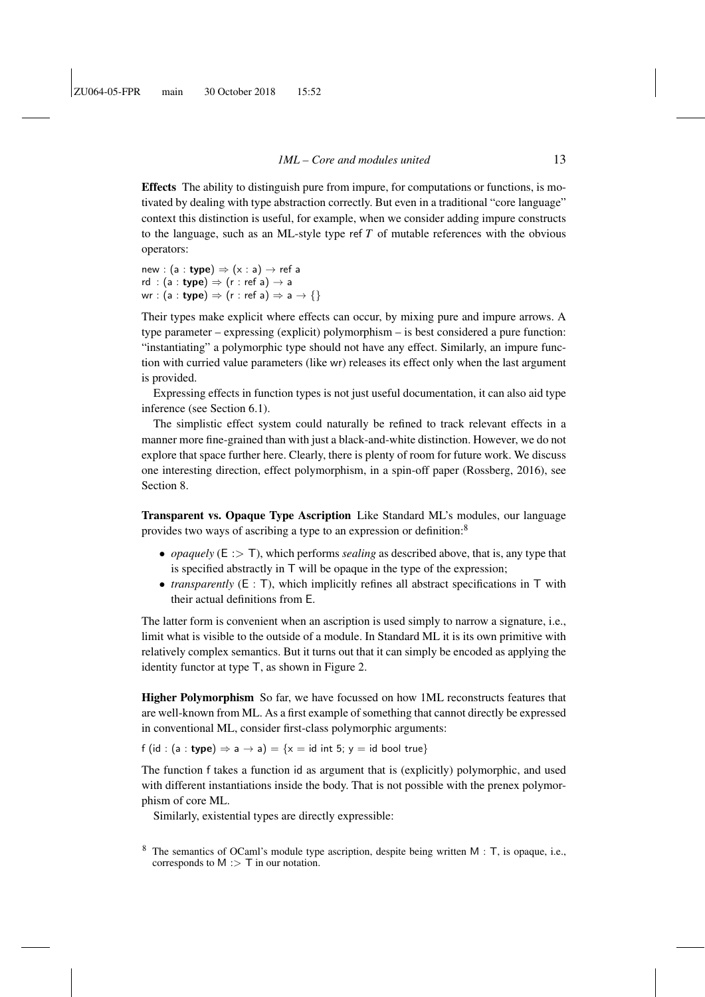Effects The ability to distinguish pure from impure, for computations or functions, is motivated by dealing with type abstraction correctly. But even in a traditional "core language" context this distinction is useful, for example, when we consider adding impure constructs to the language, such as an ML-style type ref *T* of mutable references with the obvious operators:

new : (a : **type**)  $\Rightarrow$  (x : a)  $\rightarrow$  ref a rd : (a : type)  $\Rightarrow$  (r : ref a)  $\rightarrow$  a wr : (a : type)  $\Rightarrow$  (r : ref a)  $\Rightarrow$  a  $\rightarrow$  {}

Their types make explicit where effects can occur, by mixing pure and impure arrows. A type parameter – expressing (explicit) polymorphism – is best considered a pure function: "instantiating" a polymorphic type should not have any effect. Similarly, an impure function with curried value parameters (like wr) releases its effect only when the last argument is provided.

Expressing effects in function types is not just useful documentation, it can also aid type inference (see Section 6.1).

The simplistic effect system could naturally be refined to track relevant effects in a manner more fine-grained than with just a black-and-white distinction. However, we do not explore that space further here. Clearly, there is plenty of room for future work. We discuss one interesting direction, effect polymorphism, in a spin-off paper (Rossberg, 2016), see Section 8.

Transparent vs. Opaque Type Ascription Like Standard ML's modules, our language provides two ways of ascribing a type to an expression or definition:<sup>8</sup>

- *opaquely* (E :> T), which performs *sealing* as described above, that is, any type that is specified abstractly in T will be opaque in the type of the expression;
- *transparently* ( $E : T$ ), which implicitly refines all abstract specifications in  $T$  with their actual definitions from E.

The latter form is convenient when an ascription is used simply to narrow a signature, i.e., limit what is visible to the outside of a module. In Standard ML it is its own primitive with relatively complex semantics. But it turns out that it can simply be encoded as applying the identity functor at type T, as shown in Figure 2.

Higher Polymorphism So far, we have focussed on how 1ML reconstructs features that are well-known from ML. As a first example of something that cannot directly be expressed in conventional ML, consider first-class polymorphic arguments:

f (id : (a : type)  $\Rightarrow$  a  $\rightarrow$  a) = {x = id int 5; y = id bool true}

The function f takes a function id as argument that is (explicitly) polymorphic, and used with different instantiations inside the body. That is not possible with the prenex polymorphism of core ML.

Similarly, existential types are directly expressible:

 $8\text{ The semantics of OCam's module type ascription, despite being written } M : T$ , is opaque, i.e., corresponds to  $M \geq T$  in our notation.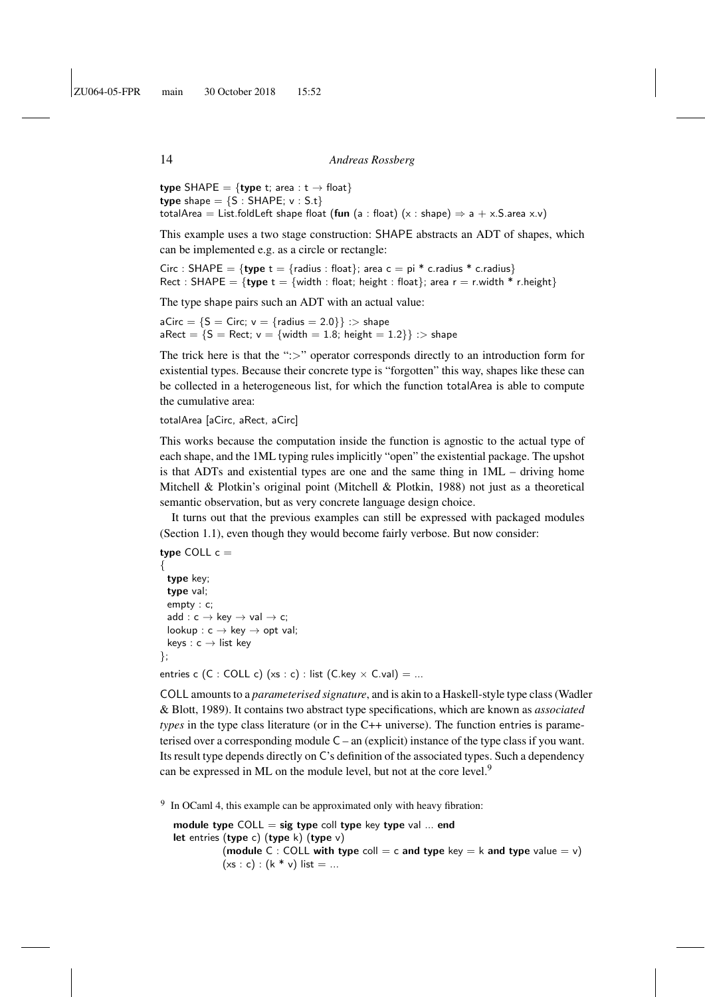type SHAPE =  ${type t; area : t \rightarrow float}$ type shape  $= \{S : SHAPE; v : S.t\}$ totalArea = List.foldLeft shape float (fun (a : float) (x : shape)  $\Rightarrow$  a + x.S.area x.v)

This example uses a two stage construction: SHAPE abstracts an ADT of shapes, which can be implemented e.g. as a circle or rectangle:

Circ : SHAPE = {type  $t =$  {radius : float}; area  $c = pi * c$  radius \* c.radius} Rect : SHAPE = {type  $t =$  {width : float; height : float}; area  $r = r$ .width \* r.height}

The type shape pairs such an ADT with an actual value:

 $aCirc = \{S = Circ; v = \{radius = 2.0\}\}$  : > shape  $aRect = \{S = Rect; v = \{width = 1.8; height = 1.2\}\}\implies shape$ 

The trick here is that the ":>" operator corresponds directly to an introduction form for existential types. Because their concrete type is "forgotten" this way, shapes like these can be collected in a heterogeneous list, for which the function totalArea is able to compute the cumulative area:

#### totalArea [aCirc, aRect, aCirc]

This works because the computation inside the function is agnostic to the actual type of each shape, and the 1ML typing rules implicitly "open" the existential package. The upshot is that ADTs and existential types are one and the same thing in 1ML – driving home Mitchell & Plotkin's original point (Mitchell & Plotkin, 1988) not just as a theoretical semantic observation, but as very concrete language design choice.

It turns out that the previous examples can still be expressed with packaged modules (Section 1.1), even though they would become fairly verbose. But now consider:

```
type COLL c ={
  type key;
  type val;
  empty : c;
  add : c \rightarrow key \rightarrow val \rightarrow c;lookup : c \rightarrow k e v \rightarrow o p t v a l;
  keys : c \rightarrow list key};
```
entries c (C : COLL c) (xs : c) : list (C.key  $\times$  C.val) = ...

COLL amounts to a *parameterised signature*, and is akin to a Haskell-style type class (Wadler & Blott, 1989). It contains two abstract type specifications, which are known as *associated types* in the type class literature (or in the C++ universe). The function entries is parameterised over a corresponding module C – an (explicit) instance of the type class if you want. Its result type depends directly on C's definition of the associated types. Such a dependency can be expressed in ML on the module level, but not at the core level.<sup>9</sup>

<sup>9</sup> In OCaml 4, this example can be approximated only with heavy fibration:

```
module type COLL = sig type coll type key type val ... end
let entries (type c) (type k) (type v)
          (module C : COLL with type coll = c and type key = k and type value = y)
          (xs : c) : (k * v) list = ...
```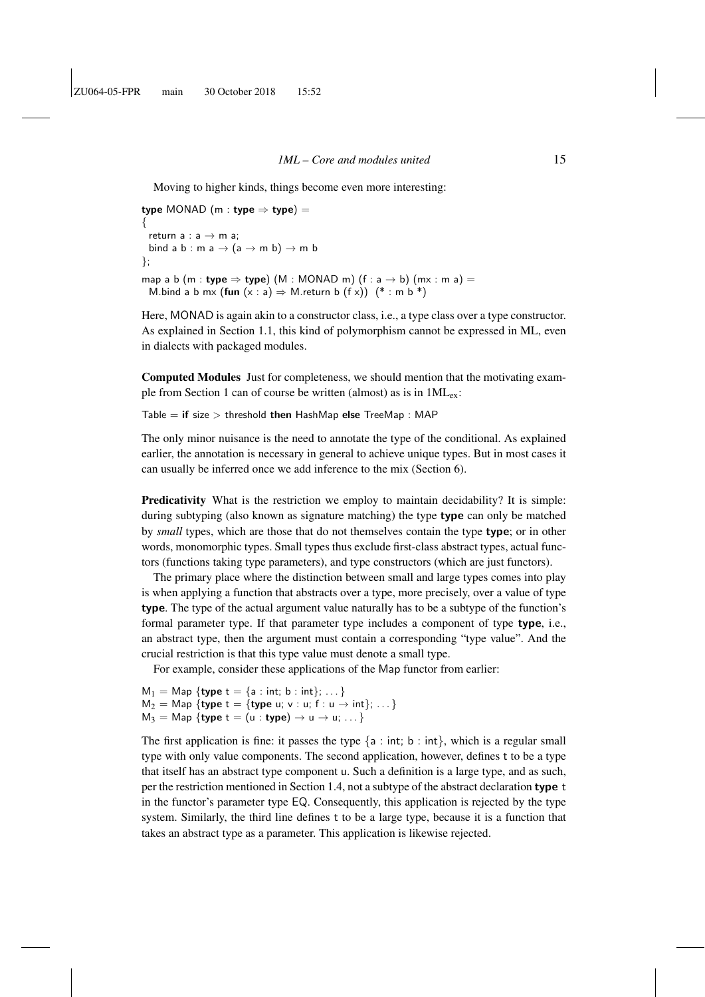Moving to higher kinds, things become even more interesting:

type MONAD (m : type  $\Rightarrow$  type) = { return  $a : a \rightarrow m$  a; bind a b : m a  $\rightarrow$  (a  $\rightarrow$  m b)  $\rightarrow$  m b }; map a b (m : type  $\Rightarrow$  type) (M : MONAD m) (f : a  $\rightarrow$  b) (mx : m a) = M.bind a b mx (fun  $(x : a) \Rightarrow M$ .return b  $(f x)$ )  $(* : m b (*)$ 

Here, MONAD is again akin to a constructor class, i.e., a type class over a type constructor. As explained in Section 1.1, this kind of polymorphism cannot be expressed in ML, even in dialects with packaged modules.

Computed Modules Just for completeness, we should mention that the motivating example from Section 1 can of course be written (almost) as is in 1MLex:

Table  $=$  if size  $>$  threshold then HashMap else TreeMap : MAP

The only minor nuisance is the need to annotate the type of the conditional. As explained earlier, the annotation is necessary in general to achieve unique types. But in most cases it can usually be inferred once we add inference to the mix (Section 6).

Predicativity What is the restriction we employ to maintain decidability? It is simple: during subtyping (also known as signature matching) the type type can only be matched by *small* types, which are those that do not themselves contain the type type; or in other words, monomorphic types. Small types thus exclude first-class abstract types, actual functors (functions taking type parameters), and type constructors (which are just functors).

The primary place where the distinction between small and large types comes into play is when applying a function that abstracts over a type, more precisely, over a value of type type. The type of the actual argument value naturally has to be a subtype of the function's formal parameter type. If that parameter type includes a component of type type, i.e., an abstract type, then the argument must contain a corresponding "type value". And the crucial restriction is that this type value must denote a small type.

For example, consider these applications of the Map functor from earlier:

 $M_1 = Map \{ \text{type } t = \{ a : int; b : int \}; \dots \}$  $M_2 = Map \{ \text{type } t = \{ \text{type } u; v : u; f : u \rightarrow int \}; \dots \}$  $M_3 = Map \{ \text{type } t = (u : \text{type}) \rightarrow u \rightarrow u; \dots \}$ 

The first application is fine: it passes the type  $\{a : int; b : int\}$ , which is a regular small type with only value components. The second application, however, defines t to be a type that itself has an abstract type component u. Such a definition is a large type, and as such, per the restriction mentioned in Section 1.4, not a subtype of the abstract declaration type t in the functor's parameter type EQ. Consequently, this application is rejected by the type system. Similarly, the third line defines t to be a large type, because it is a function that takes an abstract type as a parameter. This application is likewise rejected.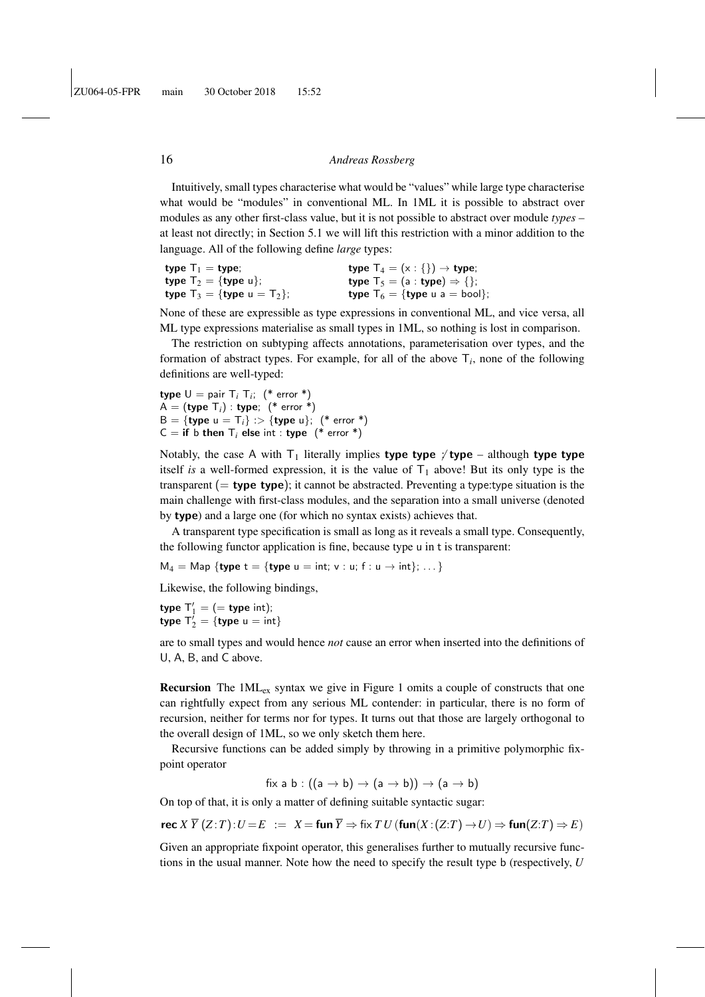Intuitively, small types characterise what would be "values" while large type characterise what would be "modules" in conventional ML. In 1ML it is possible to abstract over modules as any other first-class value, but it is not possible to abstract over module *types* – at least not directly; in Section 5.1 we will lift this restriction with a minor addition to the language. All of the following define *large* types:

| type $T_1 =$ type;                              | type $\mathsf{T}_4 = (\mathsf{x}:\{\}) \to \mathsf{type};$ |
|-------------------------------------------------|------------------------------------------------------------|
| type $T_2 = {$ type u};                         | <b>type</b> $T_5 = (a : type) \Rightarrow \{\};$           |
| <b>type</b> $T_3 = \{$ <b>type</b> $u = T_2\};$ | <b>type</b> $T_6 = \{$ <b>type</b> u a = bool};            |

None of these are expressible as type expressions in conventional ML, and vice versa, all ML type expressions materialise as small types in 1ML, so nothing is lost in comparison.

The restriction on subtyping affects annotations, parameterisation over types, and the formation of abstract types. For example, for all of the above  $T_i$ , none of the following definitions are well-typed:

**type**  $U =$  pair  $T_i$ ,  $T_i$ ; (\* error \*)  $A = (type T_i) : type;$  (\* error \*)  $B = {$ type  $u = T_i$  :> {type u}; (\* error \*)  $C =$  if b then  $T_i$  else int : type  $(*$  error  $*)$ 

Notably, the case A with  $T_1$  literally implies type type  $\gamma$  type – although type type itself *is* a well-formed expression, it is the value of  $T_1$  above! But its only type is the transparent  $(= \text{type type})$ ; it cannot be abstracted. Preventing a type: type situation is the main challenge with first-class modules, and the separation into a small universe (denoted by type) and a large one (for which no syntax exists) achieves that.

A transparent type specification is small as long as it reveals a small type. Consequently, the following functor application is fine, because type u in t is transparent:

 $M_4 = Map \{ \text{type } t = \{ \text{type } u = int; v : u; f : u \rightarrow int \}; \dots \}$ 

Likewise, the following bindings,

type  $T'_{\parallel} = (=$  type int); type  $T'_2 = \{ \text{type } u = \text{int} \}$ 

are to small types and would hence *not* cause an error when inserted into the definitions of U, A, B, and C above.

**Recursion** The  $1ML_{ex}$  syntax we give in Figure 1 omits a couple of constructs that one can rightfully expect from any serious ML contender: in particular, there is no form of recursion, neither for terms nor for types. It turns out that those are largely orthogonal to the overall design of 1ML, so we only sketch them here.

Recursive functions can be added simply by throwing in a primitive polymorphic fixpoint operator

fix a b :  $((a \rightarrow b) \rightarrow (a \rightarrow b)) \rightarrow (a \rightarrow b)$ 

On top of that, it is only a matter of defining suitable syntactic sugar:

 $r \in X \overline{Y}(Z:T): U=E := X = \text{fun } \overline{Y} \Rightarrow \text{fix } TU \text{ (fun}(X:(Z:T) \rightarrow U) \Rightarrow \text{fun}(Z:T) \Rightarrow E$ 

Given an appropriate fixpoint operator, this generalises further to mutually recursive functions in the usual manner. Note how the need to specify the result type b (respectively, *U*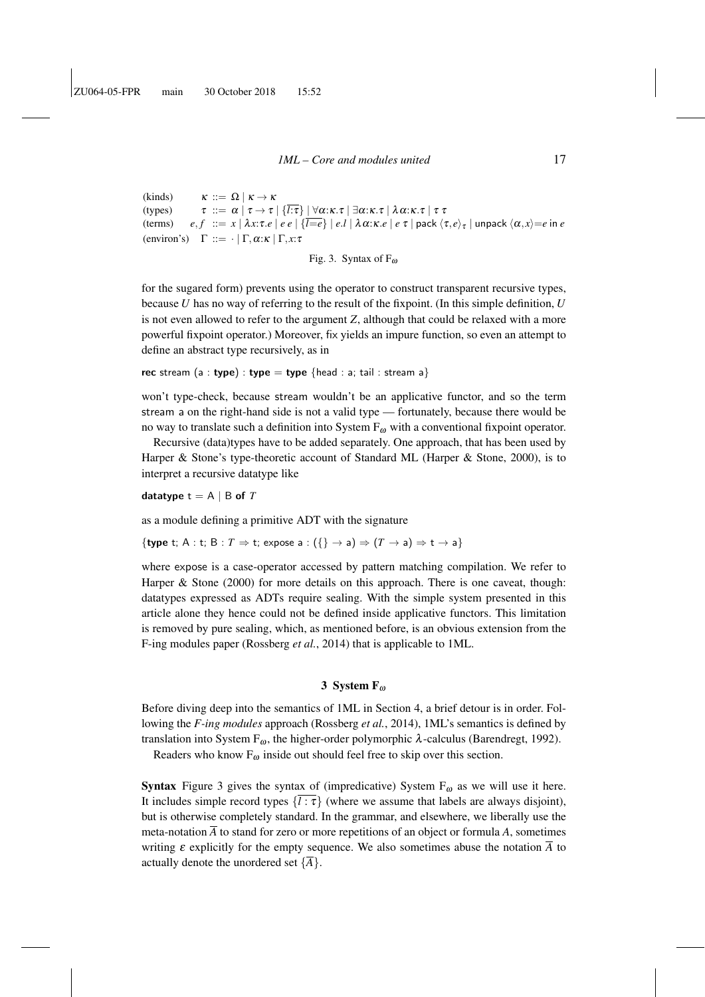```
(kinds) \kappa ::= \Omega | \kappa \to \kappa(types) \tau := \alpha | \tau \to \tau | \{ \overline{l} : \overline{\tau} \} | \forall \alpha : \kappa. \tau | \exists \alpha : \kappa. \tau | \lambda \alpha : \kappa. \tau | \tau \tau(terms) e, f := x | \lambda x : \tau \cdot e | e e | \{\overline{l = e}\} | e \cdot l | \lambda \alpha : \kappa \cdot e | e \tau | pack \langle \tau, e \rangle_{\tau} | unpack \langle \alpha, x \rangle = e in e(environ's) \Gamma ::= \cdot | \Gamma, \alpha; \kappa | \Gamma, x; \tau
```
Fig. 3. Syntax of  $F_{\omega}$ 

for the sugared form) prevents using the operator to construct transparent recursive types, because *U* has no way of referring to the result of the fixpoint. (In this simple definition, *U* is not even allowed to refer to the argument *Z*, although that could be relaxed with a more powerful fixpoint operator.) Moreover, fix yields an impure function, so even an attempt to define an abstract type recursively, as in

rec stream  $(a : type) : type = type \{head : a; tail : stream a\}$ 

won't type-check, because stream wouldn't be an applicative functor, and so the term stream a on the right-hand side is not a valid type — fortunately, because there would be no way to translate such a definition into System  $F_{\omega}$  with a conventional fixpoint operator.

Recursive (data)types have to be added separately. One approach, that has been used by Harper & Stone's type-theoretic account of Standard ML (Harper & Stone, 2000), is to interpret a recursive datatype like

datatype  $t = A \mid B$  of  $T$ 

as a module defining a primitive ADT with the signature

{type t; A : t; B :  $T \Rightarrow$  t; expose a :  $({} \{ \} \rightarrow a) \Rightarrow (T \rightarrow a) \Rightarrow t \rightarrow a$ }

where expose is a case-operator accessed by pattern matching compilation. We refer to Harper & Stone (2000) for more details on this approach. There is one caveat, though: datatypes expressed as ADTs require sealing. With the simple system presented in this article alone they hence could not be defined inside applicative functors. This limitation is removed by pure sealing, which, as mentioned before, is an obvious extension from the F-ing modules paper (Rossberg *et al.*, 2014) that is applicable to 1ML.

#### 3 System  $F_{\omega}$

Before diving deep into the semantics of 1ML in Section 4, a brief detour is in order. Following the *F-ing modules* approach (Rossberg *et al.*, 2014), 1ML's semantics is defined by translation into System F<sub>ω</sub>, the higher-order polymorphic  $λ$ -calculus (Barendregt, 1992). Readers who know  $F_{\omega}$  inside out should feel free to skip over this section.

**Syntax** Figure 3 gives the syntax of (impredicative) System  $F_{\omega}$  as we will use it here. It includes simple record types  $\{\bar{l} : \tau\}$  (where we assume that labels are always disjoint), but is otherwise completely standard. In the grammar, and elsewhere, we liberally use the meta-notation  $\overline{A}$  to stand for zero or more repetitions of an object or formula A, sometimes writing  $\varepsilon$  explicitly for the empty sequence. We also sometimes abuse the notation  $\overline{A}$  to actually denote the unordered set  $\{\overline{A}\}\$ .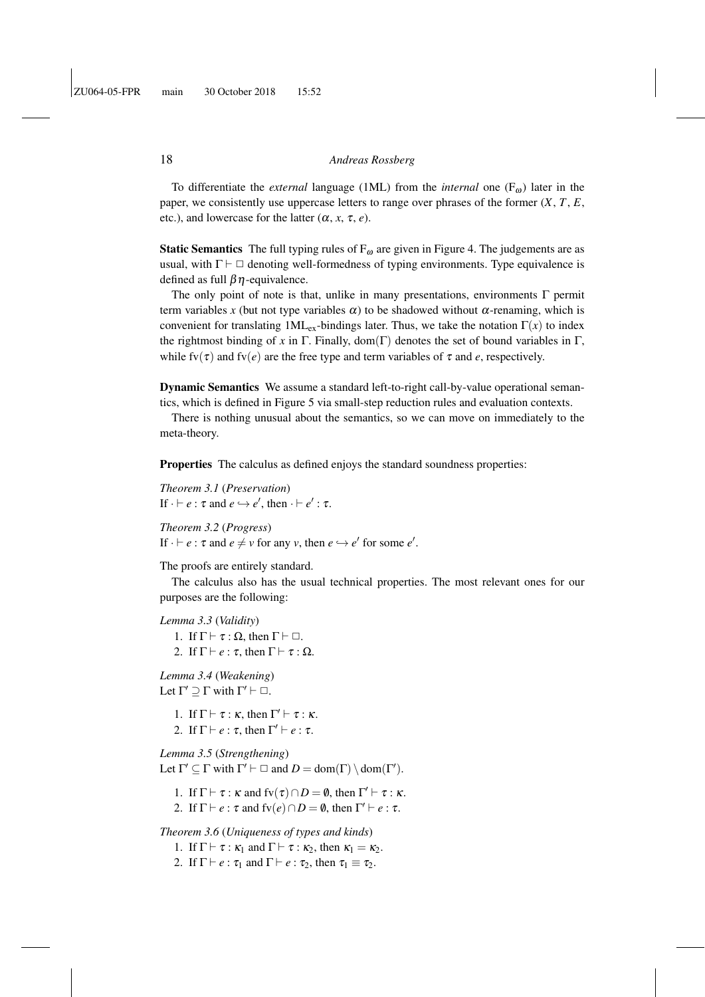To differentiate the *external* language (1ML) from the *internal* one  $(F_{\omega})$  later in the paper, we consistently use uppercase letters to range over phrases of the former  $(X, T, E)$ , etc.), and lowercase for the latter  $(\alpha, x, \tau, e)$ .

**Static Semantics** The full typing rules of  $F_{\omega}$  are given in Figure 4. The judgements are as usual, with  $\Gamma \vdash \Box$  denoting well-formedness of typing environments. Type equivalence is defined as full  $\beta \eta$ -equivalence.

The only point of note is that, unlike in many presentations, environments  $\Gamma$  permit term variables x (but not type variables  $\alpha$ ) to be shadowed without  $\alpha$ -renaming, which is convenient for translating  $1ML_{ex}$ -bindings later. Thus, we take the notation  $\Gamma(x)$  to index the rightmost binding of *x* in Γ. Finally, dom(Γ) denotes the set of bound variables in Γ, while fv( $\tau$ ) and fv( $e$ ) are the free type and term variables of  $\tau$  and  $e$ , respectively.

Dynamic Semantics We assume a standard left-to-right call-by-value operational semantics, which is defined in Figure 5 via small-step reduction rules and evaluation contexts.

There is nothing unusual about the semantics, so we can move on immediately to the meta-theory.

Properties The calculus as defined enjoys the standard soundness properties:

*Theorem 3.1* (*Preservation*) If  $\cdot \vdash e : \tau$  and  $e \hookrightarrow e'$ , then  $\cdot \vdash e' : \tau$ .

*Theorem 3.2* (*Progress*) If  $\cdot \vdash e : \tau$  and  $e \neq v$  for any *v*, then  $e \hookrightarrow e'$  for some  $e'$ .

The proofs are entirely standard.

The calculus also has the usual technical properties. The most relevant ones for our purposes are the following:

*Lemma 3.3* (*Validity*)

1. If  $\Gamma \vdash \tau : \Omega$ , then  $\Gamma \vdash \Box$ . 2. If  $\Gamma \vdash e : \tau$ , then  $\Gamma \vdash \tau : \Omega$ .

*Lemma 3.4* (*Weakening*) Let  $\Gamma' \supseteq \Gamma$  with  $\Gamma' \vdash \Box$ .

> 1. If  $\Gamma \vdash \tau : \kappa$ , then  $\Gamma' \vdash \tau : \kappa$ . 2. If  $\Gamma \vdash e : \tau$ , then  $\Gamma' \vdash e : \tau$ .

*Lemma 3.5* (*Strengthening*)

Let  $\Gamma' \subseteq \Gamma$  with  $\Gamma' \vdash \square$  and  $D = \text{dom}(\Gamma) \setminus \text{dom}(\Gamma')$ .

1. If  $\Gamma \vdash \tau : \kappa$  and  $f\nu(\tau) \cap D = \emptyset$ , then  $\Gamma' \vdash \tau : \kappa$ .

2. If  $\Gamma \vdash e : \tau$  and  $f \vee (e) \cap D = \emptyset$ , then  $\Gamma' \vdash e : \tau$ .

*Theorem 3.6* (*Uniqueness of types and kinds*)

1. If  $\Gamma \vdash \tau : \kappa_1$  and  $\Gamma \vdash \tau : \kappa_2$ , then  $\kappa_1 = \kappa_2$ .

2. If  $\Gamma \vdash e : \tau_1$  and  $\Gamma \vdash e : \tau_2$ , then  $\tau_1 \equiv \tau_2$ .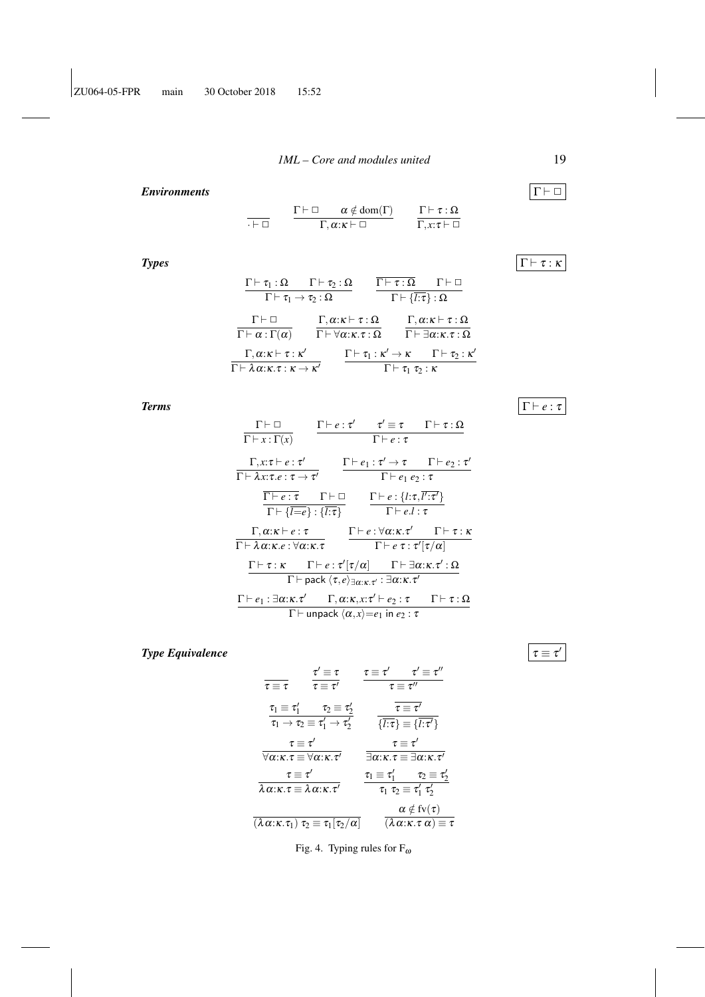# *Environments*  $\boxed{\Gamma \vdash \Box}$

 $\overline{\cdot \vdash \Box}$  $\Gamma \vdash \Box$   $\alpha \notin \text{dom}(\Gamma)$  $Γ, α:κ ⊢ ⊔$  $\Gamma \vdash τ : Ω$  $Γ, x:τ ⊢ ⊔$ 

$$
\begin{array}{ccc}\n\frac{\Gamma \vdash \tau_1 : \Omega & \Gamma \vdash \tau_2 : \Omega & \overline{\Gamma \vdash \tau : \Omega} & \Gamma \vdash \Box \\
\frac{\Gamma \vdash \tau_1 \rightarrow \tau_2 : \Omega}{\Gamma \vdash \tau_1 \rightarrow \tau_2 : \Omega} & \frac{\overline{\Gamma \vdash \tau : \Omega} & \Gamma \vdash \Box}{\Gamma \vdash \overline{\{i : \tau\}} : \Omega} \\
\frac{\Gamma \vdash \Box & \Gamma}{\Gamma \vdash \alpha : \Gamma(\alpha)} & \frac{\Gamma, \alpha : \kappa \vdash \tau : \Omega}{\Gamma \vdash \forall \alpha : \kappa \cdot \tau : \Omega} & \frac{\Gamma, \alpha : \kappa \vdash \tau : \Omega}{\Gamma \vdash \exists \alpha : \kappa \cdot \tau : \Omega} \\
\frac{\Gamma, \alpha : \kappa \vdash \tau : \kappa'}{\Gamma \vdash \lambda \alpha : \kappa \cdot \tau : \kappa \rightarrow \kappa'} & \frac{\Gamma \vdash \tau_1 : \kappa' \rightarrow \kappa & \Gamma \vdash \tau_2 : \kappa'}{\Gamma \vdash \tau_1 \tau_2 : \kappa}\n\end{array}
$$

$$
\frac{\Gamma \vdash \Box \qquad \Gamma \vdash e : \tau' \qquad \tau' \equiv \tau \qquad \Gamma \vdash \tau : \Omega}{\Gamma \vdash e : \tau \qquad \Gamma \vdash e : \tau}
$$
\n
$$
\frac{\Gamma, x : \tau \vdash e : \tau'}{\Gamma \vdash \lambda x : \tau e : \tau \to \tau'} \qquad \frac{\Gamma \vdash e_1 : \tau' \to \tau \qquad \Gamma \vdash e_2 : \tau'}{\Gamma \vdash e_1 e_2 : \tau}
$$
\n
$$
\frac{\overline{\Gamma} \vdash e : \tau \qquad \Gamma \vdash \Box}{\Gamma \vdash \{l = e\} : \{l : \tau\}} \qquad \frac{\Gamma \vdash e : \{l : \tau, l' : \tau'\}}{\Gamma \vdash e.l : \tau}
$$
\n
$$
\frac{\Gamma, \alpha : \kappa \vdash e : \tau}{\Gamma \vdash \lambda \alpha : \kappa e : \forall \alpha : \kappa, \tau} \qquad \frac{\Gamma \vdash e : \forall \alpha : \kappa, \tau' \qquad \Gamma \vdash \tau : \kappa}{\Gamma \vdash e \tau : \tau'[\tau/\alpha]}
$$
\n
$$
\frac{\Gamma \vdash \tau : \kappa \qquad \Gamma \vdash e : \tau'[\tau/\alpha] \qquad \Gamma \vdash \exists \alpha : \kappa, \tau' : \Omega}{\Gamma \vdash \text{pack } \langle \tau, e \rangle \exists \alpha : \kappa, \tau' \vdash e_2 : \tau \qquad \Gamma \vdash \tau : \Omega}
$$
\n
$$
\frac{\Gamma \vdash e_1 : \exists \alpha : \kappa, \tau' \qquad \Gamma, \alpha : \kappa, \kappa : \tau' \vdash e_2 : \tau \qquad \Gamma \vdash \tau : \Omega}{\Gamma \vdash \text{unpack } \langle \alpha, x \rangle = e_1 \text{ in } e_2 : \tau}
$$

**Type Equivalence** 

$$
\begin{array}{ccc}\n\tau & \tau' \equiv \tau & \tau \equiv \tau' & \tau' \equiv \tau'' \\
\tau \equiv \tau & \tau \equiv \tau' & \tau \equiv \tau'' \\
\frac{\tau_1 \equiv \tau'_1}{\tau_1 \rightarrow \tau_2 \equiv \tau'_1 \rightarrow \tau'_2} & \frac{\tau \equiv \tau'}{\tau_1 \cdot \tau_2} & \frac{\tau \equiv \tau'}{\tau_1 \cdot \tau_2} \\
\frac{\tau \equiv \tau'}{\forall \alpha:\kappa.\tau \equiv \forall \alpha:\kappa.\tau'} & \frac{\tau \equiv \tau'}{\exists \alpha:\kappa.\tau \equiv \exists \alpha:\kappa.\tau'} \\
\frac{\tau \equiv \tau'}{\lambda \alpha:\kappa.\tau \equiv \lambda \alpha:\kappa.\tau'} & \frac{\tau_1 \equiv \tau'_1 & \tau_2 \equiv \tau'_2}{\tau_1 \tau_2 \equiv \tau'_1 \tau'_2} \\
\frac{\alpha \notin \text{fv}(\tau)}{(\lambda \alpha:\kappa.\tau_1) \tau_2 \equiv \tau_1[\tau_2/\alpha]} & \frac{\alpha \notin \text{fv}(\tau)}{(\lambda \alpha:\kappa.\tau \alpha) \equiv \tau}\n\end{array}
$$

Fig. 4. Typing rules for  $F_{\omega}$ 

# $\tau \equiv \tau'$

*Types*  $\boxed{\Gamma \vdash \tau : \kappa}$ 

**Terms**  $\boxed{\Gamma \vdash e : \tau}$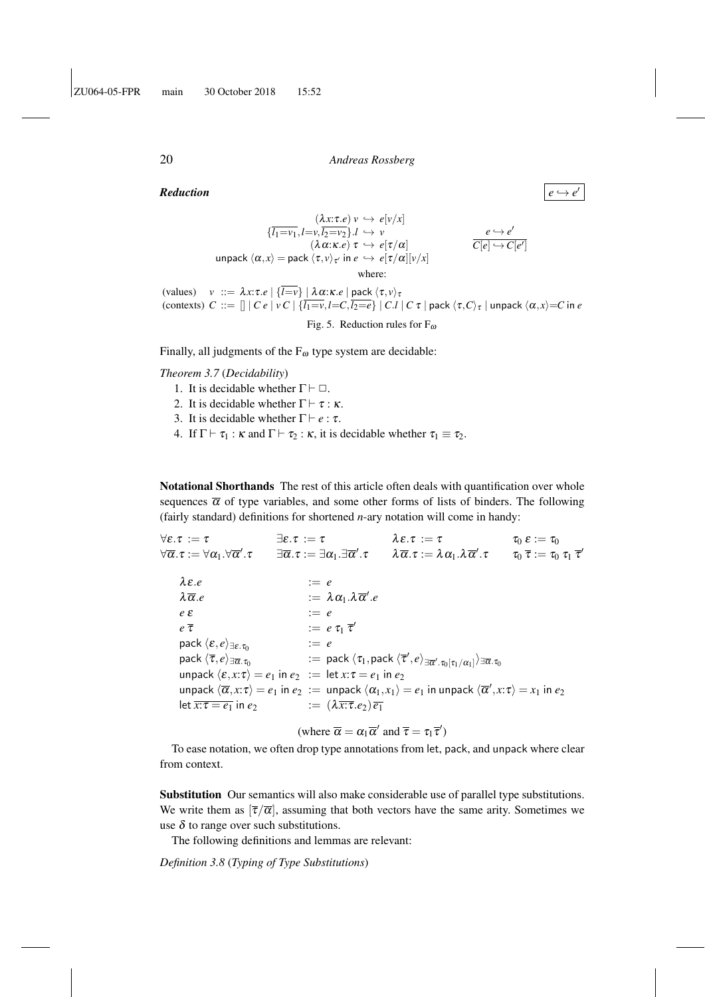*Reduction*  $e \rightarrow e$ 

 $e \hookrightarrow e$ 

$$
\frac{(\lambda x:\tau.e) \, v \, \hookrightarrow \, e[v/x]}{\{\overline{l_1} = v_1, l = v, \overline{l_2} = v_2\}.l \, \hookrightarrow \, v}
$$
\n
$$
(\lambda \alpha:\kappa.e) \, \tau \, \hookrightarrow \, e[\tau/\alpha] \qquad \qquad \overline{C[e] \hookrightarrow C[e']}
$$
\n
$$
\text{unpack } \langle \alpha, x \rangle = \text{pack } \langle \tau, v \rangle_{\tau'} \text{ in } e \, \hookrightarrow \, e[\tau/\alpha][v/x]
$$
\n
$$
\text{where:}
$$
\n
$$
\text{(values)} \quad v \ ::= \lambda x:\tau.e \mid \{\overline{l = v}\} \mid \lambda \alpha:\kappa.e \mid \text{pack } \langle \tau, v \rangle_{\tau}
$$
\n
$$
\text{(contests)} \quad C ::= \left[ \mid C \, e \mid v \, C \mid \{\overline{l_1 = v}, l = C, \overline{l_2 = e}\} \mid C.l \mid C \, \tau \mid \text{pack } \langle \tau, C \rangle_{\tau} \mid \text{unpack } \langle \alpha, x \rangle = C \text{ in } e \rangle
$$

Fig. 5. Reduction rules for  $F_{\omega}$ 

Finally, all judgments of the  $F_{\omega}$  type system are decidable:

*Theorem 3.7* (*Decidability*)

- 1. It is decidable whether  $\Gamma \vdash \Box$ .
- 2. It is decidable whether  $\Gamma \vdash \tau : \kappa$ .
- 3. It is decidable whether  $\Gamma \vdash e : \tau$ .
- 4. If  $\Gamma \vdash \tau_1 : \kappa$  and  $\Gamma \vdash \tau_2 : \kappa$ , it is decidable whether  $\tau_1 \equiv \tau_2$ .

Notational Shorthands The rest of this article often deals with quantification over whole sequences  $\bar{\alpha}$  of type variables, and some other forms of lists of binders. The following (fairly standard) definitions for shortened *n*-ary notation will come in handy:

 $\forall \varepsilon.\tau := \tau$   $\exists \varepsilon.\tau := \tau$   $\lambda \varepsilon.\tau := \tau$   $\tau_0 \varepsilon := \tau_0$  $\forall \overline{\alpha} . \tau := \forall \alpha_1 . \forall \overline{\alpha}'$ .τ  $\exists \overline{\alpha}.\tau := \exists \alpha_1 . \exists \overline{\alpha}'$  $\alpha.\tau \,=\, \lambda\,\overline{\alpha}.\tau := \lambda\,\alpha_1.\lambda\,\overline{\alpha}'.\tau \qquad \tau_0\;\overline{\tau} := \tau_0\;\tau_1\;\overline{\tau}'$  $\lambda \varepsilon.e$  := *e*  $\lambda \overline{\alpha}.e$  :=  $\lambda \alpha_1.\lambda \overline{\alpha}'.e$  $e \epsilon$  := *e*  $e \overline{\tau}$  :=  $e \tau_1 \overline{\tau}'$ pack  $\langle \varepsilon, e \rangle_{\exists \varepsilon.\tau_0}$ := *e* pack  $\langle \overline{\tau}, e \rangle_{\exists \overline{\alpha}.\tau_0}$  $:= \ \mathsf{pack}\ \langle \tau_1, \mathsf{pack}\ \langle \overline{\tau}', e \rangle_{\exists \overline{\alpha}', \tau_0[\tau_1/\alpha_1]} \rangle_{\exists \overline{\alpha}.\tau_0}$ unpack  $\langle \varepsilon, x : \tau \rangle = e_1$  in  $e_2 := \text{let } x : \tau = e_1$  in  $e_2$  $\langle \overline{\alpha}, x:\tau \rangle = e_1$  in  $e_2 := \text{unpack } \langle \alpha_1, x_1 \rangle = e_1$  in unpack  $\langle \overline{\alpha}', x:\tau \rangle = x_1$  in  $e_2$ let  $\overline{x:\tau = e_1}$  in  $e_2$  :=  $(\lambda \overline{x:\tau}.e_2) \overline{e_1}$ 

(where  $\overline{\alpha} = \alpha_1 \overline{\alpha}'$  and  $\overline{\tau} = \tau_1 \overline{\tau}'$ )

To ease notation, we often drop type annotations from let, pack, and unpack where clear from context.

Substitution Our semantics will also make considerable use of parallel type substitutions. We write them as  $[\overline{\tau}/\overline{\alpha}]$ , assuming that both vectors have the same arity. Sometimes we use  $\delta$  to range over such substitutions.

The following definitions and lemmas are relevant:

*Definition 3.8* (*Typing of Type Substitutions*)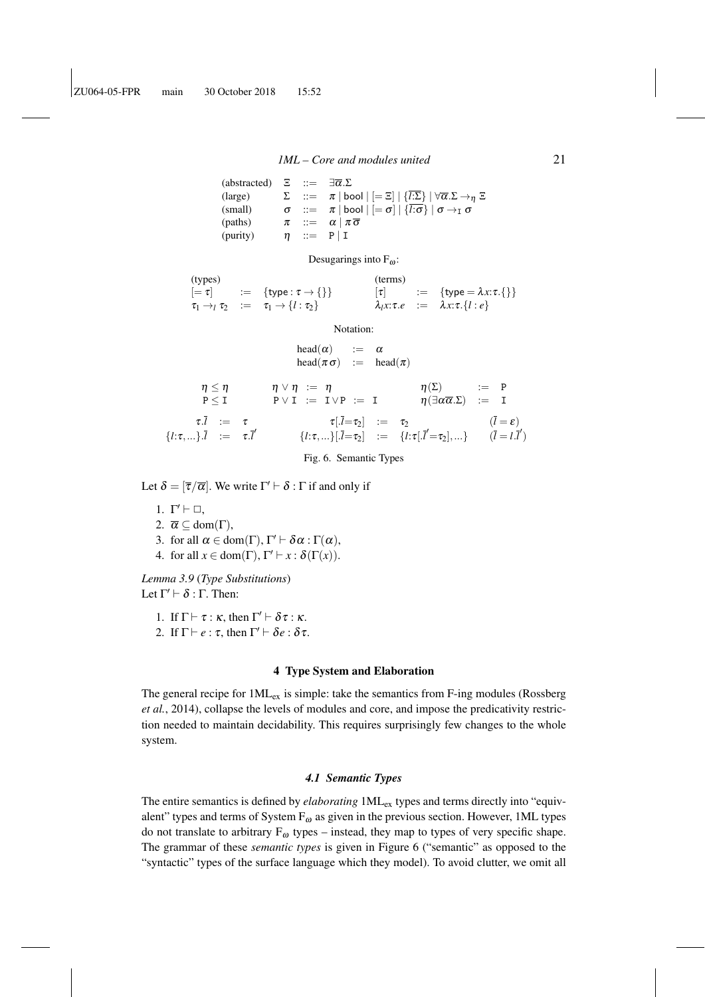| (abstracted) | $\Xi$    | $\Xi$ | $\Xi$                                                                                                                                                                   | $\Xi$ |
|--------------|----------|-------|-------------------------------------------------------------------------------------------------------------------------------------------------------------------------|-------|
| (large)      | $\Sigma$ | $\Xi$ | $\pi \mid \text{bool} \mid \left[ = \Xi \right] \mid \left\{ \overline{l} : \overline{\Sigma} \right\} \mid \forall \overline{\alpha} . \Sigma \rightarrow \eta \Sigma$ |       |
| (small)      | $\sigma$ | $\Xi$ | $\pi \mid \text{bool} \mid \left[ = \sigma \right] \mid \left\{ \overline{l} : \sigma \right\} \mid \sigma \rightarrow_{I} \sigma$                                      |       |
| (paths)      | $\pi$    | $\Xi$ | $\alpha \mid \pi \overline{\sigma}$                                                                                                                                     |       |
| (purity)     | $\eta$   | $\Xi$ | $P \mid I$                                                                                                                                                              |       |

Desugarings into  $F_{\omega}$ :

| (types)                       | (terms)                                 |                       |                                 |
|-------------------------------|-----------------------------------------|-----------------------|---------------------------------|
| $[\equiv \tau]$               | $:=$ {type : $\tau \rightarrow \{\}$    |                       |                                 |
| $\tau_1 \rightarrow_l \tau_2$ | $=$ $\tau_1 \rightarrow \{l : \tau_2\}$ | $\lambda_{l}x:\tau.e$ | $:=$ $\lambda x:\tau.\{l : e\}$ |

Notation:

$$
\begin{array}{rcl} \text{head}(\alpha) & := & \alpha \\ \text{head}(\pi\,\sigma) & := & \text{head}(\pi) \end{array}
$$

$$
\begin{array}{ccccc}\n\eta \leq \eta & \eta \vee \eta & := & \eta & \eta(\Sigma) & := & P \\
P \leq I & P \vee I & := & I \vee P & := & I & \eta(\Sigma) & := & I \\
\tau.\overline{I} & := & \tau & & \tau[\overline{I} = \tau_2] & := & \tau_2 & (\overline{I} = \epsilon) \\
\{l: \tau, \ldots\}.\overline{I} & := & \tau.\overline{I}' & \{l: \tau, \ldots\}[\overline{I} = \tau_2] & := & \{l: \tau[\overline{I}' = \tau_2], \ldots\} & (\overline{I} = I.\overline{I}')\n\end{array}
$$

Fig. 6. Semantic Types

Let  $\delta = [\overline{\tau}/\overline{\alpha}]$ . We write  $\Gamma' \vdash \delta : \Gamma$  if and only if

- 1.  $\Gamma' \vdash \Box$ ,
- 2.  $\overline{\alpha} \subseteq \text{dom}(\Gamma)$ ,
- 3. for all  $\alpha \in \text{dom}(\Gamma)$ ,  $\Gamma' \vdash \delta \alpha : \Gamma(\alpha)$ ,
- 4. for all  $x \in \text{dom}(\Gamma)$ ,  $\Gamma' \vdash x : \delta(\Gamma(x))$ .

*Lemma 3.9* (*Type Substitutions*) Let  $\Gamma' \vdash \delta : \Gamma$ . Then:

- 1. If  $\Gamma \vdash \tau : \kappa$ , then  $\Gamma' \vdash \delta \tau : \kappa$ .
- 2. If  $\Gamma \vdash e : \tau$ , then  $\Gamma' \vdash \delta e : \delta \tau$ .

#### 4 Type System and Elaboration

The general recipe for  $1ML_{ex}$  is simple: take the semantics from F-ing modules (Rossberg *et al.*, 2014), collapse the levels of modules and core, and impose the predicativity restriction needed to maintain decidability. This requires surprisingly few changes to the whole system.

### *4.1 Semantic Types*

The entire semantics is defined by *elaborating* 1MLex types and terms directly into "equivalent" types and terms of System  $F_{\omega}$  as given in the previous section. However, 1ML types do not translate to arbitrary  $F_{\omega}$  types – instead, they map to types of very specific shape. The grammar of these *semantic types* is given in Figure 6 ("semantic" as opposed to the "syntactic" types of the surface language which they model). To avoid clutter, we omit all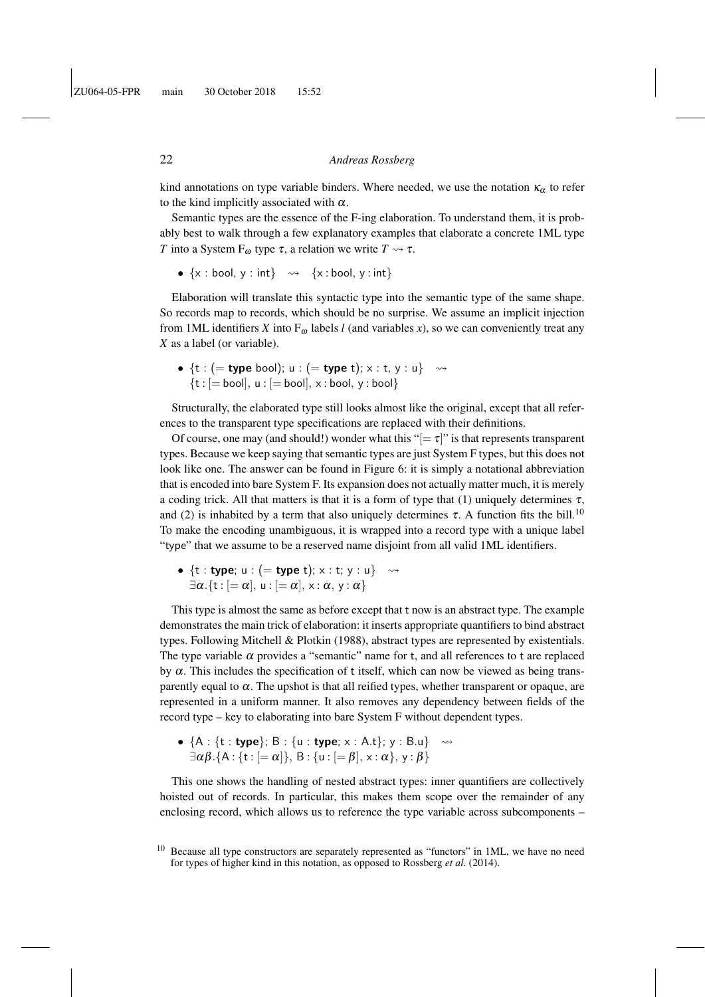kind annotations on type variable binders. Where needed, we use the notation  $\kappa_{\alpha}$  to refer to the kind implicitly associated with  $\alpha$ .

Semantic types are the essence of the F-ing elaboration. To understand them, it is probably best to walk through a few explanatory examples that elaborate a concrete 1ML type *T* into a System  $F_{\omega}$  type  $\tau$ , a relation we write  $T \rightarrow \tau$ .

•  $\{x : \text{bool}, y : \text{int}\} \rightarrow \{x : \text{bool}, y : \text{int}\}$ 

Elaboration will translate this syntactic type into the semantic type of the same shape. So records map to records, which should be no surprise. We assume an implicit injection from 1ML identifiers *X* into  $F_{\omega}$  labels *l* (and variables *x*), so we can conveniently treat any *X* as a label (or variable).

• {t : (= type bool);  $u : (=$  type t);  $x : t, y : u$ }  $\rightsquigarrow$  ${t : [-bool], u : [-bool], x : bool, y : bool}$ 

Structurally, the elaborated type still looks almost like the original, except that all references to the transparent type specifications are replaced with their definitions.

Of course, one may (and should!) wonder what this " $[=\tau]$ " is that represents transparent types. Because we keep saying that semantic types are just System F types, but this does not look like one. The answer can be found in Figure 6: it is simply a notational abbreviation that is encoded into bare System F. Its expansion does not actually matter much, it is merely a coding trick. All that matters is that it is a form of type that (1) uniquely determines  $\tau$ , and (2) is inhabited by a term that also uniquely determines  $\tau$ . A function fits the bill.<sup>10</sup> To make the encoding unambiguous, it is wrapped into a record type with a unique label "type" that we assume to be a reserved name disjoint from all valid 1ML identifiers.

• {t : type;  $u : (=$  type t);  $x : t$ ;  $y : u$ }  $\rightsquigarrow$  $\exists \alpha . \{\mathrm{t} : [\mathrm{t}, \alpha], \mathrm{u} : [\mathrm{t}, \alpha], \times : \alpha, \mathrm{y} : \alpha\}$ 

This type is almost the same as before except that t now is an abstract type. The example demonstrates the main trick of elaboration: it inserts appropriate quantifiers to bind abstract types. Following Mitchell & Plotkin (1988), abstract types are represented by existentials. The type variable  $\alpha$  provides a "semantic" name for t, and all references to t are replaced by  $\alpha$ . This includes the specification of t itself, which can now be viewed as being transparently equal to  $\alpha$ . The upshot is that all reified types, whether transparent or opaque, are represented in a uniform manner. It also removes any dependency between fields of the record type – key to elaborating into bare System F without dependent types.

•  ${A : \{t : type\}; B : \{u : type; x : A.t\}; y : B.u\} \longrightarrow$  $\exists \alpha \beta$ . {A : {t : [=  $\alpha$ ]}, B : {u : [=  $\beta$ ], x :  $\alpha$ }, y :  $\beta$ }

This one shows the handling of nested abstract types: inner quantifiers are collectively hoisted out of records. In particular, this makes them scope over the remainder of any enclosing record, which allows us to reference the type variable across subcomponents –

<sup>&</sup>lt;sup>10</sup> Because all type constructors are separately represented as "functors" in 1ML, we have no need for types of higher kind in this notation, as opposed to Rossberg *et al.* (2014).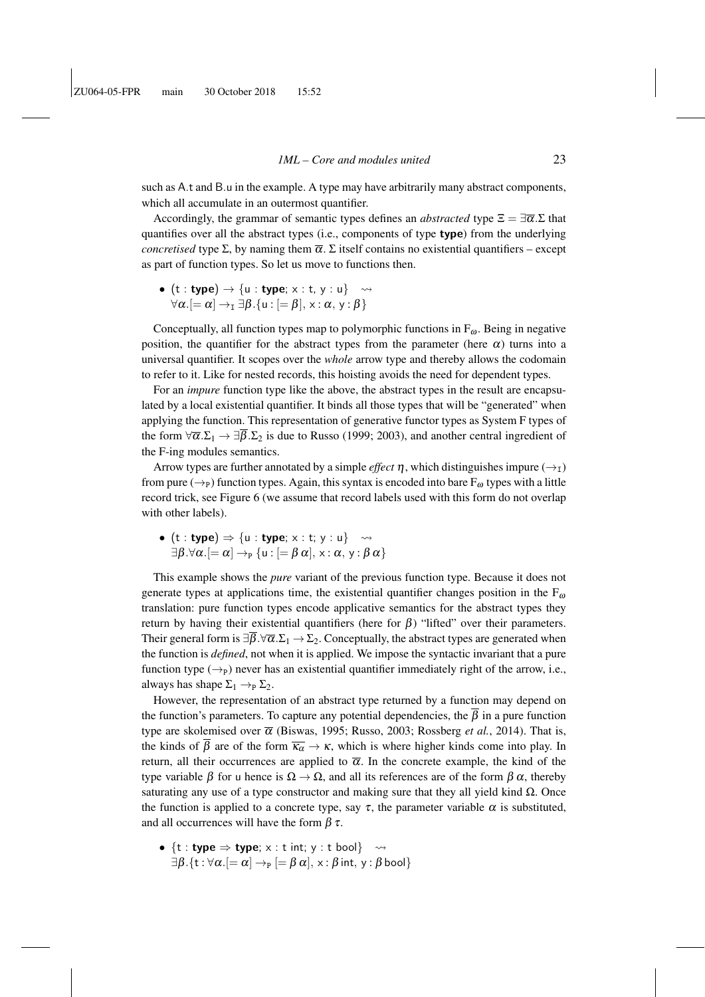such as A.t and B.u in the example. A type may have arbitrarily many abstract components, which all accumulate in an outermost quantifier.

Accordingly, the grammar of semantic types defines an *abstracted* type  $\Xi = \exists \overline{\alpha} . \Sigma$  that quantifies over all the abstract types (i.e., components of type type) from the underlying *concretised* type  $\Sigma$ , by naming them  $\overline{\alpha}$ .  $\Sigma$  itself contains no existential quantifiers – except as part of function types. So let us move to functions then.

$$
\begin{array}{l}\bullet \ (\mathsf{t}:\mathsf{type})\rightarrow \{\mathsf{u}:\mathsf{type};\, \mathsf{x}:\mathsf{t},\, \mathsf{y}:\mathsf{u}\} \quad \rightsquigarrow \\ \forall \alpha.[=\alpha]\rightarrow_\mathtt{I} \exists \beta.\{\mathsf{u}: [\mathsf{=\beta}],\, \mathsf{x}:\alpha,\, \mathsf{y}:\beta\} \end{array}
$$

Conceptually, all function types map to polymorphic functions in  $F_{\omega}$ . Being in negative position, the quantifier for the abstract types from the parameter (here  $\alpha$ ) turns into a universal quantifier. It scopes over the *whole* arrow type and thereby allows the codomain to refer to it. Like for nested records, this hoisting avoids the need for dependent types.

For an *impure* function type like the above, the abstract types in the result are encapsulated by a local existential quantifier. It binds all those types that will be "generated" when applying the function. This representation of generative functor types as System F types of the form  $\forall \overline{\alpha} \cdot \Sigma_1 \rightarrow \exists \overline{\beta} \cdot \Sigma_2$  is due to Russo (1999; 2003), and another central ingredient of the F-ing modules semantics.

Arrow types are further annotated by a simple *effect*  $\eta$ , which distinguishes impure ( $\rightarrow$ <sub>I</sub>) from pure ( $\rightarrow_P$ ) function types. Again, this syntax is encoded into bare  $F_{\omega}$  types with a little record trick, see Figure 6 (we assume that record labels used with this form do not overlap with other labels).

• (t : type)  $\Rightarrow$  {u : type; x : t; y : u}  $\rightsquigarrow$  $\exists \beta \cdot \forall \alpha . [=\alpha] \rightarrow_{\mathrm{P}} \{u : [=\beta \alpha], \times : \alpha, \gamma : \beta \alpha\}$ 

This example shows the *pure* variant of the previous function type. Because it does not generate types at applications time, the existential quantifier changes position in the  $F_{\omega}$ translation: pure function types encode applicative semantics for the abstract types they return by having their existential quantifiers (here for  $β$ ) "lifted" over their parameters. Their general form is  $\exists \beta \, . \forall \overline{\alpha} . \Sigma_1 \rightarrow \Sigma_2$ . Conceptually, the abstract types are generated when the function is *defined*, not when it is applied. We impose the syntactic invariant that a pure function type  $(\rightarrow_P)$  never has an existential quantifier immediately right of the arrow, i.e., always has shape  $\Sigma_1 \rightarrow_P \Sigma_2$ .

However, the representation of an abstract type returned by a function may depend on the function's parameters. To capture any potential dependencies, the  $\overline{\beta}$  in a pure function type are skolemised over  $\overline{\alpha}$  (Biswas, 1995; Russo, 2003; Rossberg *et al.*, 2014). That is, the kinds of  $\overline{\beta}$  are of the form  $\overline{\kappa_{\alpha}} \to \kappa$ , which is where higher kinds come into play. In return, all their occurrences are applied to  $\overline{\alpha}$ . In the concrete example, the kind of the type variable  $\beta$  for u hence is  $\Omega \to \Omega$ , and all its references are of the form  $\beta \alpha$ , thereby saturating any use of a type constructor and making sure that they all yield kind  $\Omega$ . Once the function is applied to a concrete type, say  $\tau$ , the parameter variable  $\alpha$  is substituted, and all occurrences will have the form  $\beta \tau$ .

• {t : type  $\Rightarrow$  type; x : t int; y : t bool}  $\rightsquigarrow$  $\exists \beta . \{t : \forall \alpha . \equiv \alpha \} \rightarrow_{\mathrm{P}} \; \equiv \beta \alpha \, \vert, \, \times : \beta \, \text{int}, \, \gamma : \beta \, \text{bool} \}$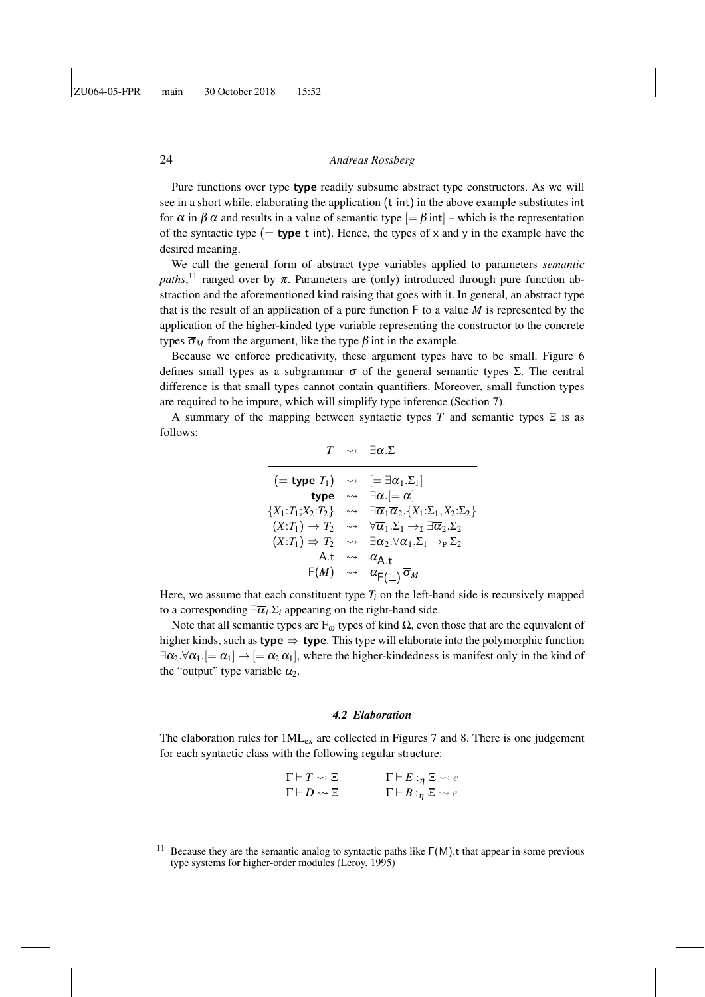Pure functions over type type readily subsume abstract type constructors. As we will see in a short while, elaborating the application (t int) in the above example substitutes int for  $\alpha$  in  $\beta \alpha$  and results in a value of semantic type  $[=\beta \text{int}]$  – which is the representation of the syntactic type (= type t int). Hence, the types of  $\times$  and  $\times$  in the example have the desired meaning.

We call the general form of abstract type variables applied to parameters *semantic paths*,<sup>11</sup> ranged over by  $\pi$ . Parameters are (only) introduced through pure function abstraction and the aforementioned kind raising that goes with it. In general, an abstract type that is the result of an application of a pure function F to a value *M* is represented by the application of the higher-kinded type variable representing the constructor to the concrete types  $\overline{\sigma}_M$  from the argument, like the type  $\beta$  int in the example.

Because we enforce predicativity, these argument types have to be small. Figure 6 defines small types as a subgrammar  $\sigma$  of the general semantic types  $\Sigma$ . The central difference is that small types cannot contain quantifiers. Moreover, small function types are required to be impure, which will simplify type inference (Section 7).

A summary of the mapping between syntactic types *T* and semantic types  $\Xi$  is as follows:

T<del> Σ</del> Γ

$$
f \rightsquigarrow \exists \alpha. \angle
$$
\n
$$
(\text{= type } T_1) \rightsquigarrow [\equiv \exists \overline{\alpha}_1. \Sigma_1]
$$
\n
$$
\text{type } \rightsquigarrow \exists \alpha. [\equiv \alpha]
$$
\n
$$
\{X_1: T_1: X_2: T_2\} \rightsquigarrow \exists \overline{\alpha}_1 \overline{\alpha}_2. \{X_1: \Sigma_1, X_2: \Sigma_2\}
$$
\n
$$
(X: T_1) \rightarrow T_2 \rightsquigarrow \forall \overline{\alpha}_1. \Sigma_1 \rightarrow_1 \exists \overline{\alpha}_2. \Sigma_2
$$
\n
$$
(X: T_1) \Rightarrow T_2 \rightsquigarrow \exists \overline{\alpha}_2. \forall \overline{\alpha}_1. \Sigma_1 \rightarrow_P \Sigma_2
$$
\n
$$
\text{A.t } \rightsquigarrow \alpha_{\mathsf{A.t}} \qquad \text{F}(M) \rightsquigarrow \alpha_{\mathsf{F}(\mathsf{-})} \overline{\sigma}_M
$$

Here, we assume that each constituent type  $T_i$  on the left-hand side is recursively mapped to a corresponding  $\exists \overline{\alpha}_i \cdot \Sigma_i$  appearing on the right-hand side.

Note that all semantic types are  $F_\omega$  types of kind Ω, even those that are the equivalent of higher kinds, such as **type**  $\Rightarrow$  **type**. This type will elaborate into the polymorphic function  $\exists \alpha_2 \forall \alpha_1. [\alpha_1 \rightarrow \alpha_2 \alpha_1],$  where the higher-kindedness is manifest only in the kind of the "output" type variable  $\alpha_2$ .

#### *4.2 Elaboration*

The elaboration rules for  $1ML_{ex}$  are collected in Figures 7 and 8. There is one judgement for each syntactic class with the following regular structure:

$$
\Gamma \vdash T \leadsto \Xi \qquad \qquad \Gamma \vdash E :_{\eta} \Xi \leadsto e
$$

$$
\Gamma \vdash D \leadsto \Xi \qquad \qquad \Gamma \vdash B :_{\eta} \Xi \leadsto e
$$

<sup>&</sup>lt;sup>11</sup> Because they are the semantic analog to syntactic paths like  $F(M)$ . that appear in some previous type systems for higher-order modules (Leroy, 1995)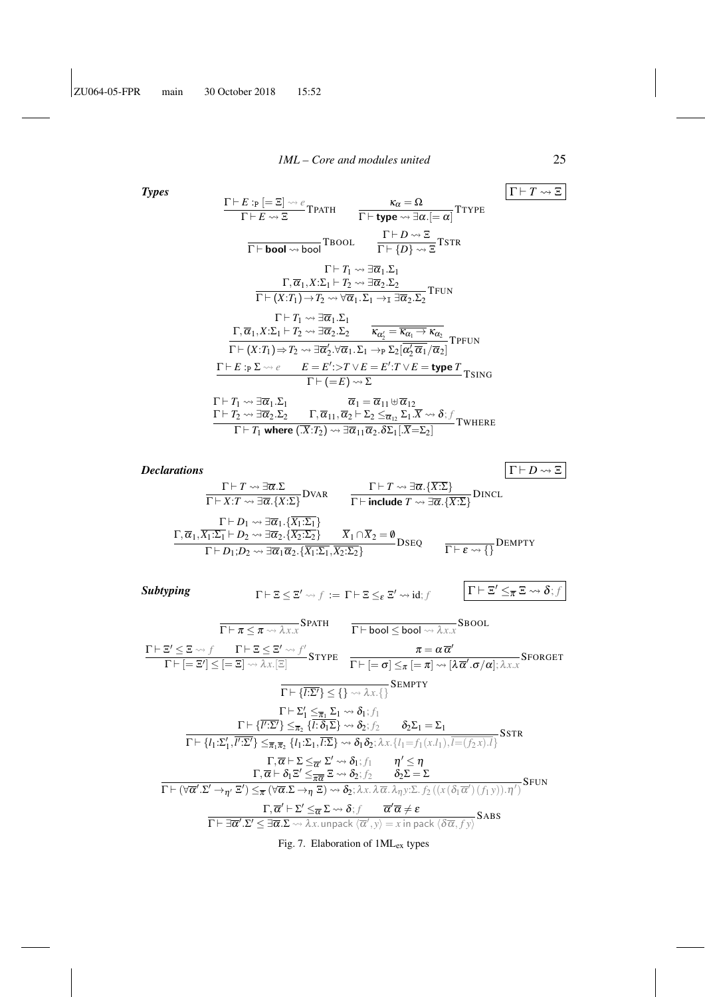**Types**  
\n
$$
\frac{\Gamma \vdash E :_{\mathbf{P}} \left[=\Xi\right] \rightsquigarrow e}{\Gamma \vdash E \rightsquigarrow \Xi} \text{TPATH}
$$
\n
$$
\frac{\kappa_{\alpha} = \Omega}{\Gamma \vdash \text{type} \rightsquigarrow \exists \alpha . [=\alpha]} \text{Trype}
$$
\n
$$
\frac{\Gamma \vdash D \rightsquigarrow \Xi}{\Gamma \vdash \text{bool} \rightsquigarrow \text{bool}} \text{TSOL}
$$
\n
$$
\frac{\Gamma \vdash D \rightsquigarrow \Xi}{\Gamma \vdash \{D\} \rightsquigarrow \Xi} \text{TSTR}
$$
\n
$$
\frac{\Gamma \vdash T_1 \rightsquigarrow \exists \overline{\alpha}_1.\Sigma_1}{\Gamma \vdash (X:T_1) \rightarrow T_2 \rightsquigarrow \forall \overline{\alpha}_1.\Sigma_1 \rightarrow T_1 \exists \overline{\alpha}_2.\Sigma_2} \text{TFUN}
$$
\n
$$
\frac{\Gamma \vdash T_1 \rightsquigarrow \exists \overline{\alpha}_1.\Sigma_1}{\Gamma \vdash (X:T_1) \rightarrow T_2 \rightsquigarrow \forall \overline{\alpha}_1.\Sigma_1 \rightarrow T_1 \exists \overline{\alpha}_2.\Sigma_2} \text{TFUN}
$$
\n
$$
\frac{\Gamma \vdash T_1 \rightsquigarrow \exists \overline{\alpha}_1.\Sigma_1}{\Gamma \vdash (X:T_1) \Rightarrow T_2 \rightsquigarrow \exists \overline{\alpha}_2'.\forall \overline{\alpha}_1.\Sigma_1 \rightarrow P \Sigma_2 [\overline{\alpha}_2' \overline{\alpha}_1/\overline{\alpha}_2]} \text{TPFUN}
$$
\n
$$
\frac{\Gamma \vdash E :_{\mathbf{P}} \Sigma \rightsquigarrow e \qquad E = E':\sum T \vee E = E':T \vee E = \text{type } T}{\Gamma \vdash (E) \rightsquigarrow \Sigma} \text{TSING}
$$
\n
$$
\frac{\Gamma \vdash T_1 \rightsquigarrow \exists \overline{\alpha}_1.\Sigma_1}{\Gamma \vdash T_1 \text{ where } (\overline{X}:T_2) \rightsquigarrow \exists \overline{\alpha}_1 \equiv \overline{\alpha}_{11} \text{ by } \overline{\alpha}_2.\Sigma_1} \text{TwHERE}
$$

*Declarations*  $\boxed{\Gamma \vdash D \leadsto \Xi}$ 

$$
\frac{\Gamma \vdash T \leadsto \exists \overline{\alpha}.\Sigma}{\Gamma \vdash X:T \leadsto \exists \overline{\alpha}.\{X:\Sigma\}}\text{DVAR} \qquad \frac{\Gamma \vdash T \leadsto \exists \overline{\alpha}.\{\overline{X:\Sigma}\}}{\Gamma \vdash \text{include } T \leadsto \exists \overline{\alpha}.\{\overline{X:\Sigma}\}}\text{DINCL}
$$
\n
$$
\frac{\Gamma \vdash D_1 \leadsto \exists \overline{\alpha}_1.\{\overline{X:\Sigma_1}\}}{\Gamma \vdash D_1 \leadsto \exists \overline{\alpha}_2.\{\overline{X_2:\Sigma_2}\}} \qquad \overline{X_1 \cap \overline{X_2} = \emptyset} \text{DSEQ} \qquad \frac{\Gamma \vdash E \leadsto \{\}}{\Gamma \vdash E \leadsto \{\}}\text{DEMPTY}
$$

**Subtyping**  $\Gamma \vdash$ 

$$
\Gamma \vdash \Xi \leq \Xi' \leadsto f := \Gamma \vdash \Xi \leq_{\varepsilon} \Xi' \leadsto \mathrm{id}; f \qquad \qquad \boxed{\Gamma \vdash \Xi' \leq_{\overline{\pi}} \Xi \leadsto \delta; j}
$$

$$
\frac{\Gamma \vdash \Xi' \leq \Xi \leadsto f \qquad \Gamma \vdash \Xi \leq \Xi' \leadsto f \qquad \Gamma \vdash \Xi \leq \Xi' \leadsto f'}{\Gamma \vdash [\Xi \Xi'] \leq [\Xi \Xi] \leadsto \lambda x. [\Xi]} \text{STYPE} \qquad \frac{\pi = \alpha \overline{\alpha}'}{\Gamma \vdash [\Xi \sigma] \leq \pi [\Xi \pi] \leadsto [\lambda \overline{\alpha}', \sigma/\alpha]; \lambda x.x} \text{SPORGET}
$$
\n
$$
\frac{\Gamma \vdash \Xi' \leq \Xi' \leadsto f \quad \Gamma \vdash [\Xi \overline{\Sigma'}] \leq \{\} \leadsto \lambda x. \{\}}{\Gamma \vdash \{\overline{I} : \Sigma'\} \leq \{\} \leadsto \lambda x. \{\}} \text{SEMPTY}
$$
\n
$$
\frac{\Gamma \vdash \Sigma_1' \leq \overline{\pi}_1 \Sigma_1 \leadsto \delta_1; f_1}{\Gamma \vdash \{\overline{I} : \Sigma'\} \leq \overline{\pi}_2 \{\overline{I} : \delta_1 \Sigma\} \leadsto \delta_2; f_2 \qquad \delta_2 \Sigma_1 = \Sigma_1}{\Gamma \vdash \{\overline{I} : \Sigma_1', \overline{I' : \Sigma'}\} \leq \overline{\pi}_1 \overline{\pi}_2 \{I_1 : \Sigma_1, \overline{I : \Sigma}\} \leadsto \delta_1 \delta_2; \lambda x. \{I_1 = f_1(x.I_1), \overline{I = (f_2 x). I}\}} \text{SSTR}
$$
\n
$$
\frac{\Gamma, \overline{\alpha} \vdash \Sigma \leq \overline{\alpha} \Sigma' \leadsto \delta_1; f_1 \qquad \eta' \leq \eta}{\Gamma, \overline{\alpha} \vdash \delta_1 \Xi' \leq \overline{\pi \alpha} \Xi \leadsto \delta_2; f_2 \qquad \delta_2 \Sigma = \Sigma}
$$
\n
$$
\frac{\Gamma \vdash (\forall \overline{\alpha}' . \Sigma' \rightarrow \eta' \Xi') \leq \pi (\forall \overline{\alpha} . \Sigma \rightarrow \eta \Xi) \leadsto \delta_2; \lambda x. \lambda \overline{\alpha} . \lambda_{\eta y : \Sigma. f_2((x(\delta_1 \overline{\alpha}') (f_1 y)). \eta')} \text{SFW}
$$
\n
$$
\frac{\Gamma \vdash \overline{\exists \alpha' . \Sigma' \
$$

Fig. 7. Elaboration of 1MLex types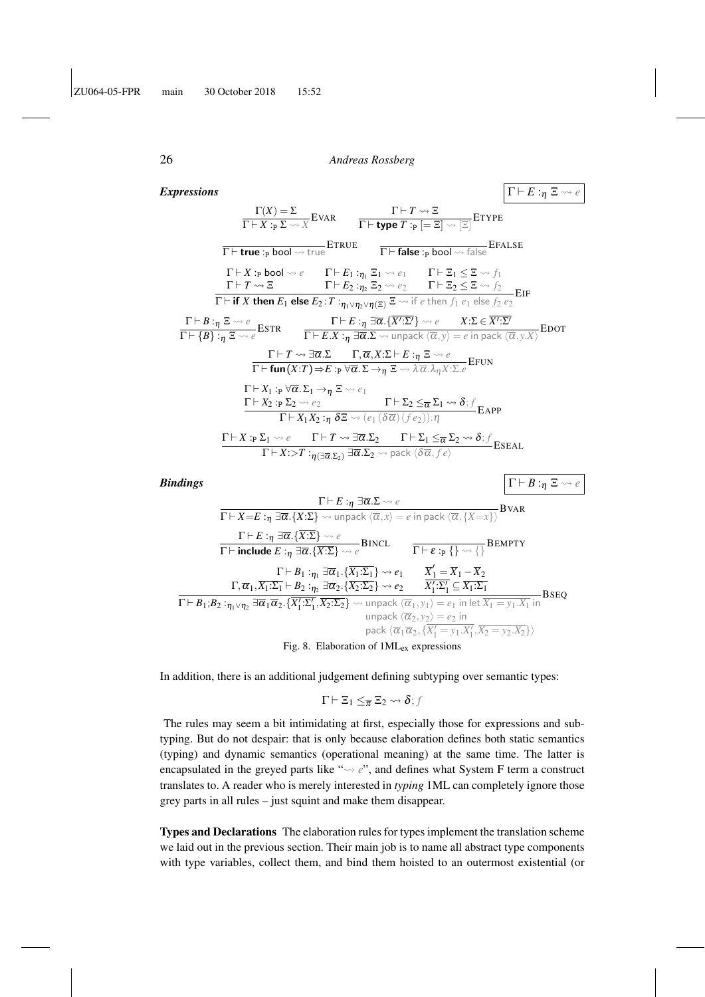*Expressions*  $\boxed{\Gamma \vdash E :_{n} \Xi \leadsto e}$  $\Gamma(X) = \Sigma$  $\frac{\Gamma(X) = \Sigma}{\Gamma \vdash X :_{\mathbf{P}} \Sigma \leadsto X}$ EVAR  $\frac{\Gamma \vdash T \leadsto \Xi}{\Gamma \vdash \textbf{type } T :_{\mathbf{P}} \models \Xi}$  $\frac{1}{\Gamma \vdash \textsf{type } T :_{\mathsf{P}} [ = \Xi ] \leadsto [\Xi]}$ ETYPE  $\overline{\Gamma \vdash \textsf{true}:_{\textsf{P}} \textsf{bool} \leadsto \textsf{true}}$   $\textsf{ETRUE}$  $\Gamma \vdash$  false : p bool  $\leadsto$  false EFALSE  $\Gamma \vdash X :_{\mathsf{P}} \mathsf{bool} \leadsto e \qquad \Gamma \vdash E_1 :_{\eta_1} \Xi_1 \leadsto e_1 \qquad \Gamma \vdash \Xi_1 \leq \Xi \leadsto f_1$  $\Gamma \vdash T \leadsto \Xi$   $\Gamma \vdash E_2 : \overline{\eta_2} \Xi_2 \leadsto e_2$   $\Gamma \vdash \Xi_2 \leq \Xi \leadsto f_2$  $\frac{1}{\Gamma}$  if *X* then *E*<sub>1</sub> else *E*<sub>2</sub> : *T* : $\eta_1 \vee \eta_2 \vee \eta(\overline{z})$   $\stackrel{\text{Z}}{\sim}$  if *e* then *f*<sub>1</sub> *e*<sub>1</sub> else *f*<sub>2</sub> *e*<sub>2</sub>  $\Gamma \vdash B :_{η} \Xi \leadsto e$  $\frac{\Gamma \vdash B : \eta \Xi \leadsto e}{\Gamma \vdash \{B\} : \eta \Xi \leadsto e}$ ESTR  $\frac{\Gamma \vdash E : \eta \exists \overline{\alpha}.{\{\overline{X'} : \Sigma'\}} \leadsto e \qquad X : \Sigma \in \overline{X' : \Sigma'}$} {\Gamma \vdash \{B\} : \eta \Xi \leadsto e}$   $\frac{\Gamma \vdash E.X : \eta \exists \overline{\alpha}.\Sigma \leadsto e \text{ unpack } \langle \overline{\alpha}, y \rangle = e \text{ in pack } \langle \overline{\alpha}, y \rangle \equiv e \text{ in pack } \langle \overline{\alpha}, y \rangle \equiv e \text{ in pack } \langle \overline$  $\overline{\Gamma \vdash E.X : \eta \exists \overline{\alpha}. \Sigma \leadsto \text{unpack } \langle \overline{\alpha}, y \rangle = e \text{ in pack } \langle \overline{\alpha}, y.X \rangle}$ EDOT  $\Gamma \vdash T \leadsto \exists \overline{\alpha}. \Sigma$   $\Gamma, \overline{\alpha}, X : \Sigma \vdash E :_{\eta} \Xi \leadsto e$  $\Gamma \vdash \text{fun}(X:T) \Rightarrow E :_{P} \forall \overline{\alpha}.\Sigma \rightarrow_{\eta} \Xi \leadsto \lambda \overline{\alpha}.\lambda_{\eta}X:\Sigma.e \text{EFun}$  $Γ ⊢ X_1 : P √\overline{\alpha}.\Sigma_1 → η \Xi → e_1$  $\Gamma \vdash X_2 :_{\mathsf{P}} \Sigma_2 \leadsto e_2$   $\Gamma \vdash \Sigma_2 \leq_{\overline{\alpha}} \Sigma_1 \leadsto \delta$ ; *f*  $\frac{Z-2}{\Gamma \vdash X_1 X_2 : \eta \delta \Xi \leadsto (e_1(\delta \overline{\alpha})(f e_2)).\eta}$  EAPP  $\Gamma \vdash X :_{\mathsf{P}} \Sigma_1 \leadsto e \qquad \Gamma \vdash T \leadsto \exists \overline{\alpha} . \Sigma_2 \qquad \Gamma \vdash \Sigma_1 \leq_{\overline{\alpha}} \Sigma_2 \leadsto \delta;$  $\frac{1}{\Gamma \vdash X: >T :_{\eta(\exists \overline{\alpha}.\Sigma_2)} \exists \overline{\alpha}.\Sigma_2 \leadsto \text{pack} \langle \delta \overline{\alpha}, f e \rangle}$ ESEAL *Bindings*  $\Gamma \vdash B :_{\eta} \Xi \leadsto e$  $Γ ⊢ E :η ∃\overline{\alpha}.Σ → e$  $\overline{\Gamma \vdash X = E :_{\eta} \exists \overline{\alpha}. \{X : \Sigma\} \leadsto \text{unpack } \langle \overline{\alpha}, x \rangle = e \text{ in pack } \langle \overline{\alpha}, \{X = x\} \rangle}$ BVAR  $\frac{\Gamma \vdash E :_{\eta} \exists \overline{\alpha}. {\{\overline{X: \Sigma}\} \leadsto e}$ <br>BINCL

$$
\frac{\Gamma \vdash \text{include } E : \eta \exists \overline{\alpha}_1 \{ \overline{x} : \Sigma \} \rightsquigarrow e} \text{BINCL} \qquad \overline{\Gamma \vdash \varepsilon : P \{ \} \rightsquigarrow \{ \} } \text{BEMPTY}
$$
\n
$$
\frac{\Gamma \vdash B_1 : \eta_1 \exists \overline{\alpha}_1 \{ \overline{X}_1 : \Sigma_1 \} \rightsquigarrow e_1}{\Gamma \vdash \overline{\alpha}_1, \overline{X}_1 : \Sigma_1 \vdash B_2 : \eta_2 \exists \overline{\alpha}_2 \{ \overline{X}_2 : \Sigma_2 \} \rightsquigarrow e_2} \qquad \frac{\overline{X}'_1 = \overline{X}_1 - \overline{X}_2}{X'_1 : \Sigma'_1 \subseteq \overline{X}_1 : \Sigma_1}
$$
\n
$$
\frac{\Gamma \vdash B_1; B_2 : \eta_1 \vee \eta_2 \exists \overline{\alpha}_1 \overline{\alpha}_2 \{ \overline{X}'_1 : \Sigma'_1, \overline{X}_2 : \Sigma_2 \} \rightsquigarrow \text{unpack } \langle \overline{\alpha}_1, y_1 \rangle = e_1 \text{ in let } \overline{X}_1 = y_1 \cdot \overline{X}_1 \text{ in } B \text{ } \text{BSeq}
$$
\n
$$
\text{unpack } \langle \overline{\alpha}_2, y_2 \rangle = e_2 \text{ in } B \text{ } \text{mapack } \langle \overline{\alpha}_1, \overline{\alpha}_2, \{ \overline{X}'_1 = y_1 \cdot \overline{X}'_1, \overline{X}_2 = y_2 \cdot \overline{X}_2 \} \rangle
$$
\n
$$
\text{Eig. 8. Elaboration of 1MI, expressions.}
$$

Fig. 8. Elaboration of 1ML<sub>ex</sub> expressions

In addition, there is an additional judgement defining subtyping over semantic types:

$$
\Gamma \vdash \Xi_1 \leq_{\overline{\pi}} \Xi_2 \leadsto \delta; \text{ } f
$$

The rules may seem a bit intimidating at first, especially those for expressions and subtyping. But do not despair: that is only because elaboration defines both static semantics (typing) and dynamic semantics (operational meaning) at the same time. The latter is encapsulated in the greyed parts like " $\rightsquigarrow e$ ", and defines what System F term a construct translates to. A reader who is merely interested in *typing* 1ML can completely ignore those grey parts in all rules – just squint and make them disappear.

Types and Declarations The elaboration rules for types implement the translation scheme we laid out in the previous section. Their main job is to name all abstract type components with type variables, collect them, and bind them hoisted to an outermost existential (or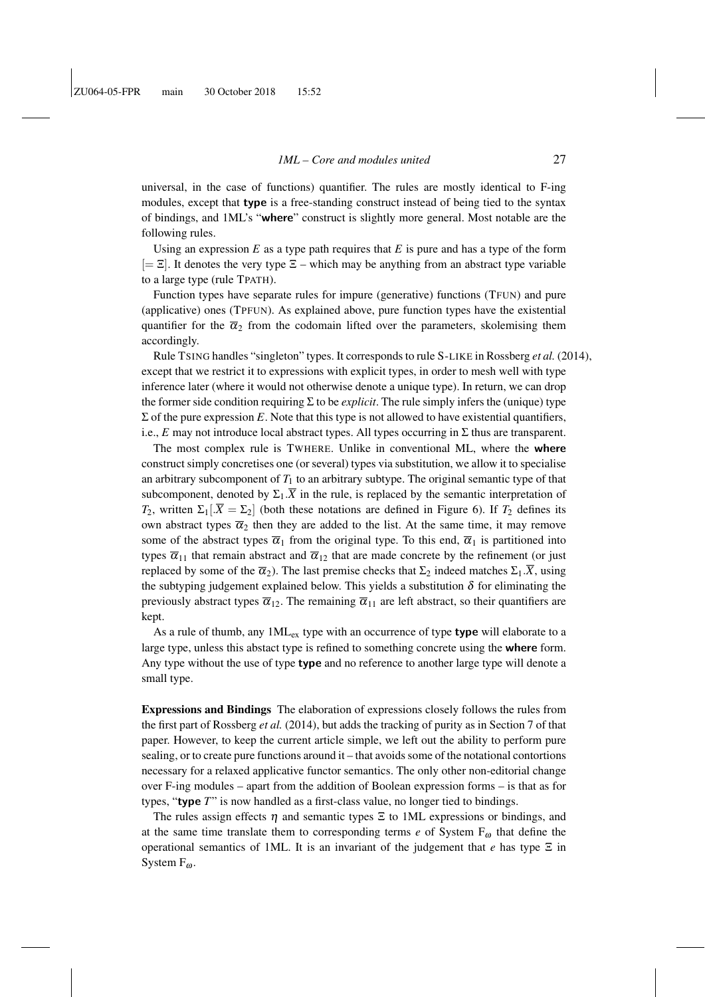universal, in the case of functions) quantifier. The rules are mostly identical to F-ing modules, except that type is a free-standing construct instead of being tied to the syntax of bindings, and 1ML's "where" construct is slightly more general. Most notable are the following rules.

Using an expression *E* as a type path requires that *E* is pure and has a type of the form  $[= \Xi]$ . It denotes the very type  $\Xi$  – which may be anything from an abstract type variable to a large type (rule TPATH).

Function types have separate rules for impure (generative) functions (TFUN) and pure (applicative) ones (TPFUN). As explained above, pure function types have the existential quantifier for the  $\overline{\alpha}_2$  from the codomain lifted over the parameters, skolemising them accordingly.

Rule TSING handles "singleton" types. It corresponds to rule S-LIKE in Rossberg *et al.* (2014), except that we restrict it to expressions with explicit types, in order to mesh well with type inference later (where it would not otherwise denote a unique type). In return, we can drop the former side condition requiring Σ to be *explicit*. The rule simply infers the (unique) type  $\Sigma$  of the pure expression *E*. Note that this type is not allowed to have existential quantifiers, i.e., *E* may not introduce local abstract types. All types occurring in Σ thus are transparent.

The most complex rule is TWHERE. Unlike in conventional ML, where the where construct simply concretises one (or several) types via substitution, we allow it to specialise an arbitrary subcomponent of *T*<sup>1</sup> to an arbitrary subtype. The original semantic type of that subcomponent, denoted by  $\Sigma_1 \overline{X}$  in the rule, is replaced by the semantic interpretation of *T*<sub>2</sub>, written  $\Sigma_1[\overline{X} = \Sigma_2]$  (both these notations are defined in Figure 6). If *T*<sub>2</sub> defines its own abstract types  $\overline{\alpha}_2$  then they are added to the list. At the same time, it may remove some of the abstract types  $\overline{\alpha}_1$  from the original type. To this end,  $\overline{\alpha}_1$  is partitioned into types  $\overline{\alpha}_{11}$  that remain abstract and  $\overline{\alpha}_{12}$  that are made concrete by the refinement (or just replaced by some of the  $\overline{\alpha}_2$ ). The last premise checks that  $\Sigma_2$  indeed matches  $\Sigma_1 \overline{X}$ , using the subtyping judgement explained below. This yields a substitution  $\delta$  for eliminating the previously abstract types  $\overline{\alpha}_{12}$ . The remaining  $\overline{\alpha}_{11}$  are left abstract, so their quantifiers are kept.

As a rule of thumb, any  $1ML_{ex}$  type with an occurrence of type **type** will elaborate to a large type, unless this abstact type is refined to something concrete using the where form. Any type without the use of type type and no reference to another large type will denote a small type.

Expressions and Bindings The elaboration of expressions closely follows the rules from the first part of Rossberg *et al.* (2014), but adds the tracking of purity as in Section 7 of that paper. However, to keep the current article simple, we left out the ability to perform pure sealing, or to create pure functions around it – that avoids some of the notational contortions necessary for a relaxed applicative functor semantics. The only other non-editorial change over F-ing modules – apart from the addition of Boolean expression forms – is that as for types, "type *T*" is now handled as a first-class value, no longer tied to bindings.

The rules assign effects  $\eta$  and semantic types  $\Xi$  to 1ML expressions or bindings, and at the same time translate them to corresponding terms  $e$  of System  $F_{\omega}$  that define the operational semantics of 1ML. It is an invariant of the judgement that *e* has type Ξ in System  $F_{\omega}$ .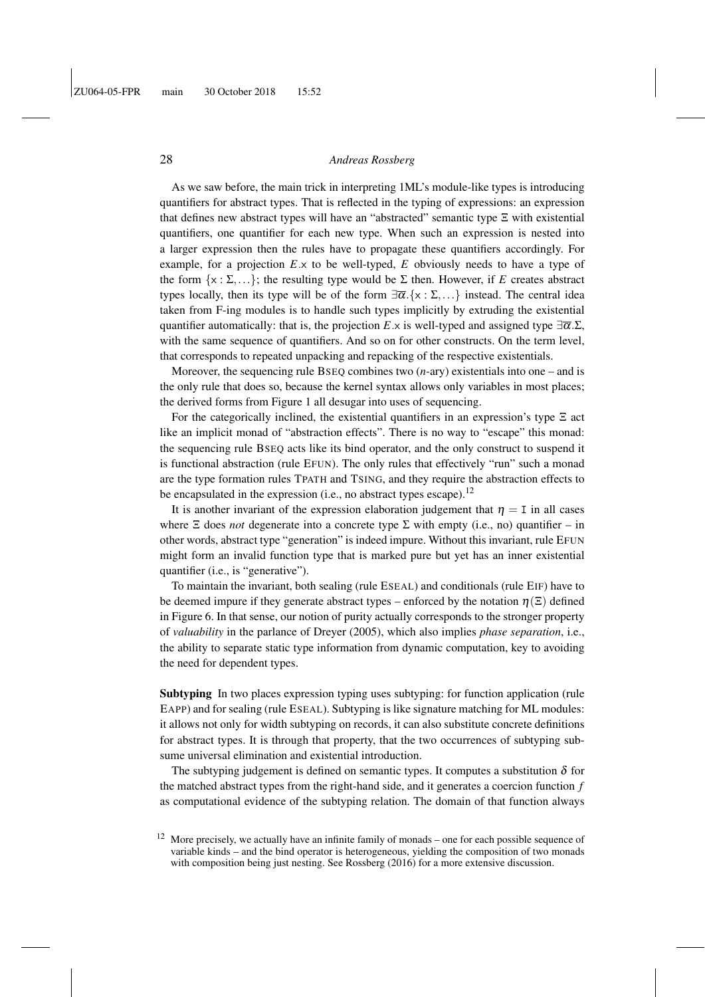As we saw before, the main trick in interpreting 1ML's module-like types is introducing quantifiers for abstract types. That is reflected in the typing of expressions: an expression that defines new abstract types will have an "abstracted" semantic type Ξ with existential quantifiers, one quantifier for each new type. When such an expression is nested into a larger expression then the rules have to propagate these quantifiers accordingly. For example, for a projection *E*.x to be well-typed, *E* obviously needs to have a type of the form  $\{x : \Sigma,...\}$ ; the resulting type would be  $\Sigma$  then. However, if E creates abstract types locally, then its type will be of the form  $\exists \overline{\alpha}.\{x : \Sigma,...\}$  instead. The central idea taken from F-ing modules is to handle such types implicitly by extruding the existential quantifier automatically: that is, the projection  $E \times$  is well-typed and assigned type  $\exists \overline{\alpha} \cdot \Sigma$ , with the same sequence of quantifiers. And so on for other constructs. On the term level, that corresponds to repeated unpacking and repacking of the respective existentials.

Moreover, the sequencing rule BSEQ combines two (*n*-ary) existentials into one – and is the only rule that does so, because the kernel syntax allows only variables in most places; the derived forms from Figure 1 all desugar into uses of sequencing.

For the categorically inclined, the existential quantifiers in an expression's type Ξ act like an implicit monad of "abstraction effects". There is no way to "escape" this monad: the sequencing rule BSEQ acts like its bind operator, and the only construct to suspend it is functional abstraction (rule EFUN). The only rules that effectively "run" such a monad are the type formation rules TPATH and TSING, and they require the abstraction effects to be encapsulated in the expression (i.e., no abstract types escape).<sup>12</sup>

It is another invariant of the expression elaboration judgement that  $\eta = I$  in all cases where  $\Xi$  does *not* degenerate into a concrete type  $\Sigma$  with empty (i.e., no) quantifier – in other words, abstract type "generation" is indeed impure. Without this invariant, rule EFUN might form an invalid function type that is marked pure but yet has an inner existential quantifier (i.e., is "generative").

To maintain the invariant, both sealing (rule ESEAL) and conditionals (rule EIF) have to be deemed impure if they generate abstract types – enforced by the notation  $\eta(\Sigma)$  defined in Figure 6. In that sense, our notion of purity actually corresponds to the stronger property of *valuability* in the parlance of Dreyer (2005), which also implies *phase separation*, i.e., the ability to separate static type information from dynamic computation, key to avoiding the need for dependent types.

Subtyping In two places expression typing uses subtyping: for function application (rule EAPP) and for sealing (rule ESEAL). Subtyping is like signature matching for ML modules: it allows not only for width subtyping on records, it can also substitute concrete definitions for abstract types. It is through that property, that the two occurrences of subtyping subsume universal elimination and existential introduction.

The subtyping judgement is defined on semantic types. It computes a substitution  $\delta$  for the matched abstract types from the right-hand side, and it generates a coercion function *f* as computational evidence of the subtyping relation. The domain of that function always

<sup>&</sup>lt;sup>12</sup> More precisely, we actually have an infinite family of monads – one for each possible sequence of variable kinds – and the bind operator is heterogeneous, yielding the composition of two monads with composition being just nesting. See Rossberg (2016) for a more extensive discussion.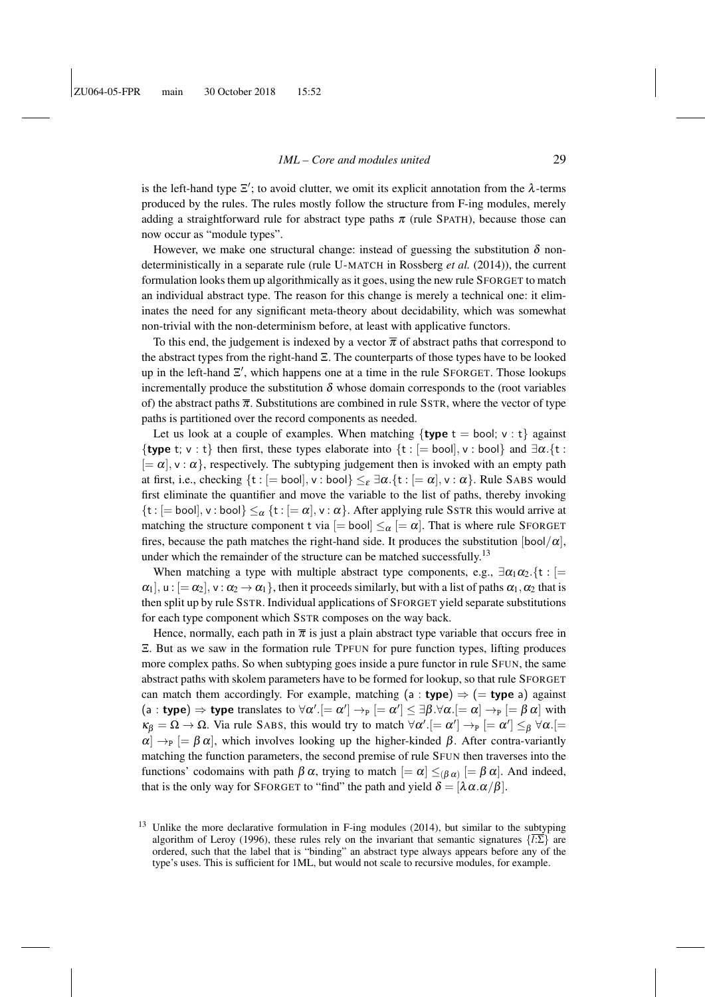is the left-hand type  $\Xi'$ ; to avoid clutter, we omit its explicit annotation from the  $\lambda$ -terms produced by the rules. The rules mostly follow the structure from F-ing modules, merely adding a straightforward rule for abstract type paths  $\pi$  (rule SPATH), because those can now occur as "module types".

However, we make one structural change: instead of guessing the substitution  $\delta$  nondeterministically in a separate rule (rule U-MATCH in Rossberg *et al.* (2014)), the current formulation looks them up algorithmically as it goes, using the new rule SFORGET to match an individual abstract type. The reason for this change is merely a technical one: it eliminates the need for any significant meta-theory about decidability, which was somewhat non-trivial with the non-determinism before, at least with applicative functors.

To this end, the judgement is indexed by a vector  $\bar{\pi}$  of abstract paths that correspond to the abstract types from the right-hand Ξ. The counterparts of those types have to be looked up in the left-hand  $\Sigma'$ , which happens one at a time in the rule SFORGET. Those lookups incrementally produce the substitution  $\delta$  whose domain corresponds to the (root variables of) the abstract paths  $\overline{\pi}$ . Substitutions are combined in rule SSTR, where the vector of type paths is partitioned over the record components as needed.

Let us look at a couple of examples. When matching  $\{type\ t = bool; v : t\}$  against {type t; v : t} then first, these types elaborate into  $\{t : [-b\text{ool}], v : \text{bool}\}\$  and  $\exists \alpha.\{t :$  $[=\alpha]$ ,  $\nu : \alpha$ , respectively. The subtyping judgement then is invoked with an empty path at first, i.e., checking  $\{t : [=\text{bool}], v : \text{bool}\} \leq_{\varepsilon} \exists \alpha.\{t : [\alpha, v : \alpha\}$ . Rule SABS would first eliminate the quantifier and move the variable to the list of paths, thereby invoking  $\{t : [-b\text{ool}], v : b\text{ool}\} \leq_{\alpha} \{t : [-\alpha], v : \alpha\}.$  After applying rule SSTR this would arrive at matching the structure component t via  $[= \text{bool}] \leq \alpha \ [=\alpha]$ . That is where rule SFORGET fires, because the path matches the right-hand side. It produces the substitution  $[bool/\alpha]$ , under which the remainder of the structure can be matched successfully.<sup>13</sup>

When matching a type with multiple abstract type components, e.g.,  $\exists \alpha_1 \alpha_2$ .{t : [=  $\alpha_1$ ,  $u : [-\alpha_2], v : \alpha_2 \to \alpha_1$ , then it proceeds similarly, but with a list of paths  $\alpha_1, \alpha_2$  that is then split up by rule SSTR. Individual applications of SFORGET yield separate substitutions for each type component which SSTR composes on the way back.

Hence, normally, each path in  $\bar{\pi}$  is just a plain abstract type variable that occurs free in Ξ. But as we saw in the formation rule TPFUN for pure function types, lifting produces more complex paths. So when subtyping goes inside a pure functor in rule SFUN, the same abstract paths with skolem parameters have to be formed for lookup, so that rule SFORGET can match them accordingly. For example, matching (a : type)  $\Rightarrow$  (= type a) against (a : type)  $\Rightarrow$  type translates to  $\forall \alpha'.[=\alpha'] \rightarrow_{\mathtt{P}} [\ =alpha'] \leq \exists \beta.\forall \alpha.[=\alpha] \rightarrow_{\mathtt{P}} [\ =beta \ \alpha]$  with  $\kappa_{\beta} = \Omega \to \Omega$ . Via rule SABS, this would try to match  $\forall \alpha'.[=\alpha'] \to_P [\alpha'] \leq_{\beta} \forall \alpha.[=\alpha']$  $\alpha$   $\rightarrow$   $\alpha$  =  $\beta \alpha$ , which involves looking up the higher-kinded  $\beta$ . After contra-variantly matching the function parameters, the second premise of rule SFUN then traverses into the functions' codomains with path  $\beta \alpha$ , trying to match  $[=\alpha]\leq_{(\beta\alpha)}[\ =\beta \alpha]$ . And indeed, that is the only way for SFORGET to "find" the path and yield  $\delta = [\lambda \alpha . \alpha / \beta]$ .

<sup>&</sup>lt;sup>13</sup> Unlike the more declarative formulation in F-ing modules (2014), but similar to the subtyping algorithm of Leroy (1996), these rules rely on the invariant that semantic signatures  $\{l:\Sigma\}$  are ordered, such that the label that is "binding" an abstract type always appears before any of the type's uses. This is sufficient for 1ML, but would not scale to recursive modules, for example.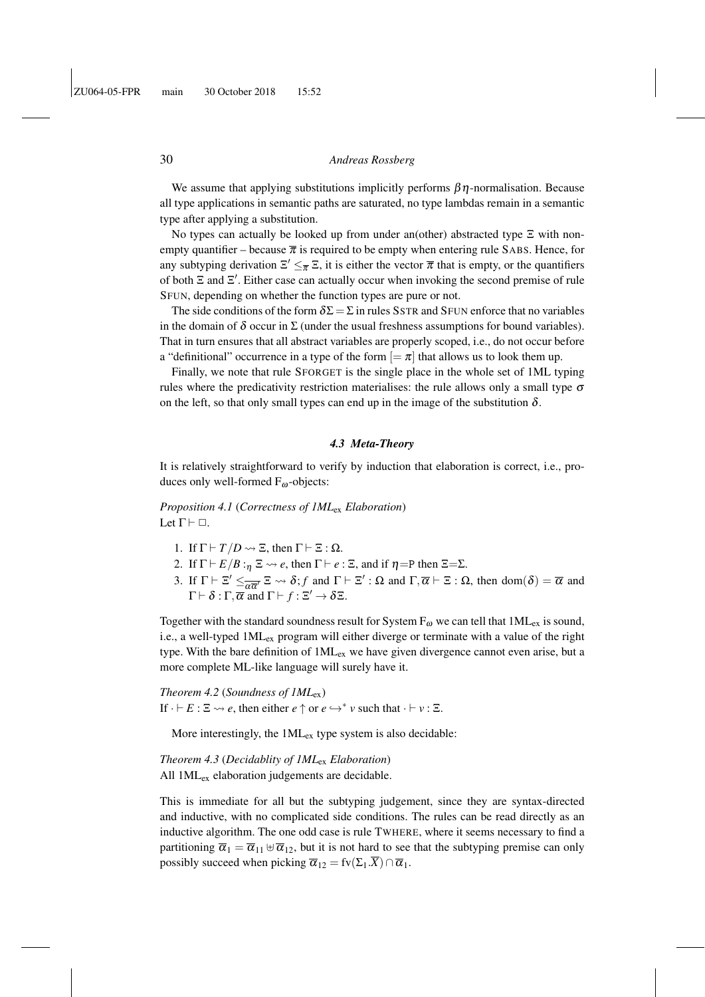We assume that applying substitutions implicitly performs  $\beta\eta$ -normalisation. Because all type applications in semantic paths are saturated, no type lambdas remain in a semantic type after applying a substitution.

No types can actually be looked up from under an(other) abstracted type  $\Sigma$  with nonempty quantifier – because  $\bar{\pi}$  is required to be empty when entering rule SABS. Hence, for any subtyping derivation  $\Xi' \leq_{\overline{\pi}} \Xi$ , it is either the vector  $\overline{\pi}$  that is empty, or the quantifiers of both Ξ and Ξ 0 . Either case can actually occur when invoking the second premise of rule SFUN, depending on whether the function types are pure or not.

The side conditions of the form  $\delta \Sigma = \Sigma$  in rules SSTR and SFUN enforce that no variables in the domain of  $\delta$  occur in  $\Sigma$  (under the usual freshness assumptions for bound variables). That in turn ensures that all abstract variables are properly scoped, i.e., do not occur before a "definitional" occurrence in a type of the form  $[=\pi]$  that allows us to look them up.

Finally, we note that rule SFORGET is the single place in the whole set of 1ML typing rules where the predicativity restriction materialises: the rule allows only a small type  $\sigma$ on the left, so that only small types can end up in the image of the substitution  $\delta$ .

#### *4.3 Meta-Theory*

It is relatively straightforward to verify by induction that elaboration is correct, i.e., produces only well-formed  $F_{\omega}$ -objects:

*Proposition 4.1* (*Correctness of 1ML*ex *Elaboration*) Let  $\Gamma \vdash \Box$ .

- 1. If  $\Gamma \vdash T/D \rightsquigarrow \Xi$ , then  $\Gamma \vdash \Xi : \Omega$ .
- 2. If  $\Gamma \vdash E/B :_{\eta} \Xi \leadsto e$ , then  $\Gamma \vdash e : \Xi$ , and if  $\eta = P$  then  $\Xi = \Sigma$ .
- 3. If  $\Gamma \vdash \Xi' \leq \frac{1}{\alpha \overline{\alpha'}} \Xi \leadsto \delta$ ; *f* and  $\Gamma \vdash \Xi'$ :  $\Omega$  and  $\Gamma, \overline{\alpha} \vdash \Xi$ :  $\Omega$ , then dom $(\delta) = \overline{\alpha}$  and  $\Gamma \vdash \delta : \Gamma, \overline{\alpha} \text{ and } \Gamma \vdash f : \Xi' \to \delta \Xi.$

Together with the standard soundness result for System  $F_{\omega}$  we can tell that 1ML<sub>ex</sub> is sound, i.e., a well-typed  $1ML_{ex}$  program will either diverge or terminate with a value of the right type. With the bare definition of  $1ML_{ex}$  we have given divergence cannot even arise, but a more complete ML-like language will surely have it.

*Theorem 4.2* (*Soundness of 1ML*ex) If  $\cdot \vdash E : \Xi \leadsto e$ , then either  $e \uparrow$  or  $e \hookrightarrow^* v$  such that  $\cdot \vdash v : \Xi$ .

More interestingly, the 1MLex type system is also decidable:

*Theorem 4.3* (*Decidablity of 1ML*ex *Elaboration*) All 1MLex elaboration judgements are decidable.

This is immediate for all but the subtyping judgement, since they are syntax-directed and inductive, with no complicated side conditions. The rules can be read directly as an inductive algorithm. The one odd case is rule TWHERE, where it seems necessary to find a partitioning  $\overline{\alpha}_1 = \overline{\alpha}_{11} \oplus \overline{\alpha}_{12}$ , but it is not hard to see that the subtyping premise can only possibly succeed when picking  $\overline{\alpha}_{12} = \text{fv}(\Sigma_1 \cdot \overline{X}) \cap \overline{\alpha}_1$ .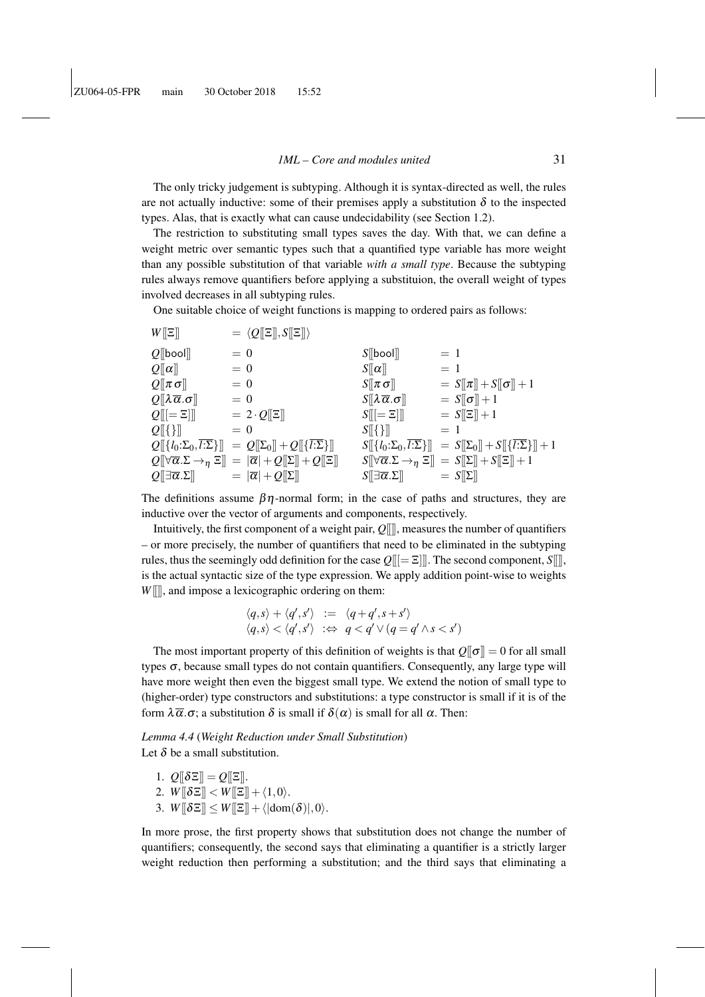The only tricky judgement is subtyping. Although it is syntax-directed as well, the rules are not actually inductive: some of their premises apply a substitution  $\delta$  to the inspected types. Alas, that is exactly what can cause undecidability (see Section 1.2).

The restriction to substituting small types saves the day. With that, we can define a weight metric over semantic types such that a quantified type variable has more weight than any possible substitution of that variable *with a small type*. Because the subtyping rules always remove quantifiers before applying a substituion, the overall weight of types involved decreases in all subtyping rules.

One suitable choice of weight functions is mapping to ordered pairs as follows:

| $W[\mathbb{E}]]$                           | $\mathcal{L} = \langle \mathcal{Q}[\hspace{-1.5pt}[ \Xi ] \hspace{-1.5pt}], S[\hspace{-1.5pt}[ \Xi ] \hspace{-1.5pt}] \rangle$ |                                            |       |                                                                                                  |
|--------------------------------------------|--------------------------------------------------------------------------------------------------------------------------------|--------------------------------------------|-------|--------------------------------------------------------------------------------------------------|
| $Q[\text{bool}]$                           | $= 0$                                                                                                                          | $S[\text{bool}]$                           | $=$ 1 |                                                                                                  |
| $Q[\![\alpha]\!]$                          | $= 0$                                                                                                                          | $S[[\alpha]]$                              | $=$ 1 |                                                                                                  |
| $Q[\![\pi\sigma]\!]$                       | $= 0$                                                                                                                          | $S[\![\pi\,\sigma]\!]$                     |       | $= S[\![\pi]\!]+S[\![\sigma]\!]+1$                                                               |
| $Q[\![\lambda\overline{\alpha}.\sigma]\!]$ | $= 0$                                                                                                                          | $S[\![\lambda\overline{\alpha}.\sigma]\!]$ |       | $= S[\![\sigma]\!] + 1$                                                                          |
| $Q[[=\Xi]]$                                | $= 2 \cdot Q \times \mathbb{E}$                                                                                                | $S[[=\Xi]]$                                |       | $= S[[\Xi]] + 1$                                                                                 |
| $Q[[\{\}]$                                 | $= 0$                                                                                                                          | $S[[\{\}]$                                 | $=$ 1 |                                                                                                  |
|                                            | $Q[[\{l_0:\Sigma_0,\overline{l:\Sigma}\}] = Q[[\Sigma_0]] + Q[[\overline{l:\Sigma}\}]$                                         |                                            |       | $S[\{\{l_0:\Sigma_0,\overline{l:\Sigma}\}\}] = S[\Sigma_0] + S[\{\{l:\Sigma\}\}] + 1$            |
|                                            | $Q[\nabla \overline{\alpha} \cdot \Sigma \rightarrow_n \Sigma] =  \overline{\alpha}  + Q[\Sigma] + Q[\Sigma]$                  |                                            |       | $S[\[\forall \overline{\alpha} . \Sigma \rightarrow_{\eta} \Xi]] = S[\[\Sigma]] + S[\[\Xi]] + 1$ |
| $Q[\exists \overline{\alpha} . \Sigma]$    | $=  \overline{\alpha}  + Q[\hspace{-0.04cm}[ \Sigma] \hspace{-0.04cm}]$                                                        | $S[\exists \overline{\alpha} . \Sigma]$    |       | $= S[\Sigma]$                                                                                    |

The definitions assume  $\beta \eta$ -normal form; in the case of paths and structures, they are inductive over the vector of arguments and components, respectively.

Intuitively, the first component of a weight pair, *Q*[[]], measures the number of quantifiers – or more precisely, the number of quantifiers that need to be eliminated in the subtyping rules, thus the seemingly odd definition for the case *Q*[[[= Ξ]]]. The second component, *S*[[]], is the actual syntactic size of the type expression. We apply addition point-wise to weights *W*<sup>[[]</sup>], and impose a lexicographic ordering on them:

$$
\begin{array}{rcl}\n\langle q, s \rangle + \langle q', s' \rangle & := & \langle q + q', s + s' \rangle \\
\langle q, s \rangle < \langle q', s' \rangle & \Leftrightarrow & q < q' \lor (q = q' \land s < s')\n\end{array}
$$

The most important property of this definition of weights is that  $Q[\sigma] = 0$  for all small types  $\sigma$ , because small types do not contain quantifiers. Consequently, any large type will have more weight then even the biggest small type. We extend the notion of small type to (higher-order) type constructors and substitutions: a type constructor is small if it is of the form  $\lambda \overline{\alpha}.\sigma$ ; a substitution  $\delta$  is small if  $\delta(\alpha)$  is small for all  $\alpha$ . Then:

*Lemma 4.4* (*Weight Reduction under Small Substitution*) Let  $\delta$  be a small substitution.

- 1.  $Q[\delta \Xi] = Q[\Xi].$
- 2.  $W[\delta \Xi] < W[\Xi] + \langle 1, 0 \rangle$ .
- 3.  $W[\delta \Xi] \leq W[\Xi] + \langle |dom(\delta)|,0\rangle.$

In more prose, the first property shows that substitution does not change the number of quantifiers; consequently, the second says that eliminating a quantifier is a strictly larger weight reduction then performing a substitution; and the third says that eliminating a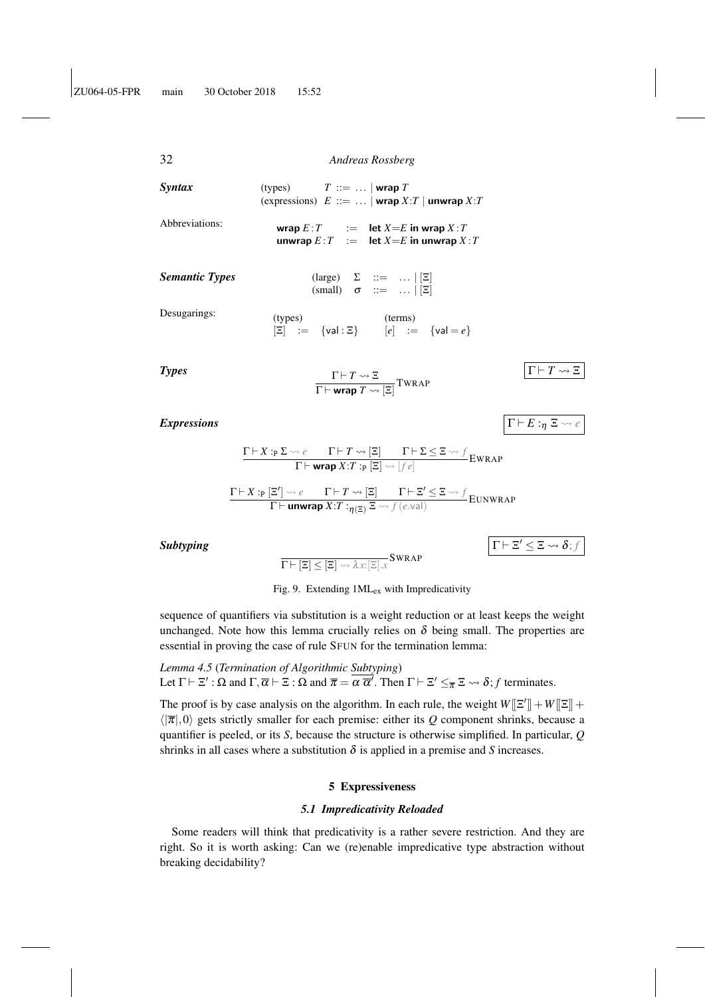*Syntax* (types)  $T ::= ... |$  wrap  $T$ (expressions)  $E ::= ... |$  wrap  $X:T |$  unwrap  $X:T$ 

Abbreviations: wrap  $E: T$   $:=$  let  $X=E$  in wrap  $X: T$ unwrap  $E: T \implies$  let  $X = E$  in unwrap  $X: T$ 

*Semantic Types* (large)  $\Sigma$  ::= ...  $|\Xi|$ (small)  $\sigma$  ::= ...  $|\Xi|$ Desugarings:

$$
\begin{array}{rcl}\n\text{(types)} & \text{(terms)} \\
\boxed{\Xi} & := & \{\text{val}: \Xi\} \\
\end{array}\n\quad\n\begin{array}{rcl}\n\text{(terms)} & \text{(terms)} \\
\boxed{e} & := & \{\text{val} = e\}\n\end{array}
$$

**Types**  
\n
$$
\frac{\Gamma \vdash T \rightsquigarrow \Xi}{\Gamma \vdash \textbf{wrap } T \rightsquigarrow [\Xi]} \text{TwRAP}
$$
\n
$$
\boxed{\Gamma \vdash T \rightsquigarrow \Xi}
$$

 $\Gamma \vdash \Xi' \leq \Xi \leadsto \delta$ ; *f* 

# *Expressions*  $|\Gamma \vdash E :_{\eta} \Xi \leadsto$

$$
\frac{\Gamma\vdash X:_{\mathsf{P}}\Sigma \leadsto e \qquad \Gamma\vdash T \leadsto [\Xi] \qquad \Gamma\vdash\Sigma\leq \Xi\leadsto f}{\Gamma\vdash \text{wrap } X: T:_{\mathsf{P}}[\Xi]\leadsto [fe]} \text{EWRAP}
$$
\n
$$
\frac{\Gamma\vdash X:_{\mathsf{P}}[\Xi'] \leadsto e \qquad \Gamma\vdash T \leadsto [\Xi] \qquad \Gamma\vdash \Xi'\leq \Xi\leadsto f}{\Gamma\vdash \text{unwrap } X: T:_{\eta(\Xi)}\Xi\leadsto f(e.\text{val})} \text{EUNWRAP}
$$

 $Sub typing$ 

$$
\overline{\Gamma \vdash [\Xi] \leq [\Xi] \leadsto \lambda x : [\Xi].x} \text{SWrap}
$$

Fig. 9. Extending  $1ML_{ex}$  with Impredicativity

sequence of quantifiers via substitution is a weight reduction or at least keeps the weight unchanged. Note how this lemma crucially relies on  $\delta$  being small. The properties are essential in proving the case of rule SFUN for the termination lemma:

*Lemma 4.5* (*Termination of Algorithmic Subtyping*) Let  $\Gamma \vdash \Xi' : \Omega$  and  $\Gamma, \overline{\alpha} \vdash \Xi : \Omega$  and  $\overline{\pi} = \overline{\alpha \overline{\alpha'}}$ . Then  $\Gamma \vdash \Xi' \leq_{\overline{\pi}} \Xi \leadsto \delta; f$  terminates.

The proof is by case analysis on the algorithm. In each rule, the weight  $W[\mathbb{E}'] + W[\mathbb{E}] +$  $\langle |\overline{\pi}|,0\rangle$  gets strictly smaller for each premise: either its *Q* component shrinks, because a quantifier is peeled, or its *S*, because the structure is otherwise simplified. In particular, *Q* shrinks in all cases where a substitution  $\delta$  is applied in a premise and *S* increases.

#### 5 Expressiveness

#### *5.1 Impredicativity Reloaded*

Some readers will think that predicativity is a rather severe restriction. And they are right. So it is worth asking: Can we (re)enable impredicative type abstraction without breaking decidability?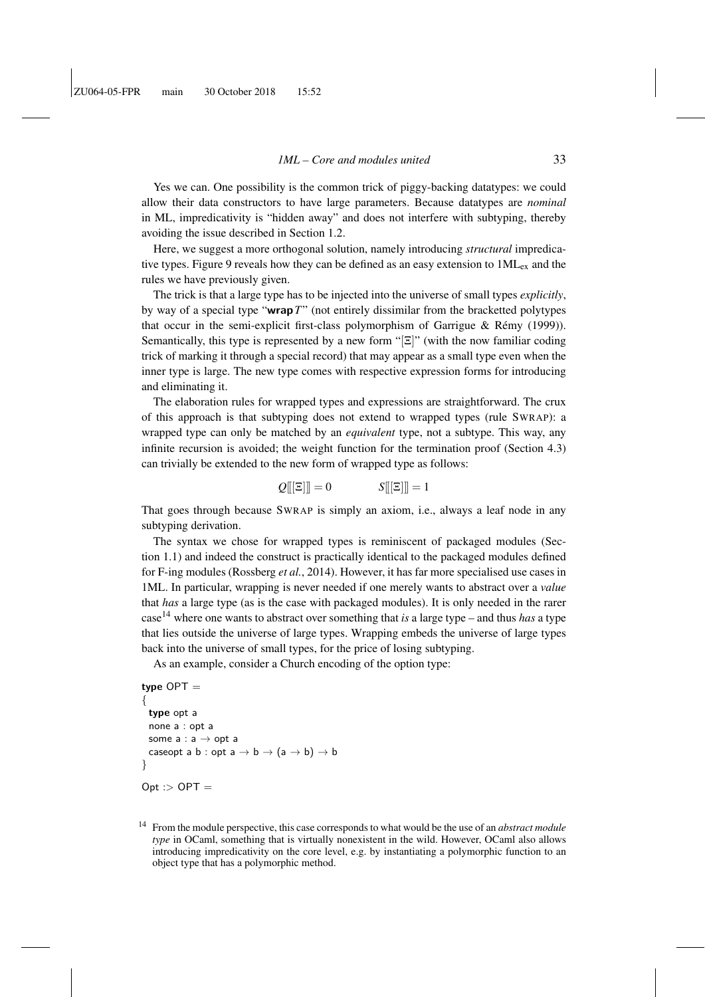Yes we can. One possibility is the common trick of piggy-backing datatypes: we could allow their data constructors to have large parameters. Because datatypes are *nominal* in ML, impredicativity is "hidden away" and does not interfere with subtyping, thereby avoiding the issue described in Section 1.2.

Here, we suggest a more orthogonal solution, namely introducing *structural* impredicative types. Figure 9 reveals how they can be defined as an easy extension to 1MLex and the rules we have previously given.

The trick is that a large type has to be injected into the universe of small types *explicitly*, by way of a special type "wrap*T*" (not entirely dissimilar from the bracketted polytypes that occur in the semi-explicit first-class polymorphism of Garrigue & Rémy (1999)). Semantically, this type is represented by a new form " $[\Xi]$ " (with the now familiar coding trick of marking it through a special record) that may appear as a small type even when the inner type is large. The new type comes with respective expression forms for introducing and eliminating it.

The elaboration rules for wrapped types and expressions are straightforward. The crux of this approach is that subtyping does not extend to wrapped types (rule SWRAP): a wrapped type can only be matched by an *equivalent* type, not a subtype. This way, any infinite recursion is avoided; the weight function for the termination proof (Section 4.3) can trivially be extended to the new form of wrapped type as follows:

$$
Q[[\Xi]] = 0 \qquad S[[\Xi]] = 1
$$

That goes through because SWRAP is simply an axiom, i.e., always a leaf node in any subtyping derivation.

The syntax we chose for wrapped types is reminiscent of packaged modules (Section 1.1) and indeed the construct is practically identical to the packaged modules defined for F-ing modules (Rossberg *et al.*, 2014). However, it has far more specialised use cases in 1ML. In particular, wrapping is never needed if one merely wants to abstract over a *value* that *has* a large type (as is the case with packaged modules). It is only needed in the rarer case<sup>14</sup> where one wants to abstract over something that *is* a large type – and thus *has* a type that lies outside the universe of large types. Wrapping embeds the universe of large types back into the universe of small types, for the price of losing subtyping.

As an example, consider a Church encoding of the option type:

```
type OPT ={
  type opt a
  none a : opt a
  some a : a \rightarrow opt acaseopt a b : opt a \rightarrow b \rightarrow (a \rightarrow b) \rightarrow b}
```
 $Opt : > OPT =$ 

<sup>14</sup> From the module perspective, this case corresponds to what would be the use of an *abstract module type* in OCaml, something that is virtually nonexistent in the wild. However, OCaml also allows introducing impredicativity on the core level, e.g. by instantiating a polymorphic function to an object type that has a polymorphic method.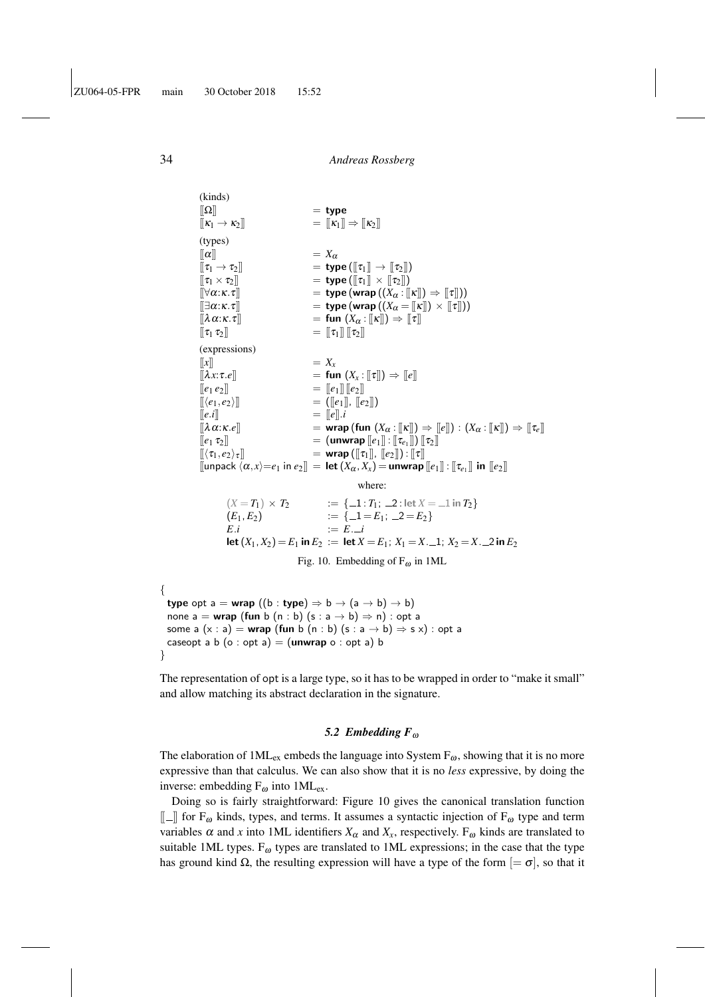(kinds)  $[\![ \Omega ]\!]$  = type  $\[\mathbf{k}_1 \to \mathbf{k}_2]\]$  =  $\[\mathbf{k}_1]\] \Rightarrow \[\mathbf{k}_2]\]$ (types)  $\llbracket \alpha \rrbracket$  = *X*<sub>α</sub>  $\|\tau_1 \to \tau_2\|$  = type  $(\|\tau_1\| \to \|\tau_2\|)$  $\begin{aligned} [\![\tau_1 \times \tau_2]\!] \quad & = \textbf{type} \left( [\![\tau_1]\!] \times [\![\tau_2]\!] \right) \\ [\![\forall \alpha:\kappa.\tau]\!] \quad & = \textbf{type} \left( \textbf{wrap} \left( \left( X_\alpha : [\![\tau_1]\!] \right) \right) \end{aligned}$  $[\![\forall \alpha:\kappa.\tau]\!]$  = type (wrap  $((X_\alpha : [\![\kappa]\!]) \Rightarrow [\![\tau]\!])$ )<br> $[\![\exists \alpha:\kappa.\tau]\!]$  = type (wrap  $((X_\alpha = [\![\kappa]\!]) \times [\![\tau]\!])$  $[\exists \alpha:\kappa.\tau]$  = type (wrap  $((X_{\alpha} = [\![\kappa]\!]) \times [\![\tau]\!]))$ <br> $[\lambda \alpha:\kappa.\tau]$  = fun  $(X_{\alpha} : [\![\kappa]\!]) \Rightarrow [\![\tau]\!]$  $=$  fun  $(X_\alpha : [[\kappa]]) \Rightarrow [[\tau]]$  $\lbrack\lbrack \tau_1 \tau_2 \rbrack\rbrack = \lbrack\lbrack \tau_1 \rbrack\rbrack \lbrack \tau_2 \rbrack\rbrack$ (expressions)  $\llbracket x \rrbracket$  =  $X_x$  $[\![\lambda x:\tau.e]\!]$  = fun  $(X_x : [\![\tau]\!]) \Rightarrow [\![e]\!]$  $[|e_1 e_2|]$  =  $[|e_1|] [|e_2|]$  $[(e_1, e_2)]$   $= ([e_1], [e_2])$  $[ [e.i]$  =  $[ e \cdot i]$  $[\![\lambda \alpha:\kappa.e]\!]$  = wrap (fun  $(X_\alpha : [\![\kappa]\!]) \Rightarrow [\![e]\!]) : (X_\alpha : [\![\kappa]\!]) \Rightarrow [\![\tau_e]\!]$  $[[e_1 \tau_2]]$   $=$   $($ **unwrap** $[[e_1]] : [[\tau_{e_1}]]) [[\tau_2]]$  $[\langle \tau_1, e_2 \rangle_{\tau}]$  = wrap ( $[\![\tau_1]\!]$ ,  $[\![e_2]\!]$ ) :  $[\![\tau]\!]$  $[\![$ unpack  $\langle \alpha, x \rangle = e_1$  in  $e_2]$ ] = let  $(X_\alpha, X_x) =$ unwrap  $[\![e_1]\!]$  :  $[\![\tau_{e_1}]\!]$  in  $[\![e_2]\!]$ where:  $(X = T_1) \times T_2$   $:= \{-1 : T_1; -2 : \text{let } X = -1 \text{ in } T_2\}$ <br>  $(E_1, E_2)$   $:= \{-1 = E_1; -2 = E_2\}$  $:= \{-1 = E_1; \ -2 = E_2\}$  $E_i$  :=  $E_{i,j}$ let  $(X_1, X_2) = E_1$  in  $E_2 := \text{let } X = E_1$ ;  $X_1 = X \_1$ ;  $X_2 = X \_2$  in  $E_2$ Fig. 10. Embedding of  $F_{\omega}$  in 1ML { type opt a = wrap  $((b : type) \Rightarrow b \rightarrow (a \rightarrow b) \rightarrow b)$ none a = wrap (fun b (n : b) (s : a  $\rightarrow$  b)  $\Rightarrow$  n) : opt a some a  $(x : a) =$ **wrap** (fun b  $(n : b)$   $(s : a \rightarrow b) \Rightarrow s \times$ ) : opt a caseopt a b  $(o : opt a) = (unwrap o : opt a) b$ 

}

The representation of opt is a large type, so it has to be wrapped in order to "make it small" and allow matching its abstract declaration in the signature.

### *5.2 Embedding F*<sup>ω</sup>

The elaboration of  $1ML_{ex}$  embeds the language into System  $F_{\omega}$ , showing that it is no more expressive than that calculus. We can also show that it is no *less* expressive, by doing the inverse: embedding  $F_{\omega}$  into 1ML<sub>ex</sub>.

Doing so is fairly straightforward: Figure 10 gives the canonical translation function  $\llbracket \cdot \rrbracket$  for  $F_{\omega}$  kinds, types, and terms. It assumes a syntactic injection of  $F_{\omega}$  type and term variables  $\alpha$  and *x* into 1ML identifiers  $X_{\alpha}$  and  $X_{x}$ , respectively. F<sub>ω</sub> kinds are translated to suitable 1ML types.  $F_{\omega}$  types are translated to 1ML expressions; in the case that the type has ground kind  $\Omega$ , the resulting expression will have a type of the form  $[=\sigma]$ , so that it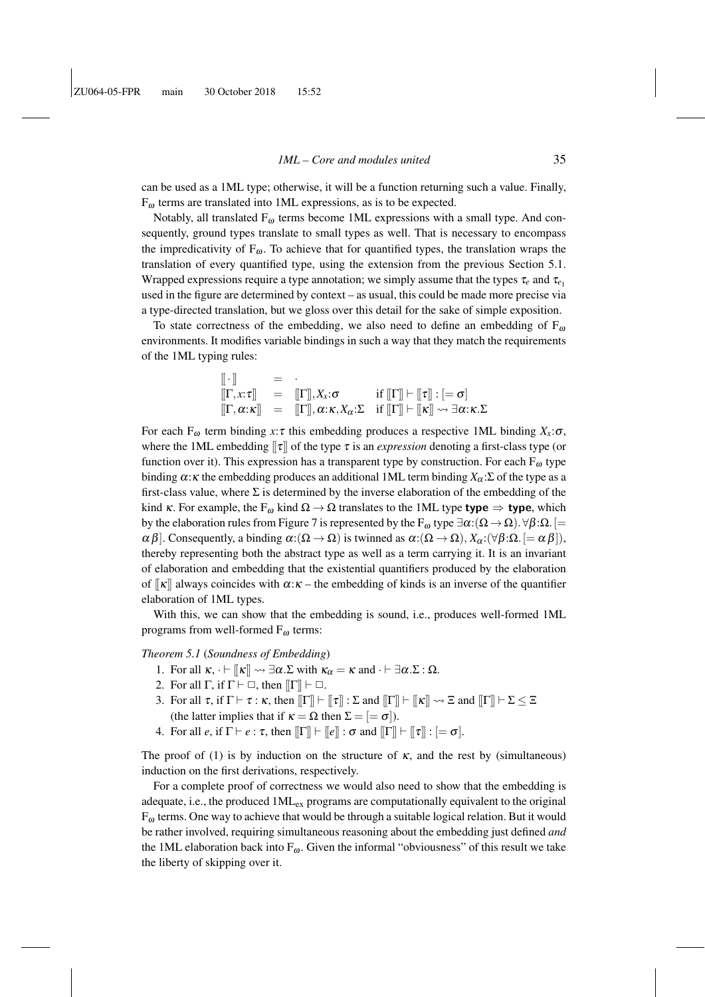can be used as a 1ML type; otherwise, it will be a function returning such a value. Finally,  $F_{\omega}$  terms are translated into 1ML expressions, as is to be expected.

Notably, all translated  $F_{\omega}$  terms become 1ML expressions with a small type. And consequently, ground types translate to small types as well. That is necessary to encompass the impredicativity of  $F_{\omega}$ . To achieve that for quantified types, the translation wraps the translation of every quantified type, using the extension from the previous Section 5.1. Wrapped expressions require a type annotation; we simply assume that the types  $\tau_e$  and  $\tau_{e_1}$ used in the figure are determined by context – as usual, this could be made more precise via a type-directed translation, but we gloss over this detail for the sake of simple exposition.

To state correctness of the embedding, we also need to define an embedding of  $F_{\alpha}$ environments. It modifies variable bindings in such a way that they match the requirements of the 1ML typing rules:

$$
\begin{array}{rcl}\n\llbracket \cdot \rrbracket & = & \cdot \\
\llbracket \Gamma, x : \tau \rrbracket & = & \llbracket \Gamma \rrbracket, X_x : \sigma \\
\llbracket \Gamma, \alpha : \kappa \rrbracket & = & \llbracket \Gamma \rrbracket, \alpha : \kappa, X_\alpha : \Sigma \quad \text{if } \llbracket \Gamma \rrbracket \vdash \llbracket \kappa \rrbracket \leadsto \exists \alpha : \kappa. \Sigma\n\end{array}
$$

For each  $F_{\omega}$  term binding *x*:  $\tau$  this embedding produces a respective 1ML binding  $X_{\chi}$ : $\sigma$ , where the 1ML embedding  $\llbracket \tau \rrbracket$  of the type  $\tau$  is an *expression* denoting a first-class type (or function over it). This expression has a transparent type by construction. For each  $F_{\omega}$  type binding  $\alpha$ :  $\kappa$  the embedding produces an additional 1ML term binding  $X_{\alpha}$ :  $\Sigma$  of the type as a first-class value, where  $\Sigma$  is determined by the inverse elaboration of the embedding of the kind *κ*. For example, the F<sub>ω</sub> kind  $\Omega \to \Omega$  translates to the 1ML type type  $\Rightarrow$  type, which by the elaboration rules from Figure 7 is represented by the  $F_{\omega}$  type  $\exists \alpha : (\Omega \to \Omega) \cdot \forall \beta : \Omega$ .  $[=$  $\alpha \beta$ . Consequently, a binding  $\alpha: (\Omega \to \Omega)$  is twinned as  $\alpha: (\Omega \to \Omega)$ ,  $X_{\alpha}: (\forall \beta: \Omega)$ .  $[=\alpha \beta]$ . thereby representing both the abstract type as well as a term carrying it. It is an invariant of elaboration and embedding that the existential quantifiers produced by the elaboration of  $\llbracket \kappa \rrbracket$  always coincides with  $\alpha:\kappa$  – the embedding of kinds is an inverse of the quantifier elaboration of 1ML types.

With this, we can show that the embedding is sound, i.e., produces well-formed 1ML programs from well-formed  $F_{\omega}$  terms:

#### *Theorem 5.1* (*Soundness of Embedding*)

- 1. For all  $\kappa$ ,  $\cdot \vdash [\!][\! \kappa] \!] \rightsquigarrow \exists \alpha \cdot \Sigma$  with  $\kappa_{\alpha} = \kappa$  and  $\cdot \vdash \exists \alpha \cdot \Sigma : \Omega$ .
- 2. For all  $\Gamma$ , if  $\Gamma \vdash \Box$ , then  $\Vert \Gamma \Vert \vdash \Box$ .
- 3. For all  $\tau$ , if  $\Gamma \vdash \tau : \kappa$ , then  $[\![\Gamma]\!] \vdash [\![\tau]\!] : \Sigma$  and  $[\![\Gamma]\!] \vdash [\![\kappa]\!] \leadsto \Xi$  and  $[\![\Gamma]\!] \vdash \Sigma \leq \Xi$
- (the latter implies that if  $\kappa = \Omega$  then  $\Sigma = [=\sigma]$ ).
- 4. For all *e*, if  $\Gamma \vdash e : \tau$ , then  $\Vert \Gamma \Vert \vdash [e] \vdash e$  and  $\Vert \Gamma \Vert \vdash [\tau] \vdash [e]$ .

The proof of (1) is by induction on the structure of  $\kappa$ , and the rest by (simultaneous) induction on the first derivations, respectively.

For a complete proof of correctness we would also need to show that the embedding is adequate, i.e., the produced 1MLex programs are computationally equivalent to the original  $F_{\omega}$  terms. One way to achieve that would be through a suitable logical relation. But it would be rather involved, requiring simultaneous reasoning about the embedding just defined *and* the 1ML elaboration back into  $F_{\omega}$ . Given the informal "obviousness" of this result we take the liberty of skipping over it.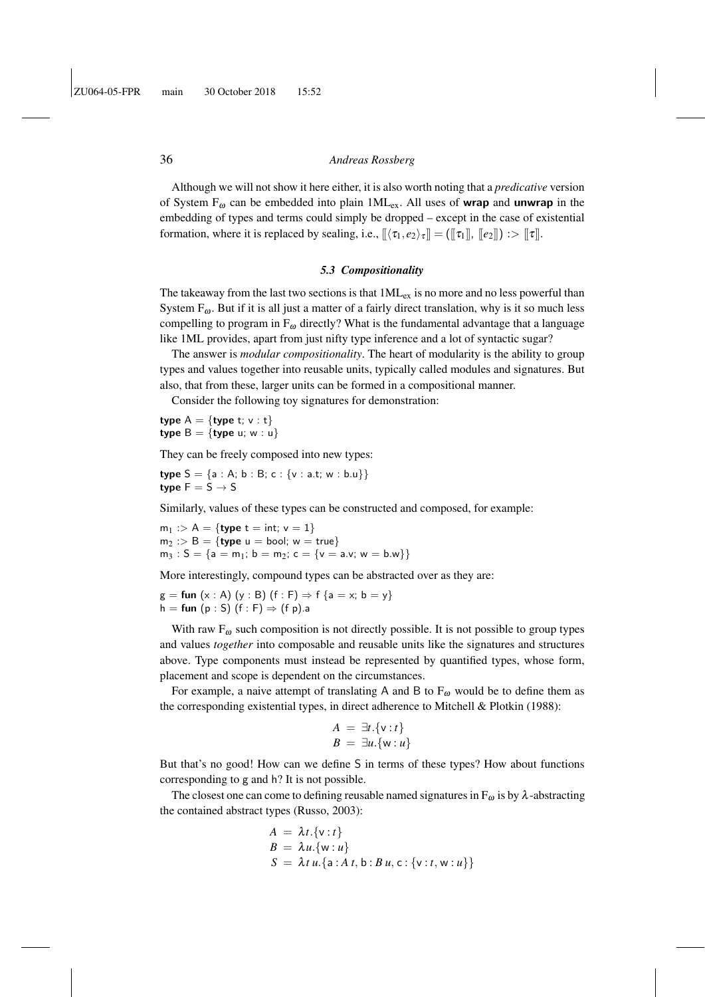Although we will not show it here either, it is also worth noting that a *predicative* version of System  $F_{\omega}$  can be embedded into plain 1ML<sub>ex</sub>. All uses of **wrap** and **unwrap** in the embedding of types and terms could simply be dropped – except in the case of existential formation, where it is replaced by sealing, i.e.,  $[\langle \tau_1, e_2 \rangle_{\tau}] = ([\tau_1], [\lbrack e_2 \rbrack]) := [\tau]$ .

#### *5.3 Compositionality*

The takeaway from the last two sections is that  $1ML_{ex}$  is no more and no less powerful than System  $F_{\omega}$ . But if it is all just a matter of a fairly direct translation, why is it so much less compelling to program in  $F_{\omega}$  directly? What is the fundamental advantage that a language like 1ML provides, apart from just nifty type inference and a lot of syntactic sugar?

The answer is *modular compositionality*. The heart of modularity is the ability to group types and values together into reusable units, typically called modules and signatures. But also, that from these, larger units can be formed in a compositional manner.

Consider the following toy signatures for demonstration:

type  $A = \{type t; v : t\}$ type  $B = \{type u; w : u\}$ 

They can be freely composed into new types:

type  $S = \{a : A; b : B; c : \{v : a.t; w : b.u\}\}$ type  $F = S \rightarrow S$ 

Similarly, values of these types can be constructed and composed, for example:

 $m_1 : A = {$ type  $t = int; v = 1}$  $m_2 : B = \{ \text{type } u = \text{bool}; w = \text{true} \}$  $m_3 : S = \{a = m_1; b = m_2; c = \{v = a.v; w = b.w\}\}\$ 

More interestingly, compound types can be abstracted over as they are:

 $g = \text{fun}(x : A) (y : B) (f : F) \Rightarrow f \{a = x; b = y\}$ h = fun (p : S) (f : F)  $\Rightarrow$  (f p).a

With raw  $F_{\omega}$  such composition is not directly possible. It is not possible to group types and values *together* into composable and reusable units like the signatures and structures above. Type components must instead be represented by quantified types, whose form, placement and scope is dependent on the circumstances.

For example, a naive attempt of translating A and B to  $F_{\omega}$  would be to define them as the corresponding existential types, in direct adherence to Mitchell & Plotkin (1988):

$$
A = \exists t. \{v : t\}
$$
  

$$
B = \exists u. \{w : u\}
$$

But that's no good! How can we define S in terms of these types? How about functions corresponding to g and h? It is not possible.

The closest one can come to defining reusable named signatures in  $F_{\omega}$  is by  $\lambda$ -abstracting the contained abstract types (Russo, 2003):

$$
A = \lambda t.\{v : t\}
$$
  
\n
$$
B = \lambda u.\{w : u\}
$$
  
\n
$$
S = \lambda t u.\{a : A t, b : B u, c : \{v : t, w : u\}\}
$$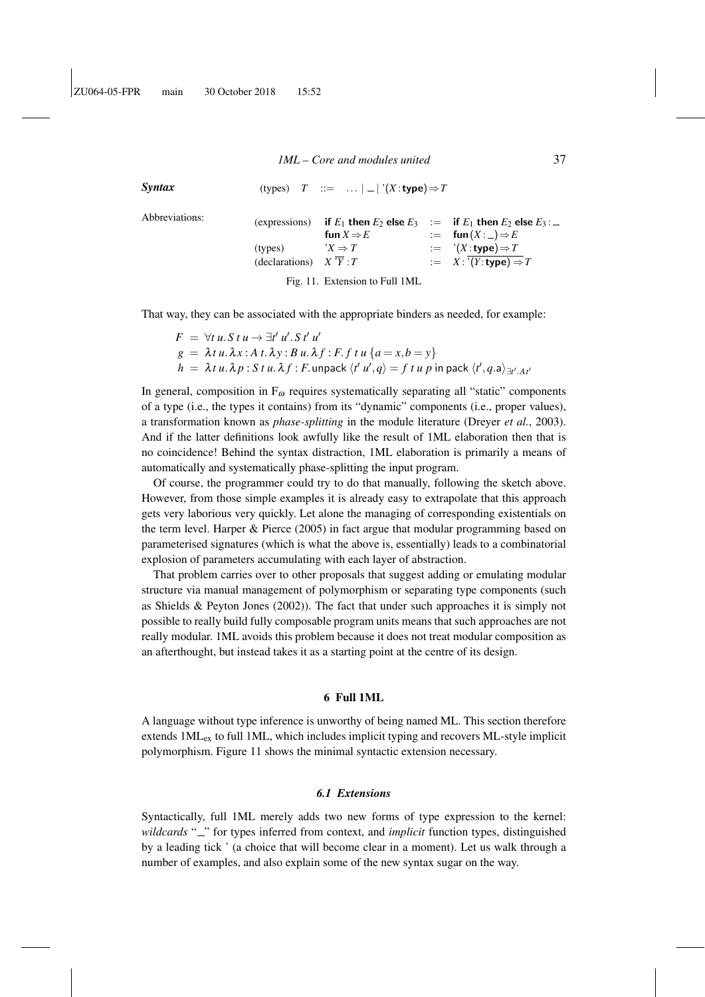# *Syntax* (types)  $T$  ::= ...  $|$  | ' $(X : type) \Rightarrow T$ Abbreviations: (expressions) if  $E_1$  then  $E_2$  else  $E_3$  :  $=$  if  $E_1$  then  $E_2$  else  $E_3$ :  $f$ un  $X \Rightarrow E$  :=  $f$ un $(X : \_) \Rightarrow E$ (types)  $'X \Rightarrow T$  := ' $(X : type) \Rightarrow T$  $\text{(declarations)} \quad X \overline{Y} : T \quad \text{(if } X : \overline{Y} : T \quad \text{(if } Y : \text{type}) \Rightarrow T$

Fig. 11. Extension to Full 1ML

That way, they can be associated with the appropriate binders as needed, for example:

 $F = \forall t \ u. S t u \rightarrow \exists t' \ u'. S t' u'$  $g = \lambda t u \cdot \lambda x : A t \cdot \lambda y : B u \cdot \lambda f : F f t u \{a = x, b = y\}$  $h = \lambda t \, u.\lambda p$  :  $S \, t \, u.\lambda f$  :  $F$ .unpack  $\langle t' \, u', q \rangle = f \, t \, u \, p$  in pack  $\langle t', q.$ a $\rangle_{\exists t'. At'}$ 

In general, composition in  $F_{\omega}$  requires systematically separating all "static" components of a type (i.e., the types it contains) from its "dynamic" components (i.e., proper values), a transformation known as *phase-splitting* in the module literature (Dreyer *et al.*, 2003). And if the latter definitions look awfully like the result of 1ML elaboration then that is no coincidence! Behind the syntax distraction, 1ML elaboration is primarily a means of automatically and systematically phase-splitting the input program.

Of course, the programmer could try to do that manually, following the sketch above. However, from those simple examples it is already easy to extrapolate that this approach gets very laborious very quickly. Let alone the managing of corresponding existentials on the term level. Harper & Pierce (2005) in fact argue that modular programming based on parameterised signatures (which is what the above is, essentially) leads to a combinatorial explosion of parameters accumulating with each layer of abstraction.

That problem carries over to other proposals that suggest adding or emulating modular structure via manual management of polymorphism or separating type components (such as Shields & Peyton Jones (2002)). The fact that under such approaches it is simply not possible to really build fully composable program units means that such approaches are not really modular. 1ML avoids this problem because it does not treat modular composition as an afterthought, but instead takes it as a starting point at the centre of its design.

#### 6 Full 1ML

A language without type inference is unworthy of being named ML. This section therefore extends  $1ML_{ex}$  to full 1ML, which includes implicit typing and recovers ML-style implicit polymorphism. Figure 11 shows the minimal syntactic extension necessary.

#### *6.1 Extensions*

Syntactically, full 1ML merely adds two new forms of type expression to the kernel: *wildcards* "<sup>"</sup> for types inferred from context, and *implicit* function types, distinguished by a leading tick ' (a choice that will become clear in a moment). Let us walk through a number of examples, and also explain some of the new syntax sugar on the way.

*1ML – Core and modules united* 37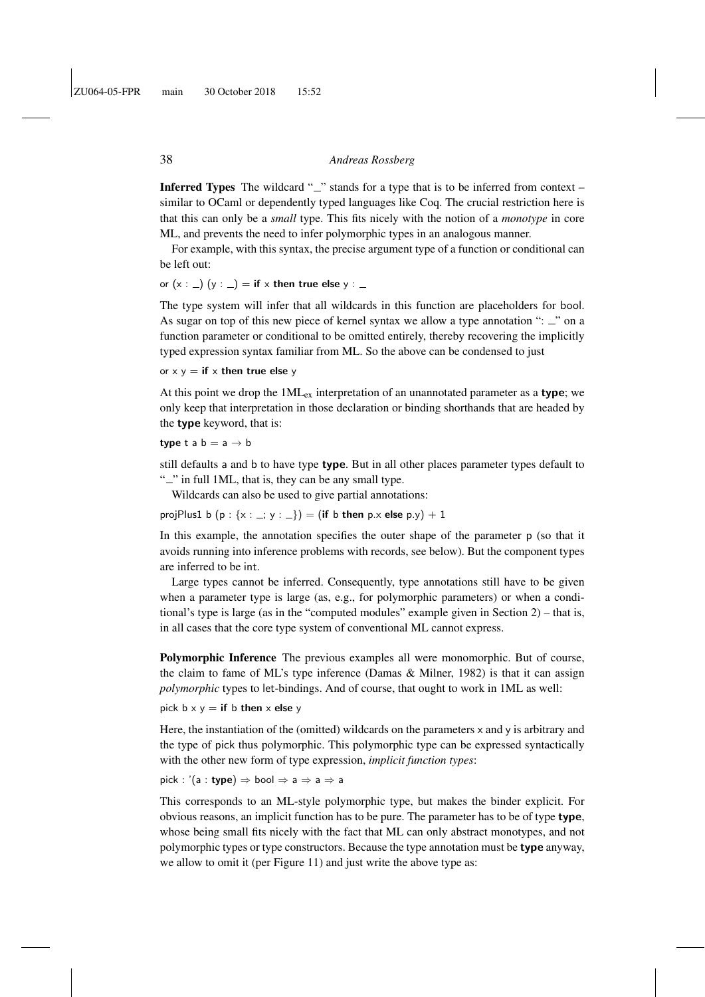**Inferred Types** The wildcard " $\equiv$  " stands for a type that is to be inferred from context – similar to OCaml or dependently typed languages like Coq. The crucial restriction here is that this can only be a *small* type. This fits nicely with the notion of a *monotype* in core ML, and prevents the need to infer polymorphic types in an analogous manner.

For example, with this syntax, the precise argument type of a function or conditional can be left out:

or  $(x : ) (y : ) =$  if x then true else y :  $=$ 

The type system will infer that all wildcards in this function are placeholders for bool. As sugar on top of this new piece of kernel syntax we allow a type annotation ":  $\equiv$  " on a function parameter or conditional to be omitted entirely, thereby recovering the implicitly typed expression syntax familiar from ML. So the above can be condensed to just

or  $x y =$  if  $x$  then true else  $y$ 

At this point we drop the  $1ML_{ex}$  interpretation of an unannotated parameter as a type; we only keep that interpretation in those declaration or binding shorthands that are headed by the type keyword, that is:

#### type t a  $b = a \rightarrow b$

still defaults a and b to have type type. But in all other places parameter types default to " $\ddot{\ }$ " in full 1ML, that is, they can be any small type.

Wildcards can also be used to give partial annotations:

projPlus1 b  $(p : \{x : |y : |\}) = (if b then p.x else p.y) + 1$ 

In this example, the annotation specifies the outer shape of the parameter p (so that it avoids running into inference problems with records, see below). But the component types are inferred to be int.

Large types cannot be inferred. Consequently, type annotations still have to be given when a parameter type is large (as, e.g., for polymorphic parameters) or when a conditional's type is large (as in the "computed modules" example given in Section 2) – that is, in all cases that the core type system of conventional ML cannot express.

Polymorphic Inference The previous examples all were monomorphic. But of course, the claim to fame of ML's type inference (Damas  $\&$  Milner, 1982) is that it can assign *polymorphic* types to let-bindings. And of course, that ought to work in 1ML as well:

pick  $b \times y =$  if b then  $\times$  else y

Here, the instantiation of the (omitted) wildcards on the parameters  $x$  and  $y$  is arbitrary and the type of pick thus polymorphic. This polymorphic type can be expressed syntactically with the other new form of type expression, *implicit function types*:

pick : '(a : type)  $\Rightarrow$  bool  $\Rightarrow$  a  $\Rightarrow$  a  $\Rightarrow$  a

This corresponds to an ML-style polymorphic type, but makes the binder explicit. For obvious reasons, an implicit function has to be pure. The parameter has to be of type type, whose being small fits nicely with the fact that ML can only abstract monotypes, and not polymorphic types or type constructors. Because the type annotation must be type anyway, we allow to omit it (per Figure 11) and just write the above type as: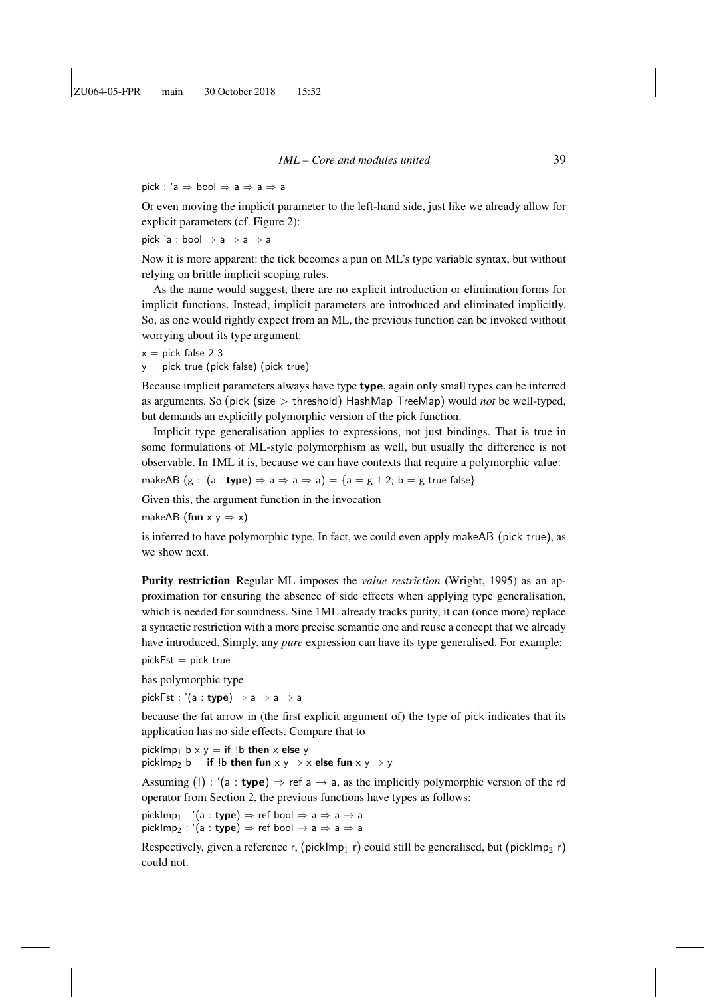pick : 'a  $\Rightarrow$  bool  $\Rightarrow$  a  $\Rightarrow$  a  $\Rightarrow$  a

Or even moving the implicit parameter to the left-hand side, just like we already allow for explicit parameters (cf. Figure 2):

pick 'a : bool  $\Rightarrow$  a  $\Rightarrow$  a  $\Rightarrow$  a

Now it is more apparent: the tick becomes a pun on ML's type variable syntax, but without relying on brittle implicit scoping rules.

As the name would suggest, there are no explicit introduction or elimination forms for implicit functions. Instead, implicit parameters are introduced and eliminated implicitly. So, as one would rightly expect from an ML, the previous function can be invoked without worrying about its type argument:

 $x = pick$  false 2 3  $y =$  pick true (pick false) (pick true)

Because implicit parameters always have type type, again only small types can be inferred as arguments. So (pick (size > threshold) HashMap TreeMap) would *not* be well-typed, but demands an explicitly polymorphic version of the pick function.

Implicit type generalisation applies to expressions, not just bindings. That is true in some formulations of ML-style polymorphism as well, but usually the difference is not observable. In 1ML it is, because we can have contexts that require a polymorphic value:

$$
\mathsf{makeAB}\ (g\ :\ \text{'}(a\ :\ \text{type})\Rightarrow a\Rightarrow a\Rightarrow a) = \{a = g\ 1\ 2;\ b = g\ \text{true false}\}
$$

Given this, the argument function in the invocation

makeAB (fun  $x y \Rightarrow x$ )

is inferred to have polymorphic type. In fact, we could even apply makeAB (pick true), as we show next.

Purity restriction Regular ML imposes the *value restriction* (Wright, 1995) as an approximation for ensuring the absence of side effects when applying type generalisation, which is needed for soundness. Sine 1ML already tracks purity, it can (once more) replace a syntactic restriction with a more precise semantic one and reuse a concept that we already have introduced. Simply, any *pure* expression can have its type generalised. For example:  $pickFst = pick true$ 

has polymorphic type

pickFst : '(a : type)  $\Rightarrow$  a  $\Rightarrow$  a  $\Rightarrow$  a

because the fat arrow in (the first explicit argument of) the type of pick indicates that its application has no side effects. Compare that to

pickImp<sub>1</sub> b  $x y =$  if !b then x else y

pickImp<sub>2</sub> b = if !b then fun  $x y \Rightarrow x$  else fun  $x y \Rightarrow y$ 

Assuming (!) : '(a : type)  $\Rightarrow$  ref a  $\rightarrow$  a, as the implicitly polymorphic version of the rd operator from Section 2, the previous functions have types as follows:

 $pickImp_1 : ' (a : type) \Rightarrow ref bool \Rightarrow a \Rightarrow a \rightarrow a$ pickImp<sub>2</sub> : '(a : type)  $\Rightarrow$  ref bool  $\rightarrow$  a  $\Rightarrow$  a  $\Rightarrow$  a

Respectively, given a reference r, (pickImp<sub>1</sub> r) could still be generalised, but (pickImp<sub>2</sub> r) could not.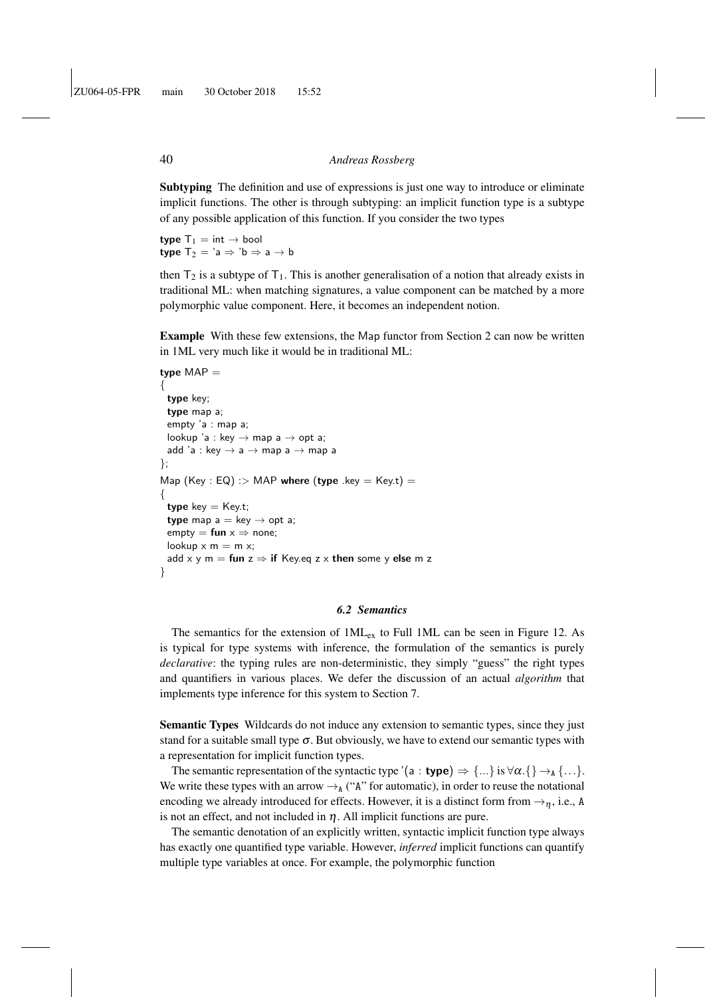Subtyping The definition and use of expressions is just one way to introduce or eliminate implicit functions. The other is through subtyping: an implicit function type is a subtype of any possible application of this function. If you consider the two types

type  $T_1 = int \rightarrow bool$ type  $T_2 = 'a \Rightarrow 'b \Rightarrow a \rightarrow b$ 

then  $T_2$  is a subtype of  $T_1$ . This is another generalisation of a notion that already exists in traditional ML: when matching signatures, a value component can be matched by a more polymorphic value component. Here, it becomes an independent notion.

Example With these few extensions, the Map functor from Section 2 can now be written in 1ML very much like it would be in traditional ML:

```
type MAP ={
 type key;
 type map a;
 empty 'a : map a;
 lookup 'a : key \rightarrow map a \rightarrow opt a;
 add 'a : key \rightarrow a \rightarrow map a \rightarrow map a
};
Map (Key : EQ) :> MAP where (type .key = Key.t) =
{
 type key = Key.t;
 type map a = \text{key} \rightarrow \text{opt } a;
 empty = fun x \Rightarrow none;lookup x \text{ m} = \text{m} x;
 add x y m = fun z \Rightarrow if Key.eq z x then some y else m z
}
```
#### *6.2 Semantics*

The semantics for the extension of  $1ML_{ex}$  to Full 1ML can be seen in Figure 12. As is typical for type systems with inference, the formulation of the semantics is purely *declarative*: the typing rules are non-deterministic, they simply "guess" the right types and quantifiers in various places. We defer the discussion of an actual *algorithm* that implements type inference for this system to Section 7.

Semantic Types Wildcards do not induce any extension to semantic types, since they just stand for a suitable small type  $\sigma$ . But obviously, we have to extend our semantic types with a representation for implicit function types.

The semantic representation of the syntactic type '(a : **type**)  $\Rightarrow$  {...} is  $\forall \alpha$ .{}  $\rightarrow$ <sub>A</sub>{...}. We write these types with an arrow  $\rightarrow_A$  ("A" for automatic), in order to reuse the notational encoding we already introduced for effects. However, it is a distinct form from  $\rightarrow_n$ , i.e., A is not an effect, and not included in  $\eta$ . All implicit functions are pure.

The semantic denotation of an explicitly written, syntactic implicit function type always has exactly one quantified type variable. However, *inferred* implicit functions can quantify multiple type variables at once. For example, the polymorphic function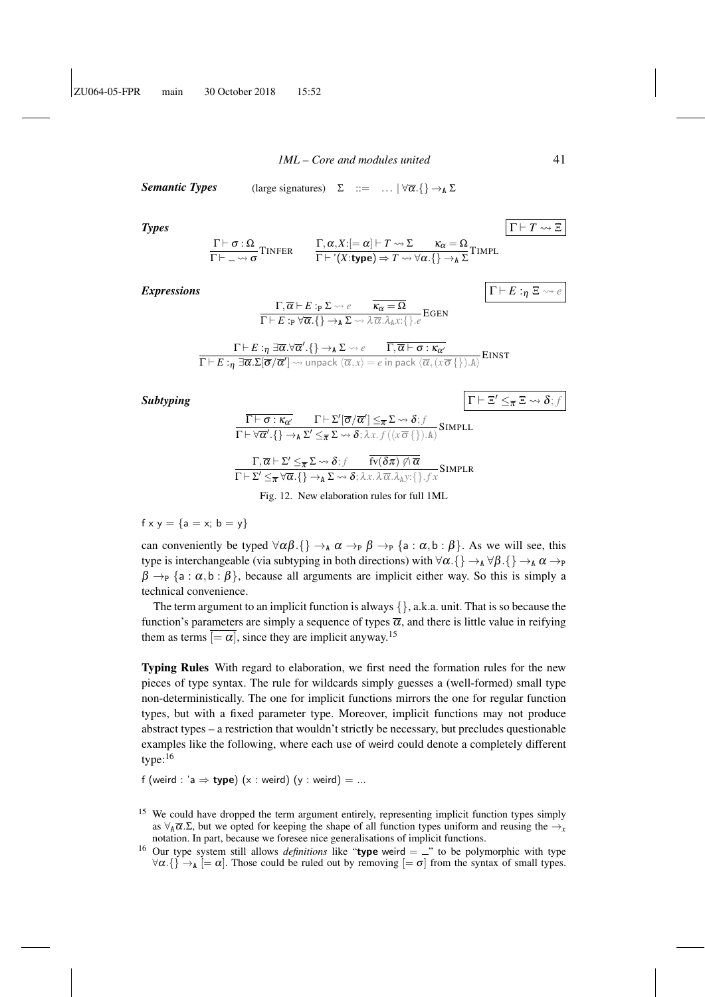*1ML – Core and modules united* 41

**Semantic Types** (large signatures) 
$$
\Sigma
$$
 ::= ...  $|\forall \overline{\alpha}. \{\} \rightarrow_{A} \Sigma$ 

*Types*  $\Gamma \vdash T \rightsquigarrow \Xi$ 

$$
\frac{\Gamma \vdash \sigma : \Omega}{\Gamma \vdash \_\sim \leadsto \sigma} \text{TNFER} \qquad \frac{\Gamma, \alpha, X: [\alpha \vdash T \leadsto \Sigma \qquad \kappa_\alpha = \Omega}{\Gamma \vdash ' (X: \text{type}) \Rightarrow T \leadsto \forall \alpha . \{\} \rightarrow_{A} \Sigma} \text{TIME}
$$

*Expressions*  $|\Gamma \vdash E :_{\eta} \Xi$ 

$$
\frac{\Gamma,\overline{\alpha}\vdash E:_{\mathbf{P}}\Sigma\leadsto e\qquad \overline{\kappa_{\alpha}=\Omega}}{\Gamma\vdash E:_{\mathbf{P}}\forall\overline{\alpha}.\{\}\rightarrow_{\mathbf{A}}\Sigma\leadsto \lambda\,\overline{\alpha}.\lambda_{\mathbf{A}}\mathbf{x}:\{\}\cdot e}\,\mathrm{EGEN}
$$

$$
\frac{\Gamma \vdash E :_{\eta} \exists \overline{\alpha} . \forall \overline{\alpha}' . \{\} \rightarrow_{\mathbf{A}} \Sigma \leadsto e \qquad \overline{\Gamma, \overline{\alpha} \vdash \sigma : \kappa_{\alpha'}}}{\Gamma \vdash E :_{\eta} \exists \overline{\alpha} . \Sigma [\overline{\sigma}/\overline{\alpha}'] \leadsto \text{unpack } \langle \overline{\alpha}, x \rangle = e \text{ in pack } \langle \overline{\alpha}, (x \overline{\sigma} \{\} ).\mathbf{A} \rangle} \text{EINST}
$$

 $Sub typing$ 

$$
\Gamma \vdash \Xi' \leq_{\overline{\pi}} \Xi \leadsto \delta; f
$$

$$
\frac{\overline{\Gamma \vdash \sigma : \kappa_{\alpha'}} \qquad \Gamma \vdash \Sigma'[\overline{\sigma}/\overline{\alpha}'] \leq_{\overline{\pi}} \Sigma \leadsto \delta; f}{\Gamma \vdash \forall \overline{\alpha}'.\{\} \rightarrow_{\mathbf{A}} \Sigma' \leq_{\overline{\pi}} \Sigma \leadsto \delta; \lambda x. f((x \overline{\sigma} \{\}) . \mathbf{A})} \text{SIMPLL}
$$
\n
$$
\frac{\Gamma, \overline{\alpha} \vdash \Sigma' \leq_{\overline{\pi}} \Sigma \leadsto \delta; f \qquad \overline{\text{fv}(\delta \pi) \not\cap \overline{\alpha}}}{\Gamma \vdash \Sigma' \leq_{\overline{\pi}} \forall \overline{\alpha}. \{\} \rightarrow_{\mathbf{A}} \Sigma \leadsto \delta; \lambda x. \lambda \overline{\alpha}. \lambda_{\mathbf{A} y: \{\} . f x} \text{SIMPLR}}
$$

Fig. 12. New elaboration rules for full 1ML

 $f \times y = \{a = x; b = y\}$ 

can conveniently be typed  $\forall \alpha \beta$ . $\{\} \rightarrow_A \alpha \rightarrow_P \beta \rightarrow_P \{a : \alpha, b : \beta\}$ . As we will see, this type is interchangeable (via subtyping in both directions) with  $\forall \alpha$ . {  $\rightarrow_A \forall \beta$ . {  $\rightarrow_A \alpha \rightarrow_P$  $\beta \rightarrow_{P} \{a : \alpha, b : \beta\}$ , because all arguments are implicit either way. So this is simply a technical convenience.

The term argument to an implicit function is always  $\{\}$ , a.k.a. unit. That is so because the function's parameters are simply a sequence of types  $\bar{\alpha}$ , and there is little value in reifying them as terms  $\overline{[-\alpha]}$ , since they are implicit anyway.<sup>15</sup>

Typing Rules With regard to elaboration, we first need the formation rules for the new pieces of type syntax. The rule for wildcards simply guesses a (well-formed) small type non-deterministically. The one for implicit functions mirrors the one for regular function types, but with a fixed parameter type. Moreover, implicit functions may not produce abstract types – a restriction that wouldn't strictly be necessary, but precludes questionable examples like the following, where each use of weird could denote a completely different type:<sup>16</sup>

f (weird : 'a  $\Rightarrow$  type) (x : weird) (y : weird) = ...

<sup>&</sup>lt;sup>15</sup> We could have dropped the term argument entirely, representing implicit function types simply as  $\forall_{A} \overline{\alpha} \cdot \Sigma$ , but we opted for keeping the shape of all function types uniform and reusing the  $\rightarrow_{x}$ notation. In part, because we foresee nice generalisations of implicit functions.

<sup>&</sup>lt;sup>16</sup> Our type system still allows *definitions* like "type weird  $=$   $\Box$ " to be polymorphic with type  $\forall \alpha.\{\}\rightarrow_A [\ =\alpha]$ . Those could be ruled out by removing  $[=\sigma]$  from the syntax of small types.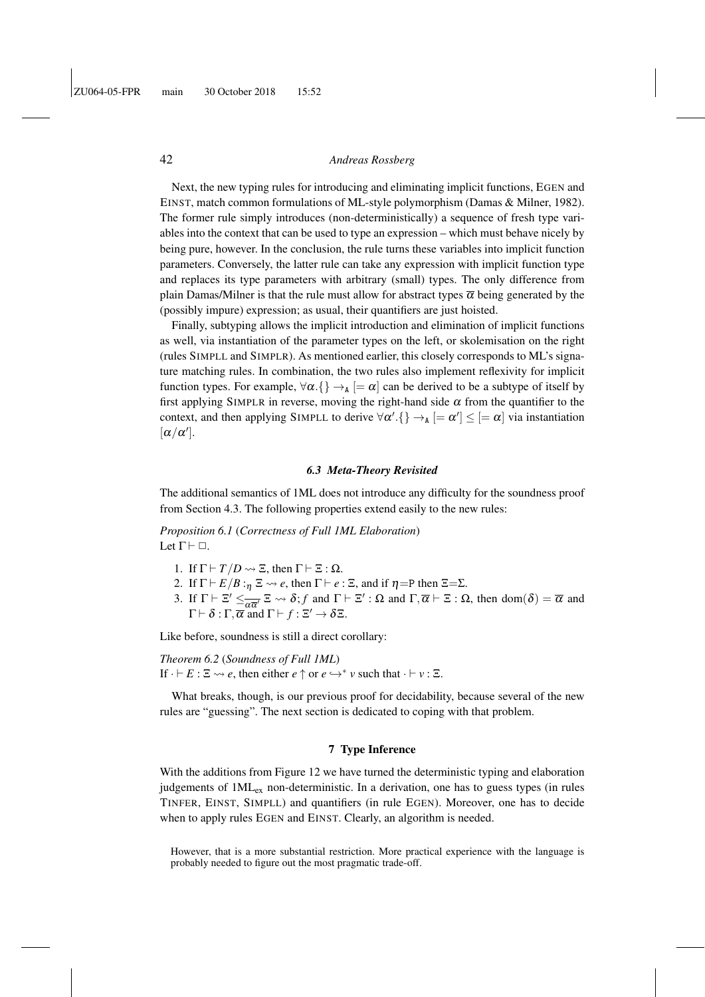Next, the new typing rules for introducing and eliminating implicit functions, EGEN and EINST, match common formulations of ML-style polymorphism (Damas & Milner, 1982). The former rule simply introduces (non-deterministically) a sequence of fresh type variables into the context that can be used to type an expression – which must behave nicely by being pure, however. In the conclusion, the rule turns these variables into implicit function parameters. Conversely, the latter rule can take any expression with implicit function type and replaces its type parameters with arbitrary (small) types. The only difference from plain Damas/Milner is that the rule must allow for abstract types  $\bar{\alpha}$  being generated by the (possibly impure) expression; as usual, their quantifiers are just hoisted.

Finally, subtyping allows the implicit introduction and elimination of implicit functions as well, via instantiation of the parameter types on the left, or skolemisation on the right (rules SIMPLL and SIMPLR). As mentioned earlier, this closely corresponds to ML's signature matching rules. In combination, the two rules also implement reflexivity for implicit function types. For example,  $\forall \alpha$ .  $\{\}\rightarrow_{A} [\alpha]$  can be derived to be a subtype of itself by first applying SIMPLR in reverse, moving the right-hand side  $\alpha$  from the quantifier to the context, and then applying SIMPLL to derive  $\forall \alpha' \in \{ \} \rightarrow_A [=\alpha'] \leq [\alpha]$  via instantiation  $[\alpha/\alpha'].$ 

#### *6.3 Meta-Theory Revisited*

The additional semantics of 1ML does not introduce any difficulty for the soundness proof from Section 4.3. The following properties extend easily to the new rules:

*Proposition 6.1* (*Correctness of Full 1ML Elaboration*) Let  $\Gamma \vdash \Box$ .

- 1. If  $\Gamma \vdash T/D \rightsquigarrow \Xi$ , then  $\Gamma \vdash \Xi : \Omega$ .
- 2. If  $\Gamma \vdash E/B :_{\eta} \Xi \leadsto e$ , then  $\Gamma \vdash e : \Xi$ , and if  $\eta = P$  then  $\Xi = \Sigma$ .
- 3. If  $\Gamma \vdash \Xi' \leq \frac{}{\alpha \overline{\alpha'}} \Xi \leadsto \delta$ ; *f* and  $\Gamma \vdash \Xi'$ :  $\Omega$  and  $\Gamma, \overline{\alpha} \vdash \Xi$ :  $\Omega$ , then dom $(\delta) = \overline{\alpha}$  and  $\Gamma \vdash \delta : \Gamma, \overline{\alpha} \text{ and } \Gamma \vdash f : \Xi' \to \delta \Xi.$

Like before, soundness is still a direct corollary:

*Theorem 6.2* (*Soundness of Full 1ML*) If  $\cdot \vdash E : \Xi \leadsto e$ , then either  $e \uparrow$  or  $e \hookrightarrow^* v$  such that  $\cdot \vdash v : \Xi$ .

What breaks, though, is our previous proof for decidability, because several of the new rules are "guessing". The next section is dedicated to coping with that problem.

## 7 Type Inference

With the additions from Figure 12 we have turned the deterministic typing and elaboration judgements of  $1ML_{ex}$  non-deterministic. In a derivation, one has to guess types (in rules TINFER, EINST, SIMPLL) and quantifiers (in rule EGEN). Moreover, one has to decide when to apply rules EGEN and EINST. Clearly, an algorithm is needed.

However, that is a more substantial restriction. More practical experience with the language is probably needed to figure out the most pragmatic trade-off.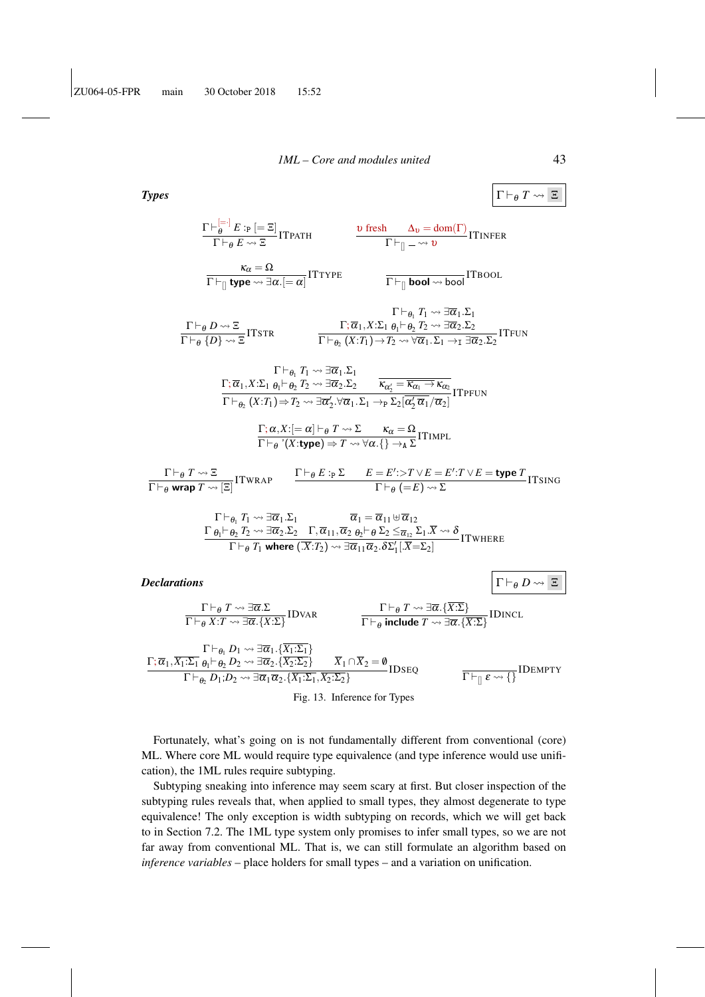$\Gamma\vdash^{[= \cdot]}_\theta$ 

 $\frac{E}{\theta}$   $E :_{P}$   $[= \Xi]$  $\frac{\theta}{\Gamma \vdash_{\theta} E \leadsto \Xi}$ ITPATH

#### *1ML – Core and modules united* 43

*Types*  $\left| \Gamma \vdash_{\theta} T \leadsto \Xi \right|$ 

**υ** fresh  $\Delta$ <sub>υ</sub> = dom(Γ)  $\frac{\Delta_0 \cos(\Delta)}{\Gamma \vdash_{\parallel} \quad \leadsto \nu}$  ITINFER

$$
\frac{\kappa_{\alpha} = \Omega}{\Gamma \vdash_{[]} \textbf{type} \leadsto \exists \alpha . [=\alpha]} \text{ITType}
$$

$$
\frac{}{\Gamma\vdash_{[]}\text{bool}\leadsto\text{bool}}\text{ITbool}
$$

$$
\frac{\Gamma\vdash_{\theta_{1}} T_{1}\leadsto\exists\overline{\alpha}_{1}.\Sigma_{1}}{\Gamma\vdash_{\theta_{1}}\{D\}\leadsto\Xi}\text{ITSTR}
$$
\n
$$
\frac{\Gamma\vdash_{\theta_{1}} T_{1}\leadsto\exists\overline{\alpha}_{1}.\Sigma_{1}}{\Gamma\vdash_{\theta_{2}}\{X:T_{1}\}\rightarrow T_{2}\leadsto\forall\overline{\alpha}_{1}.\Sigma_{1}\rightarrow\Gamma\exists\overline{\alpha}_{2}.\Sigma_{2}}\text{ITFUN}
$$

$$
\frac{\Gamma \vdash_{\theta_1} T_1 \rightsquigarrow \exists \overline{\alpha}_1.\Sigma_1}{\Gamma \vdash_{\theta_2} T_2 \vdash_{\theta_2} T_2 \rightsquigarrow \exists \overline{\alpha}_2.\Sigma_2} \frac{\overline{\kappa_{\alpha'_2} = \overline{\kappa_{\alpha_1} \rightarrow \kappa_{\alpha_2}}}}{\overline{\kappa_{\alpha'_2} = \overline{\kappa_{\alpha_1} \rightarrow \kappa_{\alpha_2}}} \Gamma \Gamma \text{PFLIN}}
$$

$$
\frac{\Gamma;\alpha,X\left[=\alpha\right]\vdash_{\theta}T\rightsquigarrow\Sigma\qquad\kappa_{\alpha}=\Omega}{\Gamma\vdash_{\theta}'(X:\text{type})\Rightarrow T\rightsquigarrow\forall\alpha.\{\}\rightarrow_{\text{A}}\Sigma}\text{ITIMPL}
$$

$$
\frac{\Gamma \vdash_{\theta} T \leadsto \Xi}{\Gamma \vdash_{\theta} \text{ wrap } T \leadsto [\Xi]} \text{ITWRAP} \qquad \frac{\Gamma \vdash_{\theta} E :_{\mathsf{P}} \Sigma \qquad E = E':\mathsf{P} \lor E = E':T \lor E = \text{type } T}{\Gamma \vdash_{\theta} (= E) \leadsto \Sigma} \text{ITSING}
$$

$$
\frac{\Gamma\vdash_{\theta_1} T_1 \rightsquigarrow \exists \overline{\alpha}_1.\Sigma_1 \qquad \overline{\alpha}_1 = \overline{\alpha}_{11} \uplus \overline{\alpha}_{12} \Gamma\vdash_{\theta_1}\vdash_{\theta_2} T_2 \rightsquigarrow \exists \overline{\alpha}_2.\Sigma_2 \qquad \Gamma, \overline{\alpha}_{11}, \overline{\alpha}_2 \qquad \theta_2 \vdash_{\theta} \Sigma_2 \leq_{\overline{\alpha}_{12}} \Sigma_1.\overline{X} \rightsquigarrow \delta \Gamma\vdash_{\theta} T_1 \text{ where } (\overline{X}:T_2) \rightsquigarrow \exists \overline{\alpha}_{11}\overline{\alpha}_2.\delta\Sigma_1'[\overline{X}=\Sigma_2]
$$

*Declarations*  $\Gamma \vdash_{\theta} D \rightsquigarrow \Xi$ 

$$
\frac{\Gamma \vdash_{\theta} T \rightsquigarrow \exists \overline{\alpha} . \Sigma}{\Gamma \vdash_{\theta} X : T \rightsquigarrow \exists \overline{\alpha} . \{X : \Sigma\}} \text{IDVAR} \qquad \qquad \frac{\Gamma \vdash_{\theta} T}{\Gamma \vdash_{\theta} \text{ included}}
$$

$$
\frac{\Gamma \vdash_{\theta} T \rightsquigarrow \exists \overline{\alpha}. {\overline{X:\Sigma}}}{\Gamma \vdash_{\theta} \text{include } T \rightsquigarrow \exists \overline{\alpha}. {\overline{X:\Sigma}}}
$$
IDINCL

$$
\frac{\Gamma \vdash_{\theta_1} D_1 \rightsquigarrow \exists \overline{\alpha}_1. \{\overline{X_1: \Sigma_1}\}}{\Gamma \vdash_{\theta_2} D_1: D_2 \rightsquigarrow \exists \overline{\alpha}_2. \{\overline{X_2: \Sigma_2}\}} \overline{X}_1 \cap \overline{X}_2 = \emptyset
$$
  
 
$$
\Gamma \vdash_{\theta_2} D_1: D_2 \rightsquigarrow \exists \overline{\alpha}_1 \overline{\alpha}_2. \{\overline{X_1: \Sigma_1}, \overline{X_2: \Sigma_2}\}
$$
  $\Pi$ DEQ 
$$
\Gamma \vdash_{\parallel} \varepsilon \rightsquigarrow \{\}
$$
  
 
$$
\Gamma \vdash_{\parallel} \varepsilon \rightsquigarrow \{\}
$$

Fortunately, what's going on is not fundamentally different from conventional (core) ML. Where core ML would require type equivalence (and type inference would use unification), the 1ML rules require subtyping.

Subtyping sneaking into inference may seem scary at first. But closer inspection of the subtyping rules reveals that, when applied to small types, they almost degenerate to type equivalence! The only exception is width subtyping on records, which we will get back to in Section 7.2. The 1ML type system only promises to infer small types, so we are not far away from conventional ML. That is, we can still formulate an algorithm based on *inference variables* – place holders for small types – and a variation on unification.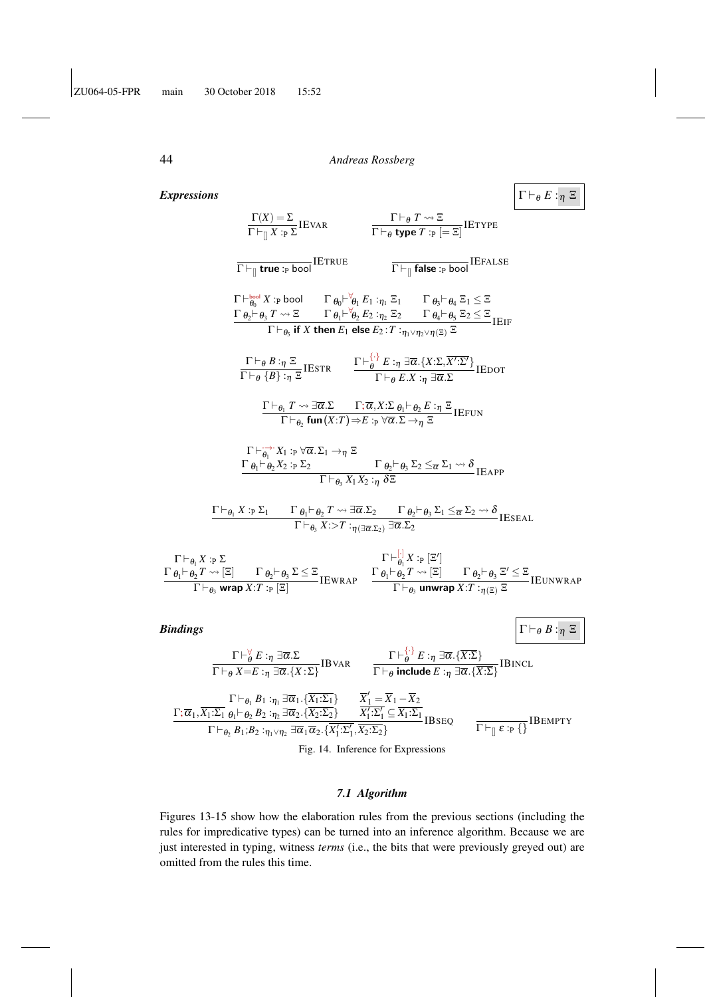*Expressions*  $\Gamma \vdash_{\theta} E :_{\eta} \Xi$ 

$$
\frac{\Gamma(X) = \Sigma}{\Gamma \vdash_{\parallel} X :_{P} \Sigma} IEVAR \qquad \frac{\Gamma \vdash_{\theta} T \rightsquigarrow \Xi}{\Gamma \vdash_{\theta} \text{ type } T :_{P} [=\Xi]} IETYPE
$$
\n
$$
\frac{\Gamma \vdash_{\theta} \text{ type } T :_{P} [=\Xi]}{\Gamma \vdash_{\theta} \text{ true :}_{P} \text{ bool}} IETRUE \qquad \frac{\Gamma \vdash_{\theta} \text{ type } T :_{P} [=\Xi]}{\Gamma \vdash_{\theta} \vdash_{\theta} \vdash_{\theta} T \rightsquigarrow \Xi} \qquad \frac{\Gamma \theta_{0} \vdash_{\theta} \theta_{1} E_{1} :_{\eta_{1}} \Xi_{1}}{\Gamma \vdash_{\theta_{0}} \text{ If } X \text{ then } E_{1} \text{ else } E_{2} : T :_{\eta_{1} \lor \eta_{2} \lor \eta(\Xi)} \Xi} IEF
$$
\n
$$
\frac{\Gamma \vdash_{\theta} B :_{\eta} \Xi}{\Gamma \vdash_{\theta} \{B\} :_{\eta} \Xi} IESTR \qquad \frac{\Gamma \vdash_{\theta}^{ \{\cdot \}} E :_{\eta} \exists \overline{\alpha} \cdot \{X : \Sigma, \overline{X' : \Sigma'\}}}{\Gamma \vdash_{\theta} E X :_{\eta} \exists \overline{\alpha} \cdot \Sigma} IEDOT
$$
\n
$$
\frac{\Gamma \vdash_{\theta_1} T \rightsquigarrow \exists \overline{\alpha} \cdot \Sigma}{\Gamma \vdash_{\theta_2} \text{ fun}(X:T) \Rightarrow E :_{P} \forall \overline{\alpha} \cdot \Sigma \rightarrow_{\eta} \Xi} IEFUN}
$$
\n
$$
\frac{\Gamma \vdash_{\theta_1} T \rightsquigarrow \exists \overline{\alpha} \cdot \Sigma}{\Gamma \vdash_{\theta_2} \text{ fun}(X:T) \Rightarrow E :_{P} \forall \overline{\alpha} \cdot \Sigma \rightarrow_{\eta} \Xi} IEFUN}
$$
\n
$$
\frac{\Gamma \vdash_{\theta_1} Y :_{P} \forall \overline{\alpha} \cdot \Sigma_{1} \rightarrow_{\eta} \Xi}{\Gamma \vdash_{\theta_3} X_{1} X_{2} :_{\eta} \partial \Xi} IEPUN}
$$
\n
$$
\frac{\Gamma \vdash_{\theta_1} Y :_{P} \forall \overline{\alpha} \cdot \Sigma_{1} \rightarrow_{\eta} \Xi
$$

| $\Gamma \vdash_{\theta_1} X :_{\mathsf{P}} \Sigma$                                                                                  | $\Gamma \vdash^{\mathsf{L}}_{\theta} X :_{\mathsf{P}} [\Xi']$ |                                                                                                                               |
|-------------------------------------------------------------------------------------------------------------------------------------|---------------------------------------------------------------|-------------------------------------------------------------------------------------------------------------------------------|
| $\Gamma \theta_1 \vdash \theta_2 T \rightsquigarrow [\Xi] \qquad \Gamma \theta_2 \vdash \theta_3 \Sigma \leq \Xi$ <sub>IEWRAP</sub> |                                                               | $\Gamma_{\theta_1} \vdash \phi_2 T \leadsto [\Xi] \qquad \Gamma_{\theta_2} \vdash_{\theta_3} \Xi' \leq \Xi_{\text{IEUNWRAP}}$ |
| $\Gamma\vdash_{\boldsymbol{\theta}_3}$ wrap $X{:}T:_{{\rm P}}[\Xi]$                                                                 | $\Gamma \vdash_{\theta_3}$ unwrap $X:T :_{n(\Xi)} \Xi$        |                                                                                                                               |

*Bindings*  $\left| \Gamma \vdash_{\theta} B :_{\eta} \Xi \right|$ 

$$
\frac{\Gamma\vdash_{\theta}^{\forall} E:_{\eta} \exists \overline{\alpha}.\Sigma}{\Gamma\vdash_{\theta} X=E:_{\eta} \exists \overline{\alpha}.\{X:\Sigma\}}\text{IBVAR}\qquad \frac{\Gamma\vdash_{\theta}^{\{\cdot\}} E:_{\eta} \exists \overline{\alpha}.\{\overline{X:\Sigma\}}}{\Gamma\vdash_{\theta} \text{include } E:_{\eta} \exists \overline{\alpha}.\{\overline{X:\Sigma\}}}\text{IBINCL}
$$
\n
$$
\frac{\Gamma\vdash_{\theta_1} B_1:_{\eta_1} \exists \overline{\alpha}_1.\{\overline{X:\Sigma_1}\}}{\Gamma\vdash_{\theta_1} \vdash_{\theta_2} B_2:_{\eta_2} \exists \overline{\alpha}_2.\{\overline{X:\Sigma_2}\}}\qquad \frac{\overline{X}'_1 = \overline{X}_1 - \overline{X}_2}{X'_1:\Sigma'_1 \subseteq \overline{X}_1:\Sigma_1}\text{IBSEQ}}{\frac{\overline{X}'_1:\Sigma'_1 \subseteq \overline{X}_1:\Sigma_1}{\Gamma\vdash_{\theta_2} B_1; B_2:_{\eta_1\vee\eta_2} \exists \overline{\alpha}_1 \overline{\alpha}_2.\{\overline{X}'_1:\Sigma'_1,\overline{X}_2:\Sigma_2\}}}\text{IBSEQ}\qquad \frac{\Gamma\vdash_{\theta} \epsilon:\rho \{\}}{\Gamma\vdash_{\theta} \epsilon:\rho \{\}} \text{IBEMENTY}
$$

Fig. 14. Inference for Expressions

### *7.1 Algorithm*

Figures 13-15 show how the elaboration rules from the previous sections (including the rules for impredicative types) can be turned into an inference algorithm. Because we are just interested in typing, witness *terms* (i.e., the bits that were previously greyed out) are omitted from the rules this time.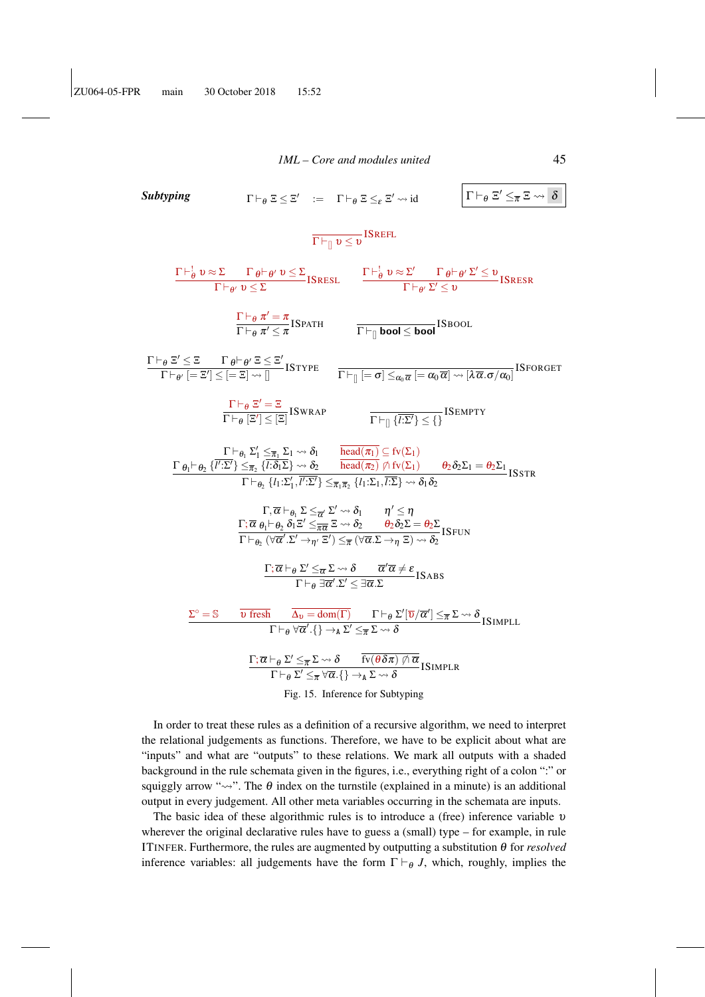**Subtyping** 
$$
\Gamma \vdash_{\theta} \Xi \leq \Xi' := \Gamma \vdash_{\theta} \Xi \leq_{\epsilon} \Xi' \rightsquigarrow id
$$
  $\boxed{\Gamma \vdash_{\theta} \Xi' \leq \pi \Xi \rightsquigarrow \delta}$   
\n $\frac{\Gamma \vdash_{\theta} \nu \leq \Sigma \Gamma \theta \vdash \theta' \upsilon \leq \Sigma}{\Gamma \vdash_{\theta} \nu \leq \Sigma} \text{ISREFL}$   
\n $\frac{\Gamma \vdash_{\theta} \nu \approx \Sigma \Gamma \theta \vdash \theta' \upsilon \leq \Sigma}{\Gamma \vdash_{\theta} \nu \leq \Sigma} \text{ISREFL}$   $\frac{\Gamma \vdash_{\theta} \nu \approx \Sigma' \Gamma \theta \vdash \theta' \Sigma' \leq \upsilon}{\Gamma \vdash_{\theta'} \Sigma' \leq \upsilon} \text{ISREER}$   
\n $\frac{\Gamma \vdash_{\theta} \pi' = \pi}{\Gamma \vdash_{\theta} \pi' \leq \pi} \text{ISPATH}$   $\frac{\Gamma \vdash_{\theta} \nu \geq \Sigma'}{\Gamma \vdash_{\theta} \text{bool} \leq \text{bool}} \text{ISBOOL}$   
\n $\frac{\Gamma \vdash_{\theta} \Xi' \leq \Xi \Gamma \theta \vdash \theta' \leq \Xi'}{\Gamma \vdash_{\theta} \Xi' \leq \Xi} \text{ISYPE}$   $\frac{\Gamma \vdash_{\theta} [\Xi \vdash \Theta] \leq_{\omega_{\theta}} \pi [\Xi \omega_{\theta} \pi] \cdot [\overline{\text{REMPTY}}]}{\Gamma \vdash_{\theta} [\Xi' \leq [\Xi] \text{SWRAP}}$   $\frac{\Gamma \vdash_{\theta} \Xi' = \Xi}{\Gamma \vdash_{\theta} [\Xi' \leq [\Xi] \text{ISWRAP}}$   $\frac{\Gamma \vdash_{\theta} \Xi' \leq \pi, \Sigma \vdash \leadsto \delta}{\Gamma \vdash_{\theta} [\Sigma \vdash_{\theta'} \Sigma' \leq \pi, \Sigma \vdash \leadsto \delta]} \frac{\text{head}(\pi_1) \subseteq \text{fv}(\Sigma_1)}{\text{Re}_{\theta} \{ \pi_2 \vdash \Xi \vdash \Box \} \text{SSTR}}$   
\n $\frac{\Gamma, \overline{\alpha} \vdash_{\theta_2} \{ \overline{\Gamma : \Sigma_1} \leq$ 

In order to treat these rules as a definition of a recursive algorithm, we need to interpret the relational judgements as functions. Therefore, we have to be explicit about what are "inputs" and what are "outputs" to these relations. We mark all outputs with a shaded background in the rule schemata given in the figures, i.e., everything right of a colon ":" or squiggly arrow " $\rightsquigarrow$ ". The  $\theta$  index on the turnstile (explained in a minute) is an additional output in every judgement. All other meta variables occurring in the schemata are inputs.

The basic idea of these algorithmic rules is to introduce a (free) inference variable υ wherever the original declarative rules have to guess a (small) type – for example, in rule ITINFER. Furthermore, the rules are augmented by outputting a substitution θ for *resolved* inference variables: all judgements have the form  $\Gamma \vdash_{\theta} J$ , which, roughly, implies the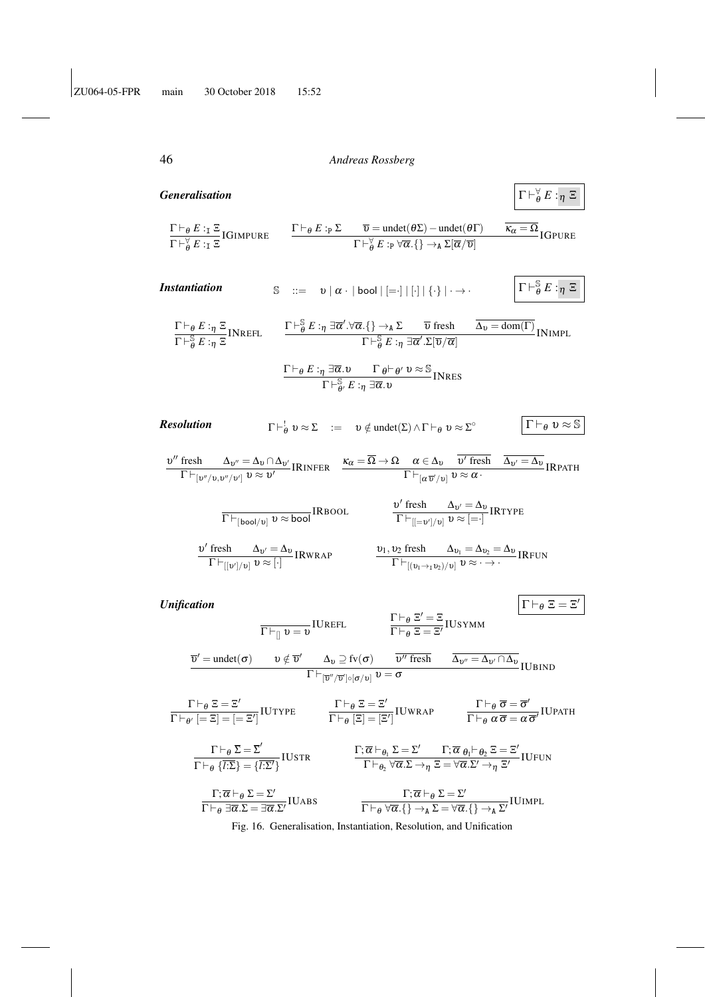$Generalisation$ 

$$
\frac{\Gamma \vdash_{\theta} E :_{\mathbf{I}} \Xi }{\Gamma \vdash^{\vee}_{\theta} E :_{\mathbf{I}} \Xi} \text{IGimpure} \qquad \frac{\Gamma \vdash_{\theta} E :_{\mathbf{P}} \Sigma \qquad \overline{\upsilon} = \text{undet}(\theta \Sigma) - \text{undet}(\theta \Gamma) \qquad \overline{\kappa_{\alpha} = \Omega} }{\Gamma \vdash^{\forall}_{\theta} E :_{\mathbf{P}} \forall \overline{\alpha} . \{\} \rightarrow_{\mathbf{A}} \Sigma[\overline{\alpha}/\overline{\upsilon}]} \text{IGpure}
$$

∀ θ *E* :<sup>η</sup> Ξ

 $\Gamma\vdash_{\theta}\Xi=\Xi'$ 

**Instantiation** 
$$
\mathbb{S} ::= v | \alpha \cdot | \text{bool} | = | | \cdot | | \cdot | \cdot \rangle | \cdot \rightarrow \cdot
$$
  $\Gamma \vdash_{\theta}^{\mathbb{S}} E :_{\eta} \Xi$ 

$$
\frac{\Gamma \vdash_{\theta} E :_{\eta} \Xi}{\Gamma \vdash_{\theta}^{\mathcal{S}} E :_{\eta} \Xi} \text{INREFL}
$$
\n
$$
\frac{\Gamma \vdash_{\theta}^{\mathcal{S}} E :_{\eta} \exists \overline{\alpha}' \cdot \forall \overline{\alpha} \cdot \{\} \rightarrow_{\mathbf{A}} \Sigma \qquad \overline{v} \text{ fresh} \qquad \overline{\Delta_{v} = \text{dom}(\Gamma)} }{\Gamma \vdash_{\theta}^{\mathcal{S}} E :_{\eta} \exists \overline{\alpha}' \cdot \Sigma [\overline{v}/\overline{\alpha}]}
$$
\nINIMPL\n
$$
\frac{\Gamma \vdash_{\theta} E :_{\eta} \exists \overline{\alpha} \cdot v \qquad \Gamma \varnothing \vdash_{\theta'} v \approx \mathcal{S}}{\Gamma \vdash_{\theta'}^{\mathcal{S}} E :_{\eta} \exists \overline{\alpha} \cdot v}
$$
\nINRES

| Resolution                                                                               | \n $\Gamma \vdash_{\theta}^{1} v \approx \Sigma \quad := \quad v \notin \text{undet}(\Sigma) \land \Gamma \vdash_{\theta} v \approx \Sigma^{\circ}$ \n | \n $\frac{\Gamma \vdash_{\theta} v \approx \mathbb{S}}{\Gamma \vdash_{[v''/v,v''/v']} v \approx v'}$ \n | \n $\frac{\kappa_{\alpha} = \overline{\Omega} \to \Omega \quad \alpha \in \Delta_{v} \quad \overline{v' \text{ fresh}} \quad \overline{\Delta_{v'} = \Delta_{v}}}{\Gamma \vdash_{[\alpha \overline{v}'/v]} v \approx \alpha}$ \n | \n $\frac{\nu' \text{ fresh}}{\Gamma \vdash_{[[\infty]/v]} v \approx \phi}$ \n | \n $\frac{\nu' \text{ fresh}}{\Gamma \vdash_{[[-v']/v]} v \approx [-1]} \text{IRHQOL}$ \n | \n $\frac{\nu' \text{ fresh}}{\Gamma \vdash_{[[-v']/v]} v \approx [-1]} \text{IRHQIC}$ \n |
|------------------------------------------------------------------------------------------|--------------------------------------------------------------------------------------------------------------------------------------------------------|---------------------------------------------------------------------------------------------------------|----------------------------------------------------------------------------------------------------------------------------------------------------------------------------------------------------------------------------------|--------------------------------------------------------------------------------|-------------------------------------------------------------------------------------------|-------------------------------------------------------------------------------------------|
| \n $\frac{\nu' \text{ fresh}}{\Gamma \vdash_{[[v']/v]} v \approx [-1]} \text{IRWRAP}$ \n | \n $\frac{\nu_{1}, \nu_{2} \text{ fresh}}{\Gamma \vdash_{[(\nu_{1} \to_{1} \nu_{2})/v]} v \approx [-1]} \text{IRFUN}$ \n                               |                                                                                                         |                                                                                                                                                                                                                                  |                                                                                |                                                                                           |                                                                                           |

*Unification*  $\Gamma \vdash_{\theta} \Xi = \Xi$  $\Gamma \vdash_{\theta} \Xi' = \Xi$ <br>  $\Gamma \vdash_{\theta} \Xi = \Xi'$  $\frac{1+\theta}{\Gamma + \theta} \frac{\Xi}{\Xi} = \Xi'$  IUSYMM  $\overline{v}' = \text{undet}(\sigma) \qquad v \notin \overline{v}$  $\Delta v \supseteq$  fv( $\sigma$ )  $\overline{v''}$  fresh  $\overline{\Delta_{v''} = \Delta_{v'} \cap \Delta_v}$  $\frac{1}{\Gamma \vdash_{[\overline{v}''/\overline{v}'] \circ [\sigma/v]} \mathbf{v} = \sigma}$  IUBIND  $\Gamma \vdash_{\theta} \Xi = \Xi'$  $\frac{\Gamma \vdash_{\theta} \Xi = \Xi'}{\Gamma \vdash_{\theta'} [=\Xi] = [=\Xi']}$  IUTYPE  $\qquad \frac{\Gamma \vdash_{\theta} \Xi = \Xi'}{\Gamma \vdash_{\theta} [ \Xi ] = [ \Xi ]}$  $\frac{\Gamma \vdash_{\theta} \Xi = \Xi'}{\Gamma \vdash_{\theta} [\Xi] = [\Xi']}$  IUWRAP  $\qquad \qquad \frac{\Gamma \vdash_{\theta} \overline{\sigma} = \overline{\sigma}'}{\Gamma \vdash_{\theta} \alpha \overline{\sigma} = \alpha}$  $\frac{1+\theta}{\Gamma \vdash_{\theta} \alpha \overline{\sigma} = \alpha \overline{\sigma}'}$  IUPATH  $\Gamma \vdash_{\theta} \overline{\Sigma} = \overline{\Sigma}'$  $\frac{\Gamma \vdash_{\theta} \overline{\Sigma} = \overline{\Sigma}'}{\Gamma \vdash_{\theta} \{I:\overline{\Sigma}\} = \{I:\overline{\Sigma}'\}}$ IUSTR $\frac{\Gamma; \overline{\alpha} \vdash_{\theta_1} \Sigma = \Sigma'}{\Gamma \vdash_{\theta_2} \forall \overline{\alpha}.\Sigma \rightarrow_{\eta} \Xi = \forall \overline{\alpha}.\Sigma' \rightarrow_{\eta} \Xi'}$  $\frac{\partial \Gamma}{\partial \Gamma} + \frac{\partial \Gamma}{\partial z} \sqrt{\alpha} \cdot \Sigma \rightarrow \eta \Sigma \equiv \overline{\alpha} \cdot \Sigma' \rightarrow \eta \Sigma'$  IUFUN  $\Gamma; \overline{\alpha} \vdash_{\theta} \Sigma = \Sigma'$  $\frac{\Gamma; \overline{\alpha} \vdash_{\theta} \Sigma = \Sigma'}{\Gamma \vdash_{\theta} \exists \overline{\alpha} . \Sigma = \exists \overline{\alpha} . \Sigma'} \text{IUABS}$   $\frac{\Gamma; \overline{\alpha} \vdash_{\theta} \Sigma = \Sigma'}{\Gamma \vdash_{\theta} \forall \overline{\alpha} . \{\} \rightarrow_{\mathbf{A}} \Sigma = \forall \overline{\alpha}}$  $\Gamma \vdash_{\theta} \forall \overline{\alpha}.\{\} \rightarrow_{A} \Sigma = \forall \overline{\alpha}.\{\} \rightarrow_{A} \Sigma'$  IUIMPL

Fig. 16. Generalisation, Instantiation, Resolution, and Unification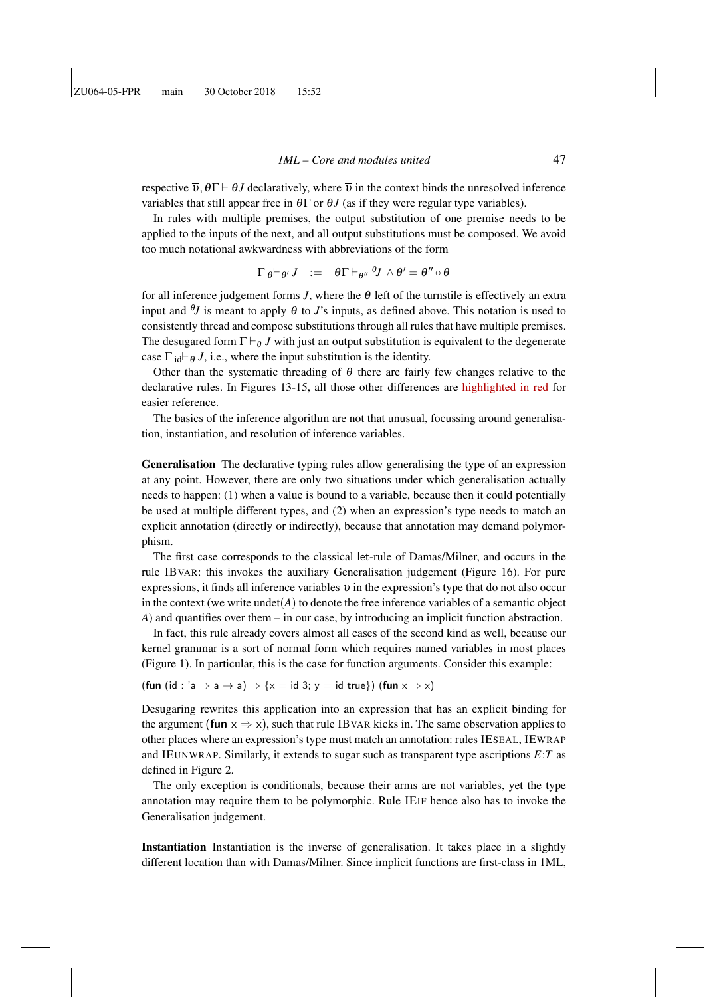respective  $\overline{v}$ ,  $\theta \Gamma \vdash \theta J$  declaratively, where  $\overline{v}$  in the context binds the unresolved inference variables that still appear free in  $\theta\Gamma$  or  $\theta J$  (as if they were regular type variables).

In rules with multiple premises, the output substitution of one premise needs to be applied to the inputs of the next, and all output substitutions must be composed. We avoid too much notational awkwardness with abbreviations of the form

$$
\Gamma \theta \vdash_{\theta'} J \ \ := \ \ \theta \Gamma \vdash_{\theta''} {}^{\theta} J \wedge \theta' = \theta'' \circ \theta
$$

for all inference judgement forms *J*, where the  $\theta$  left of the turnstile is effectively an extra input and  $\theta$ *J* is meant to apply  $\theta$  to *J*'s inputs, as defined above. This notation is used to consistently thread and compose substitutions through all rules that have multiple premises. The desugared form  $\Gamma \vdash_{\theta} J$  with just an output substitution is equivalent to the degenerate case  $\Gamma_{id} \vdash_{\theta} J$ , i.e., where the input substitution is the identity.

Other than the systematic threading of  $\theta$  there are fairly few changes relative to the declarative rules. In Figures 13-15, all those other differences are highlighted in red for easier reference.

The basics of the inference algorithm are not that unusual, focussing around generalisation, instantiation, and resolution of inference variables.

Generalisation The declarative typing rules allow generalising the type of an expression at any point. However, there are only two situations under which generalisation actually needs to happen: (1) when a value is bound to a variable, because then it could potentially be used at multiple different types, and (2) when an expression's type needs to match an explicit annotation (directly or indirectly), because that annotation may demand polymorphism.

The first case corresponds to the classical let-rule of Damas/Milner, and occurs in the rule IBVAR: this invokes the auxiliary Generalisation judgement (Figure 16). For pure expressions, it finds all inference variables  $\overline{v}$  in the expression's type that do not also occur in the context (we write undet $(A)$  to denote the free inference variables of a semantic object *A*) and quantifies over them – in our case, by introducing an implicit function abstraction.

In fact, this rule already covers almost all cases of the second kind as well, because our kernel grammar is a sort of normal form which requires named variables in most places (Figure 1). In particular, this is the case for function arguments. Consider this example:

(fun (id : 'a  $\Rightarrow$  a  $\rightarrow$  a)  $\Rightarrow$  {x = id 3; y = id true}) (fun  $x \Rightarrow x$ )

Desugaring rewrites this application into an expression that has an explicit binding for the argument (fun  $x \Rightarrow x$ ), such that rule IBVAR kicks in. The same observation applies to other places where an expression's type must match an annotation: rules IESEAL, IEWRAP and IEUNWRAP. Similarly, it extends to sugar such as transparent type ascriptions *E*:*T* as defined in Figure 2.

The only exception is conditionals, because their arms are not variables, yet the type annotation may require them to be polymorphic. Rule IEIF hence also has to invoke the Generalisation judgement.

Instantiation Instantiation is the inverse of generalisation. It takes place in a slightly different location than with Damas/Milner. Since implicit functions are first-class in 1ML,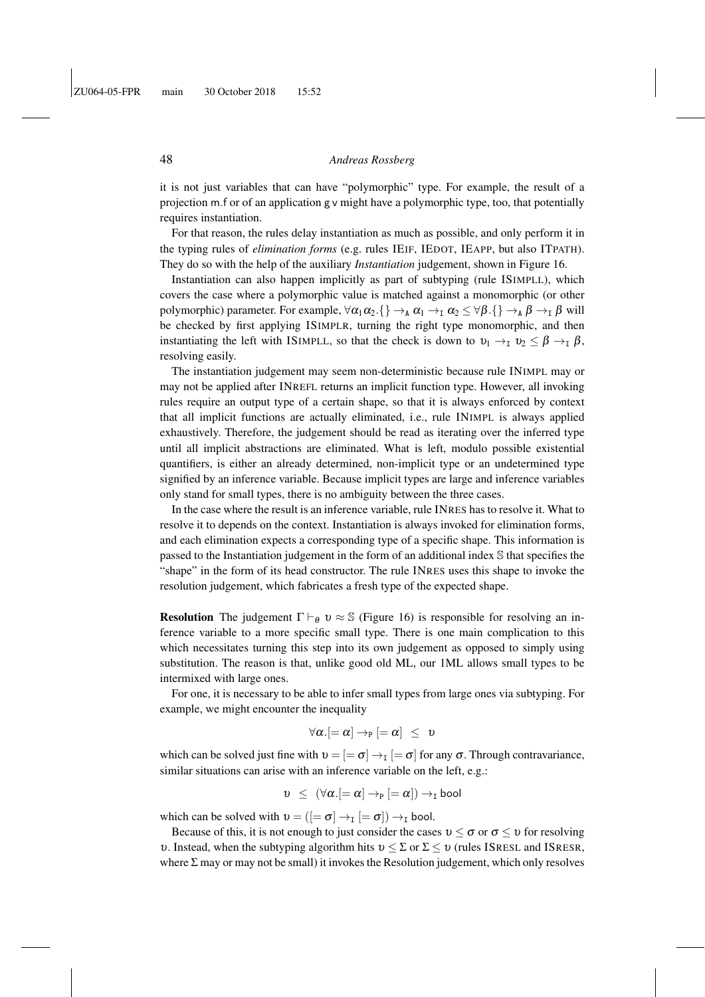it is not just variables that can have "polymorphic" type. For example, the result of a projection m.f or of an application  $g v$  might have a polymorphic type, too, that potentially requires instantiation.

For that reason, the rules delay instantiation as much as possible, and only perform it in the typing rules of *elimination forms* (e.g. rules IEIF, IEDOT, IEAPP, but also ITPATH). They do so with the help of the auxiliary *Instantiation* judgement, shown in Figure 16.

Instantiation can also happen implicitly as part of subtyping (rule ISIMPLL), which covers the case where a polymorphic value is matched against a monomorphic (or other polymorphic) parameter. For example,  $\forall \alpha_1 \alpha_2$ .  $\{\} \rightarrow_A \alpha_1 \rightarrow_I \alpha_2 \leq \forall \beta$ .  $\{\} \rightarrow_A \beta \rightarrow_I \beta$  will be checked by first applying ISIMPLR, turning the right type monomorphic, and then instantiating the left with ISIMPLL, so that the check is down to  $v_1 \rightarrow_I v_2 \leq \beta \rightarrow_I \beta$ , resolving easily.

The instantiation judgement may seem non-deterministic because rule INIMPL may or may not be applied after INREFL returns an implicit function type. However, all invoking rules require an output type of a certain shape, so that it is always enforced by context that all implicit functions are actually eliminated, i.e., rule INIMPL is always applied exhaustively. Therefore, the judgement should be read as iterating over the inferred type until all implicit abstractions are eliminated. What is left, modulo possible existential quantifiers, is either an already determined, non-implicit type or an undetermined type signified by an inference variable. Because implicit types are large and inference variables only stand for small types, there is no ambiguity between the three cases.

In the case where the result is an inference variable, rule INRES has to resolve it. What to resolve it to depends on the context. Instantiation is always invoked for elimination forms, and each elimination expects a corresponding type of a specific shape. This information is passed to the Instantiation judgement in the form of an additional index S that specifies the "shape" in the form of its head constructor. The rule INRES uses this shape to invoke the resolution judgement, which fabricates a fresh type of the expected shape.

**Resolution** The judgement  $\Gamma \vdash_{\theta} v \approx \mathcal{S}$  (Figure 16) is responsible for resolving an inference variable to a more specific small type. There is one main complication to this which necessitates turning this step into its own judgement as opposed to simply using substitution. The reason is that, unlike good old ML, our 1ML allows small types to be intermixed with large ones.

For one, it is necessary to be able to infer small types from large ones via subtyping. For example, we might encounter the inequality

$$
\forall \alpha. [=\alpha] \rightarrow_{\mathtt{P}} [=\alpha] \;\; \leq \;\; \upsilon
$$

which can be solved just fine with  $v = \begin{bmatrix} = \sigma \end{bmatrix} \rightarrow_I \begin{bmatrix} = \sigma \end{bmatrix}$  for any  $\sigma$ . Through contravariance, similar situations can arise with an inference variable on the left, e.g.:

$$
\upsilon \ \leq \ (\forall \alpha . [ = \alpha] \rightarrow_{\mathtt{P}} [ = \alpha]) \rightarrow_{\mathtt{I}} \mathtt{bool}
$$

which can be solved with  $v = ( [\equiv \sigma] \rightarrow_I [\equiv \sigma] ) \rightarrow_I$  bool.

Because of this, it is not enough to just consider the cases  $v \leq \sigma$  or  $\sigma \leq v$  for resolving υ. Instead, when the subtyping algorithm hits  $υ \leq Σ$  or  $Σ \leq v$  (rules ISRESL and ISRESR, where  $\Sigma$  may or may not be small) it invokes the Resolution judgement, which only resolves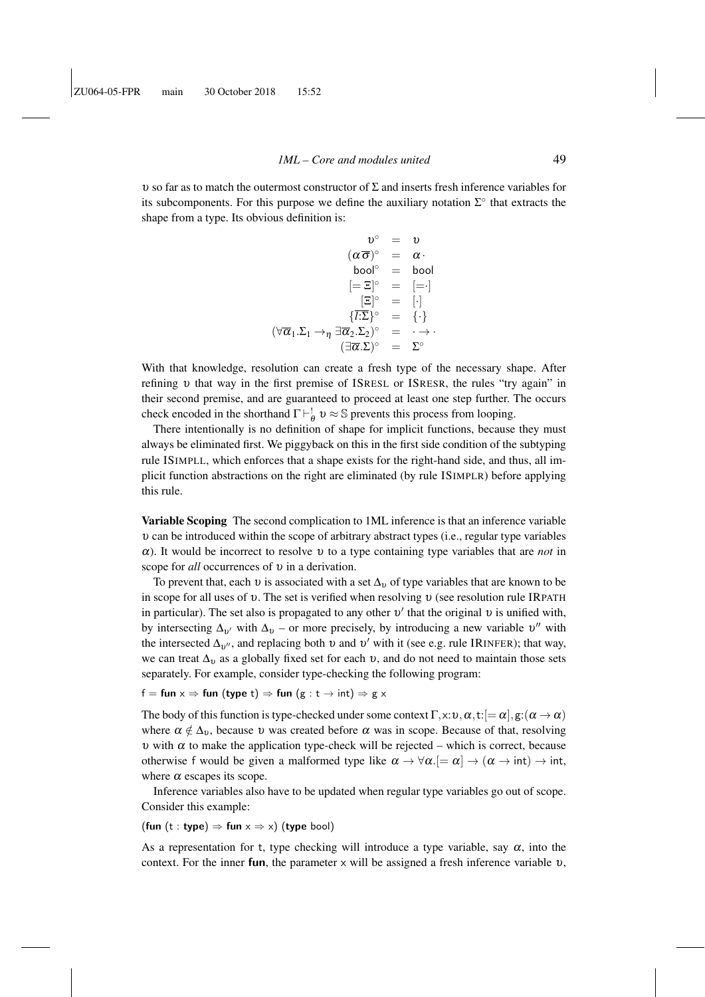υ so far as to match the outermost constructor of Σ and inserts fresh inference variables for its subcomponents. For this purpose we define the auxiliary notation  $\Sigma^{\circ}$  that extracts the shape from a type. Its obvious definition is:

$$
v^{\circ} = v
$$
  
\n
$$
(\alpha \overline{\sigma})^{\circ} = \alpha \cdot
$$
  
\n
$$
bool^{\circ} = bool
$$
  
\n
$$
[=\Xi]^{\circ} = [-]
$$
  
\n
$$
[\Xi]^{\circ} = [ \cdot ]
$$
  
\n
$$
\{I:\Sigma\}^{\circ} = {\{\cdot \}}
$$
  
\n
$$
(\forall \alpha_1.\Sigma_1 \rightarrow_\eta \exists \alpha_2.\Sigma_2)^{\circ} = \cdot \rightarrow \cdot
$$
  
\n
$$
(\exists \alpha.\Sigma)^{\circ} = \Sigma^{\circ}
$$

With that knowledge, resolution can create a fresh type of the necessary shape. After refining υ that way in the first premise of ISRESL or ISRESR, the rules "try again" in their second premise, and are guaranteed to proceed at least one step further. The occurs check encoded in the shorthand  $\Gamma \vdash^!_\theta v \approx \mathbb{S}$  prevents this process from looping.

There intentionally is no definition of shape for implicit functions, because they must always be eliminated first. We piggyback on this in the first side condition of the subtyping rule ISIMPLL, which enforces that a shape exists for the right-hand side, and thus, all implicit function abstractions on the right are eliminated (by rule ISIMPLR) before applying this rule.

Variable Scoping The second complication to 1ML inference is that an inference variable υ can be introduced within the scope of arbitrary abstract types (i.e., regular type variables α). It would be incorrect to resolve υ to a type containing type variables that are *not* in scope for *all* occurrences of υ in a derivation.

To prevent that, each v is associated with a set  $\Delta_{v}$  of type variables that are known to be in scope for all uses of  $v$ . The set is verified when resolving  $v$  (see resolution rule IRPATH in particular). The set also is propagated to any other  $v'$  that the original v is unified with, by intersecting  $\Delta_{\nu'}$  with  $\Delta_{\nu}$  – or more precisely, by introducing a new variable  $\nu''$  with the intersected  $\Delta_{v''}$ , and replacing both v and v' with it (see e.g. rule IRINFER); that way, we can treat  $\Delta_{\nu}$  as a globally fixed set for each  $\nu$ , and do not need to maintain those sets separately. For example, consider type-checking the following program:

$$
\mathsf{f} = \mathsf{fun} \times \Rightarrow \mathsf{fun} \; (\mathsf{type} \; \mathsf{t}) \Rightarrow \mathsf{fun} \; (\mathsf{g}: \mathsf{t} \to \mathsf{int}) \Rightarrow \mathsf{g} \times
$$

The body of this function is type-checked under some context  $\Gamma$ , x:  $v$ ,  $\alpha$ , t:  $[=\alpha]$ , g: $(\alpha \to \alpha)$ where  $\alpha \notin \Delta_{\nu}$ , because v was created before  $\alpha$  was in scope. Because of that, resolving υ with α to make the application type-check will be rejected – which is correct, because otherwise f would be given a malformed type like  $\alpha \to \forall \alpha$ .[=  $\alpha$ ]  $\to (\alpha \to \text{int}) \to \text{int}$ , where  $\alpha$  escapes its scope.

Inference variables also have to be updated when regular type variables go out of scope. Consider this example:

#### (fun (t : type)  $\Rightarrow$  fun  $x \Rightarrow x$ ) (type bool)

As a representation for t, type checking will introduce a type variable, say  $\alpha$ , into the context. For the inner fun, the parameter x will be assigned a fresh inference variable  $v$ ,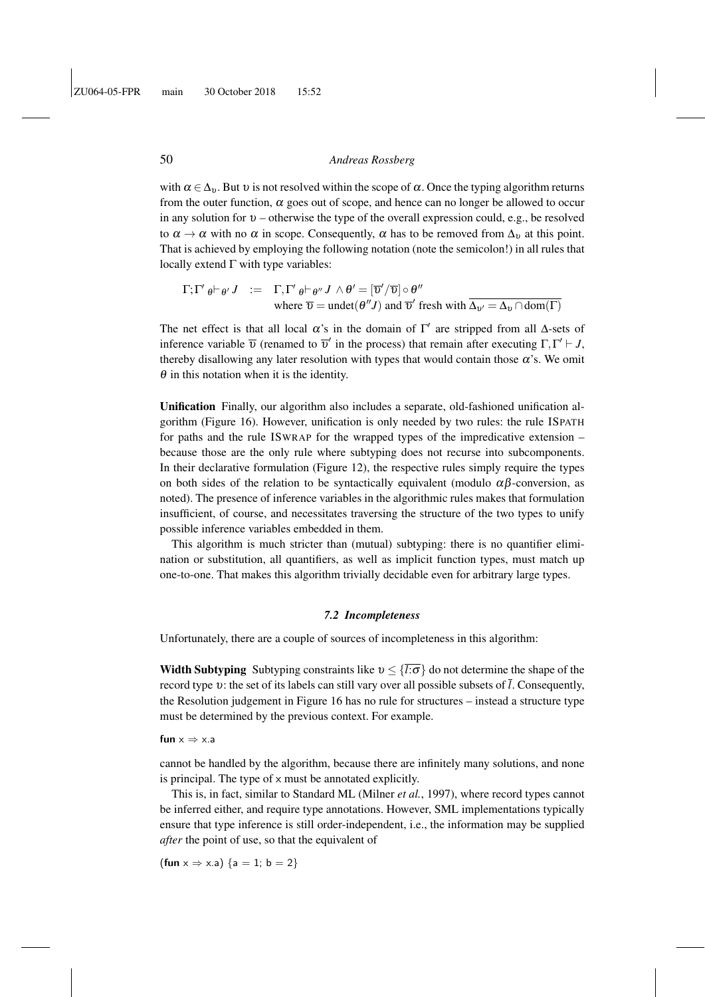with  $\alpha \in \Delta_{\nu}$ . But  $\nu$  is not resolved within the scope of  $\alpha$ . Once the typing algorithm returns from the outer function,  $\alpha$  goes out of scope, and hence can no longer be allowed to occur in any solution for  $v$  – otherwise the type of the overall expression could, e.g., be resolved to  $\alpha \to \alpha$  with no  $\alpha$  in scope. Consequently,  $\alpha$  has to be removed from  $\Delta_{\rm v}$  at this point. That is achieved by employing the following notation (note the semicolon!) in all rules that locally extend  $\Gamma$  with type variables:

$$
\Gamma; \Gamma' \theta \vdash \theta' J \quad := \quad \Gamma, \Gamma' \theta \vdash \theta'' J \land \theta' = [\overline{\upsilon}' / \overline{\upsilon}] \circ \theta''
$$
\n
$$
\text{where } \overline{\upsilon} = \text{undet}(\theta'' J) \text{ and } \overline{\upsilon}' \text{ fresh with } \overline{\Delta_{\upsilon'} = \Delta_{\upsilon} \cap \text{dom}(\Gamma)}
$$

The net effect is that all local  $\alpha$ 's in the domain of  $\Gamma'$  are stripped from all  $\Delta$ -sets of inference variable  $\bar{\upsilon}$  (renamed to  $\bar{\upsilon}'$  in the process) that remain after executing  $\Gamma, \Gamma' \vdash J$ , thereby disallowing any later resolution with types that would contain those  $\alpha$ 's. We omit  $\theta$  in this notation when it is the identity.

Unification Finally, our algorithm also includes a separate, old-fashioned unification algorithm (Figure 16). However, unification is only needed by two rules: the rule ISPATH for paths and the rule ISWRAP for the wrapped types of the impredicative extension – because those are the only rule where subtyping does not recurse into subcomponents. In their declarative formulation (Figure 12), the respective rules simply require the types on both sides of the relation to be syntactically equivalent (modulo  $\alpha\beta$ -conversion, as noted). The presence of inference variables in the algorithmic rules makes that formulation insufficient, of course, and necessitates traversing the structure of the two types to unify possible inference variables embedded in them.

This algorithm is much stricter than (mutual) subtyping: there is no quantifier elimination or substitution, all quantifiers, as well as implicit function types, must match up one-to-one. That makes this algorithm trivially decidable even for arbitrary large types.

#### *7.2 Incompleteness*

Unfortunately, there are a couple of sources of incompleteness in this algorithm:

Width Subtyping Subtyping constraints like  $v \leq {\overline{i:\sigma}}$  do not determine the shape of the record type υ: the set of its labels can still vary over all possible subsets of *l*. Consequently, the Resolution judgement in Figure 16 has no rule for structures – instead a structure type must be determined by the previous context. For example.

fun  $x \Rightarrow x$ .a

cannot be handled by the algorithm, because there are infinitely many solutions, and none is principal. The type of  $\times$  must be annotated explicitly.

This is, in fact, similar to Standard ML (Milner *et al.*, 1997), where record types cannot be inferred either, and require type annotations. However, SML implementations typically ensure that type inference is still order-independent, i.e., the information may be supplied *after* the point of use, so that the equivalent of

 $(\text{fun } x \Rightarrow x.a)$  {a = 1; b = 2}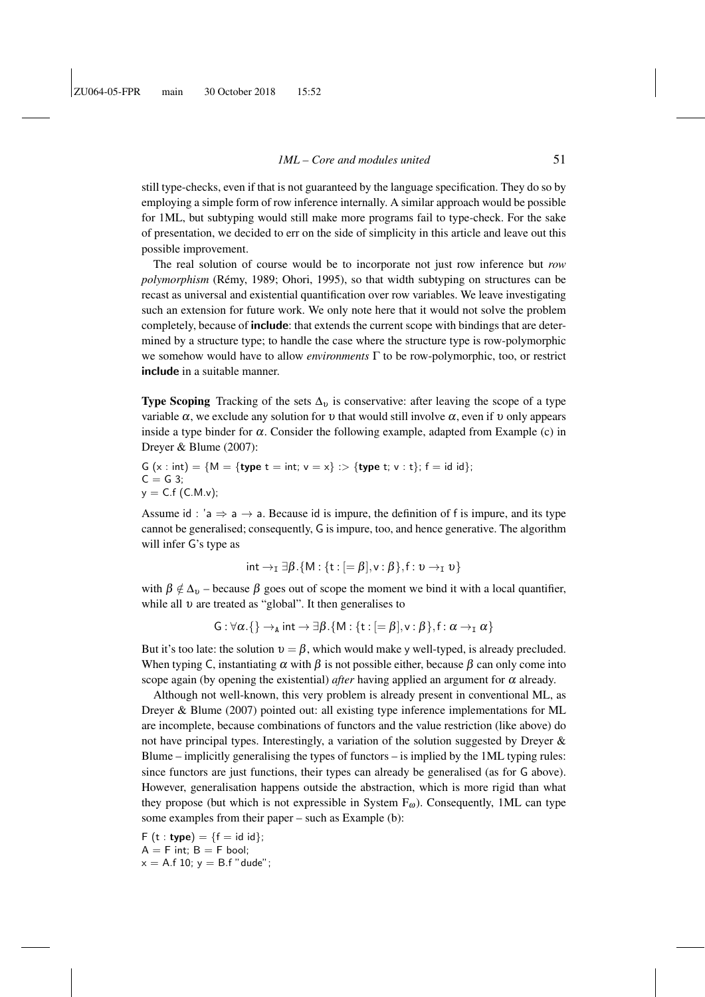still type-checks, even if that is not guaranteed by the language specification. They do so by employing a simple form of row inference internally. A similar approach would be possible for 1ML, but subtyping would still make more programs fail to type-check. For the sake of presentation, we decided to err on the side of simplicity in this article and leave out this possible improvement.

The real solution of course would be to incorporate not just row inference but *row polymorphism* (Remy, 1989; Ohori, 1995), so that width subtyping on structures can be ´ recast as universal and existential quantification over row variables. We leave investigating such an extension for future work. We only note here that it would not solve the problem completely, because of **include**: that extends the current scope with bindings that are determined by a structure type; to handle the case where the structure type is row-polymorphic we somehow would have to allow *environments* Γ to be row-polymorphic, too, or restrict include in a suitable manner.

**Type Scoping** Tracking of the sets  $\Delta_{\nu}$  is conservative: after leaving the scope of a type variable  $\alpha$ , we exclude any solution for v that would still involve  $\alpha$ , even if v only appears inside a type binder for  $\alpha$ . Consider the following example, adapted from Example (c) in Dreyer & Blume (2007):

G  $(x : int) = \{M = \{type t = int; v = x\} : > \{type t; v : t\}; f = id id\};$  $C = G 3;$  $y = C.f (C.M.v);$ 

Assume id : 'a  $\Rightarrow$  a  $\rightarrow$  a. Because id is impure, the definition of f is impure, and its type cannot be generalised; consequently, G is impure, too, and hence generative. The algorithm will infer G's type as

$$
\mathsf{int} \rightarrow_{\mathtt{I}} \exists \beta. \{ \mathsf{M} : \{\mathtt{t} : [=\beta], \mathsf{v} : \beta\}, \mathtt{f} : \mathsf{v} \rightarrow_{\mathtt{I}} \mathsf{v} \}
$$

with  $\beta \notin \Delta_{\nu}$  – because  $\beta$  goes out of scope the moment we bind it with a local quantifier, while all  $\nu$  are treated as "global". It then generalises to

 $G: \forall \alpha.\{\} \rightarrow_A \text{int} \rightarrow \exists \beta.\{M: \{\text{t}: [\alpha \beta], \text{v}: \beta\}, \text{f}: \alpha \rightarrow_\text{I} \alpha\}$ 

But it's too late: the solution  $v = \beta$ , which would make y well-typed, is already precluded. When typing C, instantiating  $\alpha$  with  $\beta$  is not possible either, because  $\beta$  can only come into scope again (by opening the existential) *after* having applied an argument for  $\alpha$  already.

Although not well-known, this very problem is already present in conventional ML, as Dreyer & Blume (2007) pointed out: all existing type inference implementations for ML are incomplete, because combinations of functors and the value restriction (like above) do not have principal types. Interestingly, a variation of the solution suggested by Dreyer & Blume – implicitly generalising the types of functors – is implied by the 1ML typing rules: since functors are just functions, their types can already be generalised (as for G above). However, generalisation happens outside the abstraction, which is more rigid than what they propose (but which is not expressible in System  $F_{\omega}$ ). Consequently, 1ML can type some examples from their paper – such as Example (b):

 $F(t : type) = {f = id id};$  $A = F$  int;  $B = F$  bool;  $x = A.f 10; y = B.f'' dude'';$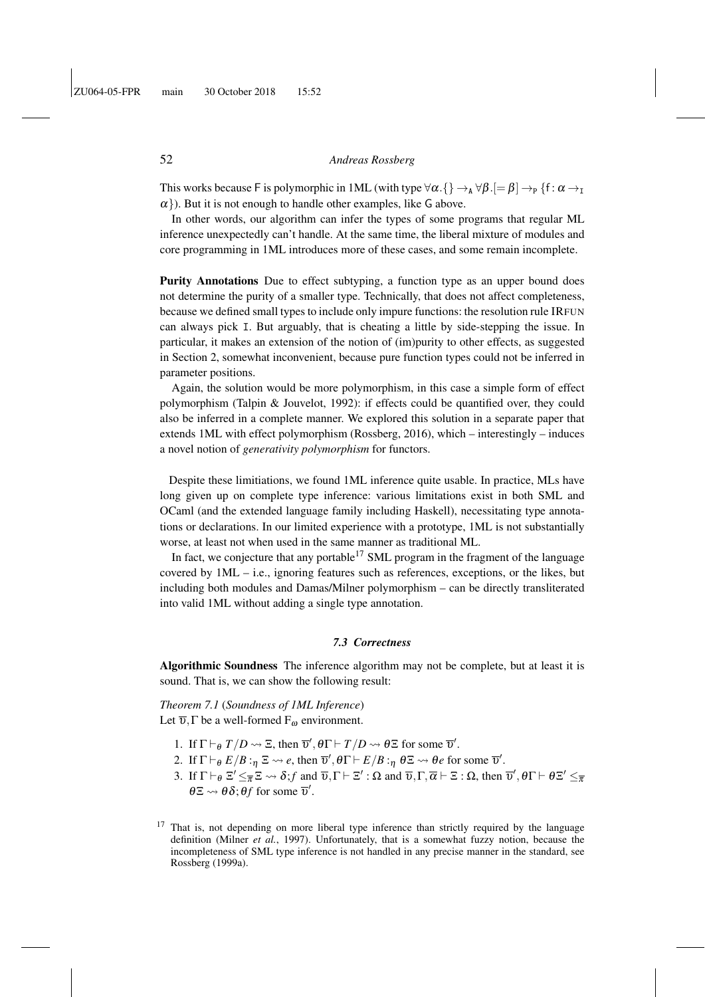This works because F is polymorphic in 1ML (with type  $\forall \alpha$ .  $\{\} \rightarrow_A \forall \beta$ .  $[=\beta] \rightarrow_P \{f : \alpha \rightarrow_I \}$  $\alpha$ }). But it is not enough to handle other examples, like G above.

In other words, our algorithm can infer the types of some programs that regular ML inference unexpectedly can't handle. At the same time, the liberal mixture of modules and core programming in 1ML introduces more of these cases, and some remain incomplete.

Purity Annotations Due to effect subtyping, a function type as an upper bound does not determine the purity of a smaller type. Technically, that does not affect completeness, because we defined small types to include only impure functions: the resolution rule IRFUN can always pick I. But arguably, that is cheating a little by side-stepping the issue. In particular, it makes an extension of the notion of (im)purity to other effects, as suggested in Section 2, somewhat inconvenient, because pure function types could not be inferred in parameter positions.

Again, the solution would be more polymorphism, in this case a simple form of effect polymorphism (Talpin & Jouvelot, 1992): if effects could be quantified over, they could also be inferred in a complete manner. We explored this solution in a separate paper that extends 1ML with effect polymorphism (Rossberg, 2016), which – interestingly – induces a novel notion of *generativity polymorphism* for functors.

Despite these limitiations, we found 1ML inference quite usable. In practice, MLs have long given up on complete type inference: various limitations exist in both SML and OCaml (and the extended language family including Haskell), necessitating type annotations or declarations. In our limited experience with a prototype, 1ML is not substantially worse, at least not when used in the same manner as traditional ML.

In fact, we conjecture that any portable<sup>17</sup> SML program in the fragment of the language covered by 1ML – i.e., ignoring features such as references, exceptions, or the likes, but including both modules and Damas/Milner polymorphism – can be directly transliterated into valid 1ML without adding a single type annotation.

# *7.3 Correctness*

Algorithmic Soundness The inference algorithm may not be complete, but at least it is sound. That is, we can show the following result:

*Theorem 7.1* (*Soundness of 1ML Inference*) Let  $\overline{v}$ ,  $\Gamma$  be a well-formed  $F_{\omega}$  environment.

- 1. If  $\Gamma \vdash_{\theta} T/D \leadsto \Xi$ , then  $\overline{\upsilon}', \theta \Gamma \vdash T/D \leadsto \theta \Xi$  for some  $\overline{\upsilon}'$ .
- 2. If  $\Gamma \vdash_{\theta} E/B :_{\eta} \Xi \leadsto e$ , then  $\overline{\upsilon}', \theta \Gamma \vdash E/B :_{\eta} \theta \Xi \leadsto \theta e$  for some  $\overline{\upsilon}'$ .
- 3. If  $\Gamma \vdash_{\theta} \Xi' \leq_{\overline{\pi}} \Xi \leadsto \delta$ ; *f* and  $\overline{\upsilon}, \Gamma \vdash \Xi' : \Omega$  and  $\overline{\upsilon}, \Gamma, \overline{\alpha} \vdash \Xi : \Omega$ , then  $\overline{\upsilon}', \theta \Gamma \vdash \theta \Xi' \leq_{\overline{\pi}}$  $\theta \Xi \leadsto \theta \delta; \theta f$  for some  $\overline{\upsilon}'$ .

 $17$  That is, not depending on more liberal type inference than strictly required by the language definition (Milner *et al.*, 1997). Unfortunately, that is a somewhat fuzzy notion, because the incompleteness of SML type inference is not handled in any precise manner in the standard, see Rossberg (1999a).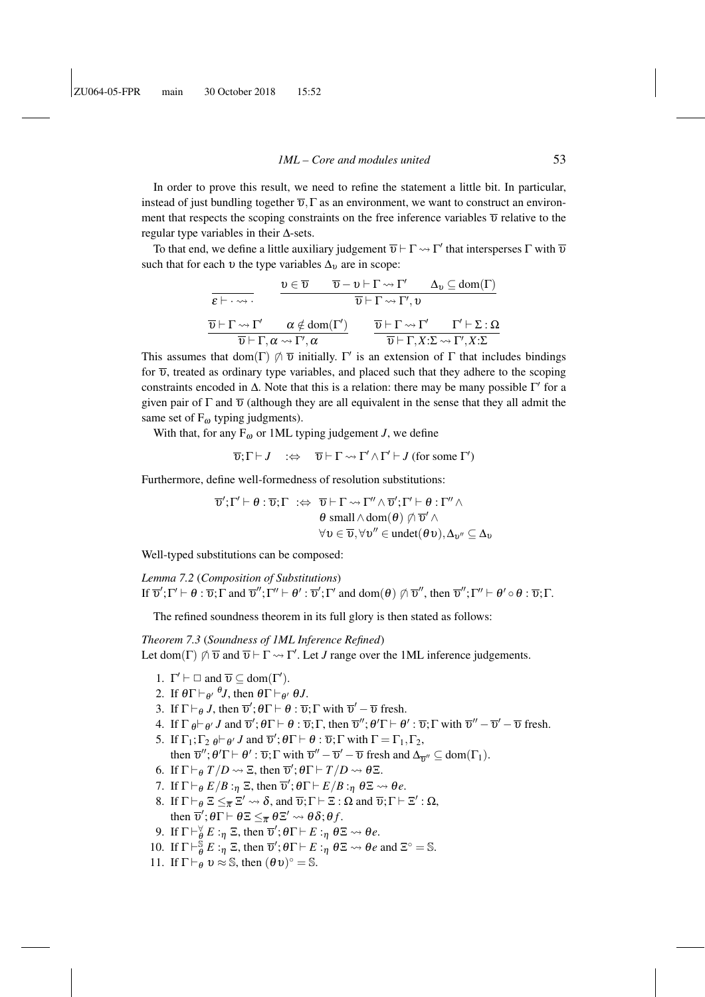In order to prove this result, we need to refine the statement a little bit. In particular, instead of just bundling together  $\overline{v}$ , Γ as an environment, we want to construct an environment that respects the scoping constraints on the free inference variables  $\overline{\nu}$  relative to the regular type variables in their ∆-sets.

To that end, we define a little auxiliary judgement  $\overline{\upsilon} \vdash \Gamma \leadsto \Gamma'$  that intersperses  $\Gamma$  with  $\overline{\upsilon}$ such that for each  $v$  the type variables  $\Delta_v$  are in scope:

$$
\begin{aligned}\n\frac{\nu \in \overline{\upsilon} \qquad \overline{\upsilon} - \upsilon \vdash \Gamma \leadsto \Gamma'}{\overline{\upsilon} \vdash \Gamma \leadsto \Gamma', \upsilon} \\
\frac{\nu \in \overline{\upsilon} \qquad \overline{\upsilon} \vdash \Gamma \leadsto \Gamma', \upsilon}{\overline{\upsilon} \vdash \Gamma \leadsto \Gamma', \upsilon} \\
\frac{\overline{\upsilon} \vdash \Gamma \leadsto \Gamma'}{\overline{\upsilon} \vdash \Gamma, \alpha \leadsto \Gamma', \alpha} \qquad\n\frac{\overline{\upsilon} \vdash \Gamma \leadsto \Gamma' \qquad \Gamma' \vdash \Sigma : \Omega}{\overline{\upsilon} \vdash \Gamma, X : \Sigma \leadsto \Gamma', X : \Sigma}\n\end{aligned}
$$

This assumes that dom(Γ)  $\emptyset$   $\overline{v}$  initially. Γ' is an extension of Γ that includes bindings for  $\overline{v}$ , treated as ordinary type variables, and placed such that they adhere to the scoping constraints encoded in  $\Delta$ . Note that this is a relation: there may be many possible  $\Gamma'$  for a given pair of  $\Gamma$  and  $\overline{\nu}$  (although they are all equivalent in the sense that they all admit the same set of  $F_{\omega}$  typing judgments).

With that, for any  $F_{\omega}$  or 1ML typing judgement *J*, we define

$$
\overline{\upsilon}; \Gamma \vdash J \quad :\Leftrightarrow \quad \overline{\upsilon} \vdash \Gamma \leadsto \Gamma' \wedge \Gamma' \vdash J \text{ (for some } \Gamma')
$$

Furthermore, define well-formedness of resolution substitutions:

$$
\begin{aligned} \overline{\upsilon}';\Gamma'\vdash \theta:\overline{\upsilon};\Gamma&:\Leftrightarrow\ \overline{\upsilon}\vdash \Gamma\leadsto \Gamma''\wedge \overline{\upsilon}';\Gamma'\vdash \theta:\Gamma''\wedge\\ &\theta\ \text{small}\wedge \text{dom}(\theta)\not\cap \overline{\upsilon}'\wedge\\ &\forall \upsilon\in \overline{\upsilon},\forall \upsilon''\in \text{undet}(\theta\upsilon),\Delta_{\upsilon''}\subseteq \Delta_{\upsilon} \end{aligned}
$$

Well-typed substitutions can be composed:

*Lemma 7.2* (*Composition of Substitutions*) If  $\overline{\upsilon}';\Gamma'\vdash\theta:\overline{\upsilon};\Gamma$  and  $\overline{\upsilon}'';\Gamma''\vdash\theta':\overline{\upsilon}';\Gamma'$  and  $\text{dom}(\theta)\not\cap\overline{\upsilon}''$ , then  $\overline{\upsilon}'';\Gamma''\vdash\theta'\circ\theta:\overline{\upsilon};\Gamma$ .

The refined soundness theorem in its full glory is then stated as follows:

*Theorem 7.3* (*Soundness of 1ML Inference Refined*) Let dom(Γ)  $\emptyset$   $\overline{v}$  and  $\overline{v}$   $\vdash \Gamma \leadsto \Gamma'$ . Let *J* range over the 1ML inference judgements.

- 1.  $\Gamma' \vdash \Box$  and  $\overline{\upsilon} \subseteq \text{dom}(\Gamma').$
- 2. If  $\theta \Gamma \vdash_{\theta'} \theta J$ , then  $\theta \Gamma \vdash_{\theta'} \theta J$ .
- 3. If  $\Gamma \vdash_{\theta} J$ , then  $\overline{\upsilon}'$ ;  $\theta \Gamma \vdash \theta : \overline{\upsilon}$ ;  $\Gamma$  with  $\overline{\upsilon}' \overline{\upsilon}$  fresh.
- 4. If  $\Gamma_{\theta} \vdash_{\theta'} J$  and  $\overline{\upsilon}'$ ;  $\theta \Gamma \vdash \theta : \overline{\upsilon}; \Gamma$ , then  $\overline{\upsilon}''$ ;  $\theta' \Gamma \vdash \theta' : \overline{\upsilon}; \Gamma$  with  $\overline{\upsilon}'' \overline{\upsilon}' \overline{\upsilon}$  fresh.
- 5. If  $\Gamma_1$ ;  $\Gamma_2$   $\theta \vdash \theta'$  *J* and  $\overline{\upsilon}'$ ;  $\theta \Gamma \vdash \theta : \overline{\upsilon}$ ;  $\Gamma$  with  $\Gamma = \Gamma_1, \Gamma_2$ , then  $\overline{\upsilon}'$ ;  $\theta'\Gamma \vdash \theta' : \overline{\upsilon}$ ;  $\Gamma$  with  $\overline{\upsilon}'' - \overline{\upsilon}' - \overline{\upsilon}$  fresh and  $\Delta_{\overline{\upsilon}''} \subseteq \text{dom}(\Gamma_1)$ .
- 6. If  $\Gamma \vdash_{\theta} T/D \rightsquigarrow \Xi$ , then  $\overline{\upsilon}'$ ;  $\theta \Gamma \vdash T/D \rightsquigarrow \theta \Xi$ .
- 7. If  $\Gamma \vdash_{\theta} E/B :_{\eta} \Xi$ , then  $\overline{\upsilon}'$ ;  $\theta \Gamma \vdash E/B :_{\eta} \theta \Xi \leadsto \theta e$ .
- 8. If  $\Gamma \vdash_{\theta} \Xi \leq_{\overline{\pi}} \Xi' \leadsto \delta$ , and  $\overline{\upsilon}; \Gamma \vdash \Xi : \Omega$  and  $\overline{\upsilon}; \Gamma \vdash \Xi' : \Omega$ , then  $\overline{\upsilon}'$ ;  $\theta \Gamma \vdash \theta \Xi \leq_{\overline{\pi}} \theta \Xi' \leadsto \theta \delta$ ;  $\theta f$ .
- 9. If  $\Gamma \vdash^{\forall}_{\theta} E :_{\eta} \Xi$ , then  $\overline{\upsilon}'$ ;  $\theta \Gamma \vdash E :_{\eta} \theta \Xi \leadsto \theta e$ .
- 10. If  $\Gamma \vdash_{\theta}^{\S}$  $\frac{\tilde{S}}{\theta} E :_{\eta} \Xi$ , then  $\overline{\upsilon}'$ ;  $\theta \Gamma \vdash E :_{\eta} \theta \Xi \leadsto \theta e$  and  $\Xi^{\circ} = \mathbb{S}$ .
- 11. If  $\Gamma \vdash_{\theta} v \approx \mathbb{S}$ , then  $(\theta v)^{\circ} = \mathbb{S}$ .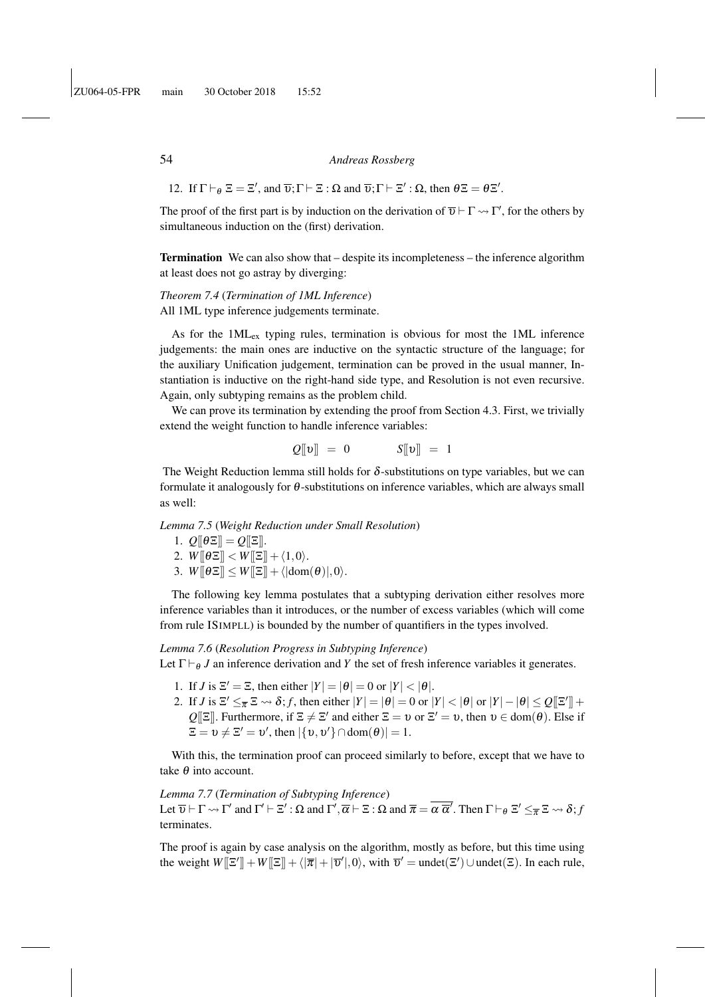12. If  $\Gamma \vdash_{\theta} \Xi = \Xi'$ , and  $\overline{\upsilon}; \Gamma \vdash \Xi : \Omega$  and  $\overline{\upsilon}; \Gamma \vdash \Xi' : \Omega$ , then  $\theta \Xi = \theta \Xi'$ .

The proof of the first part is by induction on the derivation of  $\overline{\mathbf{v}} \vdash \Gamma \leadsto \Gamma'$ , for the others by simultaneous induction on the (first) derivation.

Termination We can also show that – despite its incompleteness – the inference algorithm at least does not go astray by diverging:

# *Theorem 7.4* (*Termination of 1ML Inference*) All 1ML type inference judgements terminate.

As for the 1MLex typing rules, termination is obvious for most the 1ML inference judgements: the main ones are inductive on the syntactic structure of the language; for the auxiliary Unification judgement, termination can be proved in the usual manner, Instantiation is inductive on the right-hand side type, and Resolution is not even recursive. Again, only subtyping remains as the problem child.

We can prove its termination by extending the proof from Section 4.3. First, we trivially extend the weight function to handle inference variables:

$$
Q[\hspace{-1.5pt}[ v]\hspace{-1.5pt}] = 0 \hspace{1cm} S[\hspace{-1.5pt}[ v]\hspace{-1.5pt}] = 1
$$

The Weight Reduction lemma still holds for  $\delta$ -substitutions on type variables, but we can formulate it analogously for  $\theta$ -substitutions on inference variables, which are always small as well:

*Lemma 7.5* (*Weight Reduction under Small Resolution*)

- 1.  $Q[\theta \Xi] = Q[\Xi]$ .
- 2.  $W[\![\theta \Xi]\!] < W[\![\Xi]\!] + \langle 1,0 \rangle.$
- 3.  $W[\theta \Xi] \leq W[\Xi] + \langle |dom(\theta)|,0 \rangle.$

The following key lemma postulates that a subtyping derivation either resolves more inference variables than it introduces, or the number of excess variables (which will come from rule ISIMPLL) is bounded by the number of quantifiers in the types involved.

# *Lemma 7.6* (*Resolution Progress in Subtyping Inference*)

Let  $\Gamma \vdash_{\theta} J$  an inference derivation and *Y* the set of fresh inference variables it generates.

- 1. If *J* is  $\mathbb{E}' = \mathbb{E}$ , then either  $|Y| = |\theta| = 0$  or  $|Y| < |\theta|$ .
- 2. If *J* is  $\mathbb{E}' \leq_{\overline{\pi}} \mathbb{E} \rightsquigarrow \delta$ ; *f*, then either  $|Y| = |\theta| = 0$  or  $|Y| < |\theta|$  or  $|Y| |\theta| \leq Q[\mathbb{E}'] +$  $Q[\mathbb{E}]$ . Furthermore, if  $\Xi \neq \Xi'$  and either  $\Xi = \nu$  or  $\Xi' = \nu$ , then  $\nu \in \text{dom}(\theta)$ . Else if  $\Xi = \nu \neq \Xi' = \nu'$ , then  $|\{v, v'\} \cap \text{dom}(\theta)| = 1$ .

With this, the termination proof can proceed similarly to before, except that we have to take  $\theta$  into account.

*Lemma 7.7* (*Termination of Subtyping Inference*) Let  $\overline{\upsilon} \vdash \Gamma \leadsto \Gamma'$  and  $\Gamma' \vdash \Xi' : \Omega$  and  $\Gamma', \overline{\alpha} \vdash \Xi : \Omega$  and  $\overline{\pi} = \overline{\alpha \ \overline{\alpha'}}$ . Then  $\Gamma \vdash_{\theta} \Xi' \leq_{\overline{\pi}} \Xi \leadsto \delta; j$ terminates.

The proof is again by case analysis on the algorithm, mostly as before, but this time using the weight  $W[\mathbb{E}'] + W[\mathbb{E}] + \langle |\overline{\pi}| + |\overline{\nu}'|, 0 \rangle$ , with  $\overline{\nu}' = \text{undet}(\Xi') \cup \text{undet}(\Xi)$ . In each rule,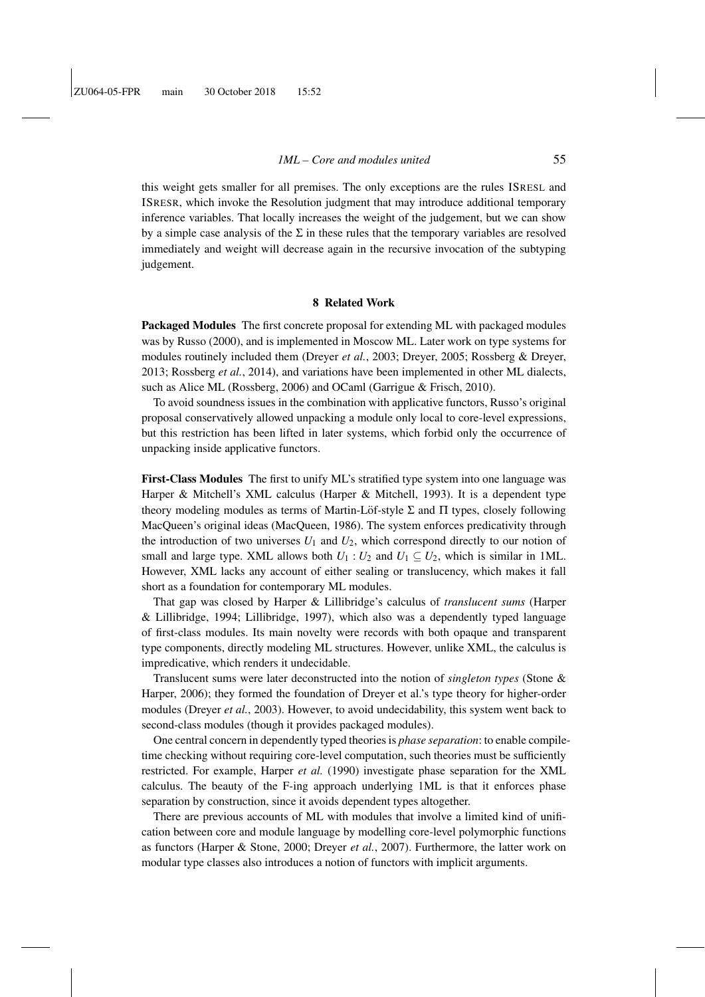this weight gets smaller for all premises. The only exceptions are the rules ISRESL and ISRESR, which invoke the Resolution judgment that may introduce additional temporary inference variables. That locally increases the weight of the judgement, but we can show by a simple case analysis of the  $\Sigma$  in these rules that the temporary variables are resolved immediately and weight will decrease again in the recursive invocation of the subtyping judgement.

#### 8 Related Work

Packaged Modules The first concrete proposal for extending ML with packaged modules was by Russo (2000), and is implemented in Moscow ML. Later work on type systems for modules routinely included them (Dreyer *et al.*, 2003; Dreyer, 2005; Rossberg & Dreyer, 2013; Rossberg *et al.*, 2014), and variations have been implemented in other ML dialects, such as Alice ML (Rossberg, 2006) and OCaml (Garrigue & Frisch, 2010).

To avoid soundness issues in the combination with applicative functors, Russo's original proposal conservatively allowed unpacking a module only local to core-level expressions, but this restriction has been lifted in later systems, which forbid only the occurrence of unpacking inside applicative functors.

First-Class Modules The first to unify ML's stratified type system into one language was Harper & Mitchell's XML calculus (Harper & Mitchell, 1993). It is a dependent type theory modeling modules as terms of Martin-Löf-style  $\Sigma$  and  $\Pi$  types, closely following MacQueen's original ideas (MacQueen, 1986). The system enforces predicativity through the introduction of two universes  $U_1$  and  $U_2$ , which correspond directly to our notion of small and large type. XML allows both  $U_1 : U_2$  and  $U_1 \subseteq U_2$ , which is similar in 1ML. However, XML lacks any account of either sealing or translucency, which makes it fall short as a foundation for contemporary ML modules.

That gap was closed by Harper & Lillibridge's calculus of *translucent sums* (Harper & Lillibridge, 1994; Lillibridge, 1997), which also was a dependently typed language of first-class modules. Its main novelty were records with both opaque and transparent type components, directly modeling ML structures. However, unlike XML, the calculus is impredicative, which renders it undecidable.

Translucent sums were later deconstructed into the notion of *singleton types* (Stone & Harper, 2006); they formed the foundation of Dreyer et al.'s type theory for higher-order modules (Dreyer *et al.*, 2003). However, to avoid undecidability, this system went back to second-class modules (though it provides packaged modules).

One central concern in dependently typed theories is *phase separation*: to enable compiletime checking without requiring core-level computation, such theories must be sufficiently restricted. For example, Harper *et al.* (1990) investigate phase separation for the XML calculus. The beauty of the F-ing approach underlying 1ML is that it enforces phase separation by construction, since it avoids dependent types altogether.

There are previous accounts of ML with modules that involve a limited kind of unification between core and module language by modelling core-level polymorphic functions as functors (Harper & Stone, 2000; Dreyer *et al.*, 2007). Furthermore, the latter work on modular type classes also introduces a notion of functors with implicit arguments.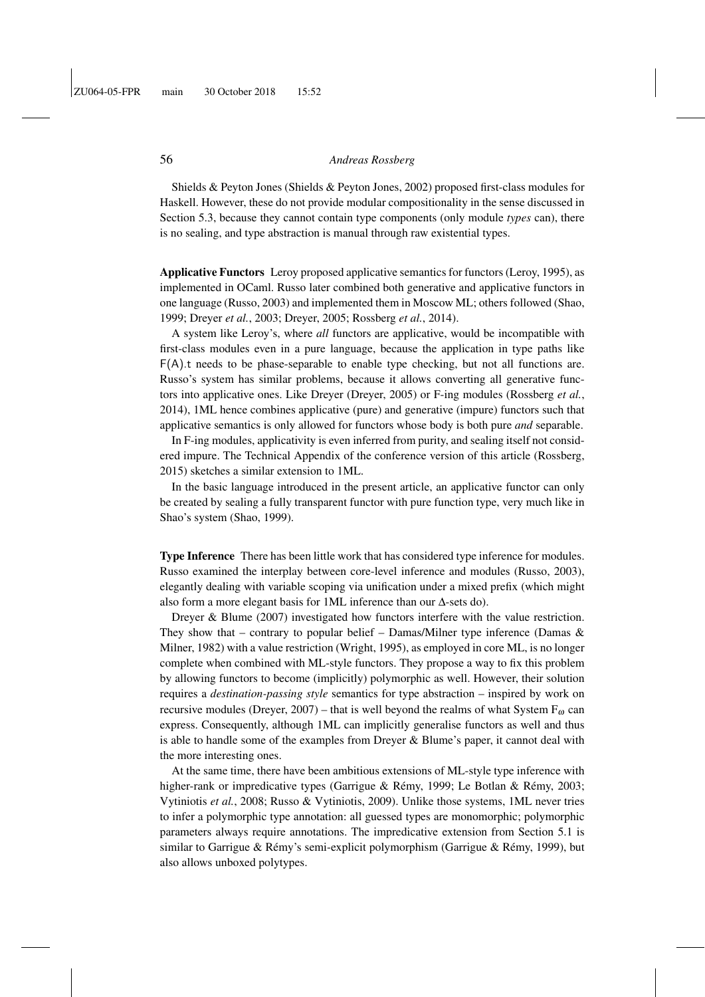Shields & Peyton Jones (Shields & Peyton Jones, 2002) proposed first-class modules for Haskell. However, these do not provide modular compositionality in the sense discussed in Section 5.3, because they cannot contain type components (only module *types* can), there is no sealing, and type abstraction is manual through raw existential types.

Applicative Functors Leroy proposed applicative semantics for functors (Leroy, 1995), as implemented in OCaml. Russo later combined both generative and applicative functors in one language (Russo, 2003) and implemented them in Moscow ML; others followed (Shao, 1999; Dreyer *et al.*, 2003; Dreyer, 2005; Rossberg *et al.*, 2014).

A system like Leroy's, where *all* functors are applicative, would be incompatible with first-class modules even in a pure language, because the application in type paths like F(A).t needs to be phase-separable to enable type checking, but not all functions are. Russo's system has similar problems, because it allows converting all generative functors into applicative ones. Like Dreyer (Dreyer, 2005) or F-ing modules (Rossberg *et al.*, 2014), 1ML hence combines applicative (pure) and generative (impure) functors such that applicative semantics is only allowed for functors whose body is both pure *and* separable.

In F-ing modules, applicativity is even inferred from purity, and sealing itself not considered impure. The Technical Appendix of the conference version of this article (Rossberg, 2015) sketches a similar extension to 1ML.

In the basic language introduced in the present article, an applicative functor can only be created by sealing a fully transparent functor with pure function type, very much like in Shao's system (Shao, 1999).

Type Inference There has been little work that has considered type inference for modules. Russo examined the interplay between core-level inference and modules (Russo, 2003), elegantly dealing with variable scoping via unification under a mixed prefix (which might also form a more elegant basis for 1ML inference than our ∆-sets do).

Dreyer & Blume (2007) investigated how functors interfere with the value restriction. They show that – contrary to popular belief – Damas/Milner type inference (Damas  $\&$ Milner, 1982) with a value restriction (Wright, 1995), as employed in core ML, is no longer complete when combined with ML-style functors. They propose a way to fix this problem by allowing functors to become (implicitly) polymorphic as well. However, their solution requires a *destination-passing style* semantics for type abstraction – inspired by work on recursive modules (Dreyer, 2007) – that is well beyond the realms of what System  $F_{\omega}$  can express. Consequently, although 1ML can implicitly generalise functors as well and thus is able to handle some of the examples from Dreyer  $\&$  Blume's paper, it cannot deal with the more interesting ones.

At the same time, there have been ambitious extensions of ML-style type inference with higher-rank or impredicative types (Garrigue & Rémy, 1999; Le Botlan & Rémy, 2003; Vytiniotis *et al.*, 2008; Russo & Vytiniotis, 2009). Unlike those systems, 1ML never tries to infer a polymorphic type annotation: all guessed types are monomorphic; polymorphic parameters always require annotations. The impredicative extension from Section 5.1 is similar to Garrigue & Rémy's semi-explicit polymorphism (Garrigue & Rémy, 1999), but also allows unboxed polytypes.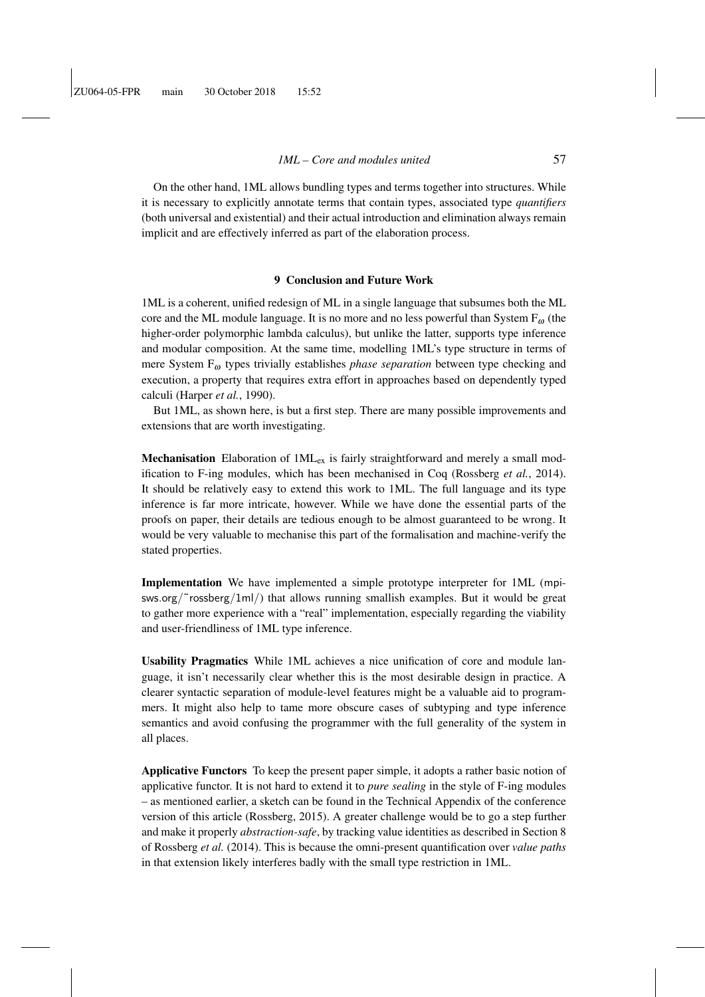On the other hand, 1ML allows bundling types and terms together into structures. While it is necessary to explicitly annotate terms that contain types, associated type *quantifiers* (both universal and existential) and their actual introduction and elimination always remain implicit and are effectively inferred as part of the elaboration process.

#### 9 Conclusion and Future Work

1ML is a coherent, unified redesign of ML in a single language that subsumes both the ML core and the ML module language. It is no more and no less powerful than System  $F_{\omega}$  (the higher-order polymorphic lambda calculus), but unlike the latter, supports type inference and modular composition. At the same time, modelling 1ML's type structure in terms of mere System F<sup>ω</sup> types trivially establishes *phase separation* between type checking and execution, a property that requires extra effort in approaches based on dependently typed calculi (Harper *et al.*, 1990).

But 1ML, as shown here, is but a first step. There are many possible improvements and extensions that are worth investigating.

Mechanisation Elaboration of 1ML<sub>ex</sub> is fairly straightforward and merely a small modification to F-ing modules, which has been mechanised in Coq (Rossberg *et al.*, 2014). It should be relatively easy to extend this work to 1ML. The full language and its type inference is far more intricate, however. While we have done the essential parts of the proofs on paper, their details are tedious enough to be almost guaranteed to be wrong. It would be very valuable to mechanise this part of the formalisation and machine-verify the stated properties.

Implementation We have implemented a simple prototype interpreter for 1ML (mpisws.org/ $\text{``rossberg/1ml/)}$  that allows running smallish examples. But it would be great to gather more experience with a "real" implementation, especially regarding the viability and user-friendliness of 1ML type inference.

Usability Pragmatics While 1ML achieves a nice unification of core and module language, it isn't necessarily clear whether this is the most desirable design in practice. A clearer syntactic separation of module-level features might be a valuable aid to programmers. It might also help to tame more obscure cases of subtyping and type inference semantics and avoid confusing the programmer with the full generality of the system in all places.

Applicative Functors To keep the present paper simple, it adopts a rather basic notion of applicative functor. It is not hard to extend it to *pure sealing* in the style of F-ing modules – as mentioned earlier, a sketch can be found in the Technical Appendix of the conference version of this article (Rossberg, 2015). A greater challenge would be to go a step further and make it properly *abstraction-safe*, by tracking value identities as described in Section 8 of Rossberg *et al.* (2014). This is because the omni-present quantification over *value paths* in that extension likely interferes badly with the small type restriction in 1ML.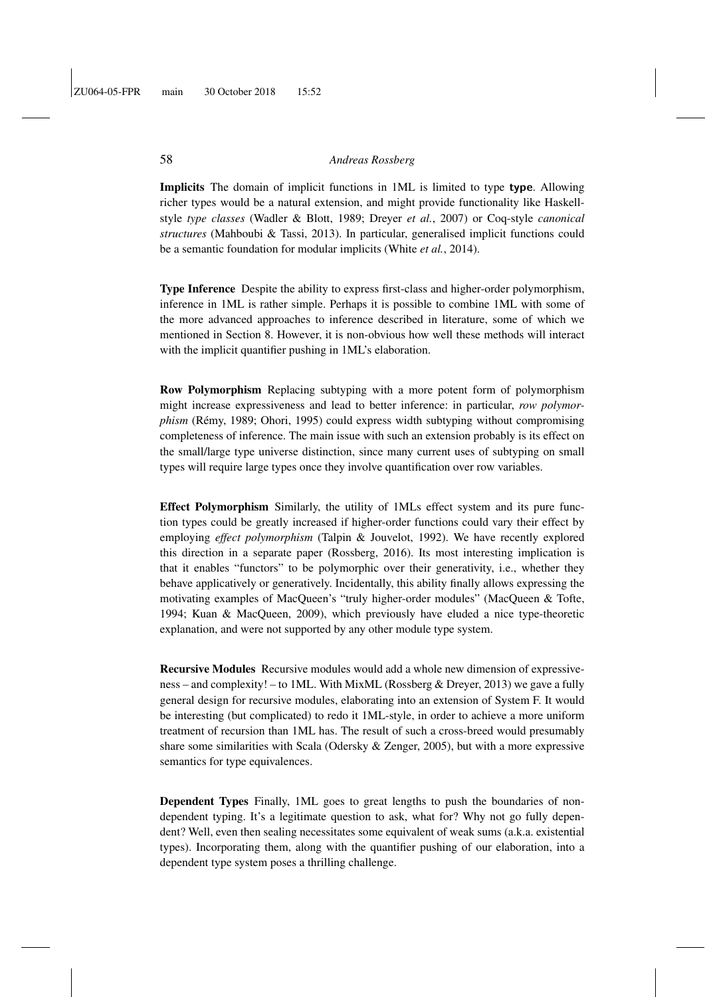Implicits The domain of implicit functions in 1ML is limited to type type. Allowing richer types would be a natural extension, and might provide functionality like Haskellstyle *type classes* (Wadler & Blott, 1989; Dreyer *et al.*, 2007) or Coq-style *canonical structures* (Mahboubi & Tassi, 2013). In particular, generalised implicit functions could be a semantic foundation for modular implicits (White *et al.*, 2014).

Type Inference Despite the ability to express first-class and higher-order polymorphism, inference in 1ML is rather simple. Perhaps it is possible to combine 1ML with some of the more advanced approaches to inference described in literature, some of which we mentioned in Section 8. However, it is non-obvious how well these methods will interact with the implicit quantifier pushing in 1ML's elaboration.

Row Polymorphism Replacing subtyping with a more potent form of polymorphism might increase expressiveness and lead to better inference: in particular, *row polymorphism* (Rémy, 1989; Ohori, 1995) could express width subtyping without compromising completeness of inference. The main issue with such an extension probably is its effect on the small/large type universe distinction, since many current uses of subtyping on small types will require large types once they involve quantification over row variables.

Effect Polymorphism Similarly, the utility of 1MLs effect system and its pure function types could be greatly increased if higher-order functions could vary their effect by employing *effect polymorphism* (Talpin & Jouvelot, 1992). We have recently explored this direction in a separate paper (Rossberg, 2016). Its most interesting implication is that it enables "functors" to be polymorphic over their generativity, i.e., whether they behave applicatively or generatively. Incidentally, this ability finally allows expressing the motivating examples of MacQueen's "truly higher-order modules" (MacQueen & Tofte, 1994; Kuan & MacQueen, 2009), which previously have eluded a nice type-theoretic explanation, and were not supported by any other module type system.

Recursive Modules Recursive modules would add a whole new dimension of expressiveness – and complexity! – to 1ML. With MixML (Rossberg & Dreyer, 2013) we gave a fully general design for recursive modules, elaborating into an extension of System F. It would be interesting (but complicated) to redo it 1ML-style, in order to achieve a more uniform treatment of recursion than 1ML has. The result of such a cross-breed would presumably share some similarities with Scala (Odersky  $\&$  Zenger, 2005), but with a more expressive semantics for type equivalences.

Dependent Types Finally, 1ML goes to great lengths to push the boundaries of nondependent typing. It's a legitimate question to ask, what for? Why not go fully dependent? Well, even then sealing necessitates some equivalent of weak sums (a.k.a. existential types). Incorporating them, along with the quantifier pushing of our elaboration, into a dependent type system poses a thrilling challenge.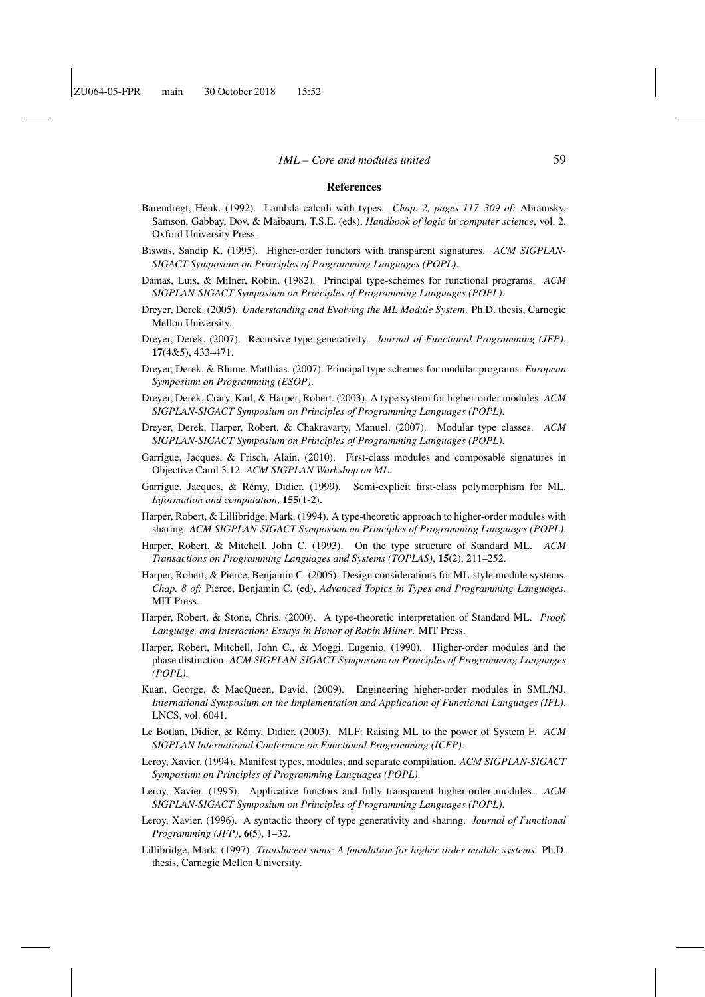#### References

- Barendregt, Henk. (1992). Lambda calculi with types. *Chap. 2, pages 117–309 of:* Abramsky, Samson, Gabbay, Dov, & Maibaum, T.S.E. (eds), *Handbook of logic in computer science*, vol. 2. Oxford University Press.
- Biswas, Sandip K. (1995). Higher-order functors with transparent signatures. *ACM SIGPLAN-SIGACT Symposium on Principles of Programming Languages (POPL)*.
- Damas, Luis, & Milner, Robin. (1982). Principal type-schemes for functional programs. *ACM SIGPLAN-SIGACT Symposium on Principles of Programming Languages (POPL)*.
- Dreyer, Derek. (2005). *Understanding and Evolving the ML Module System*. Ph.D. thesis, Carnegie Mellon University.
- Dreyer, Derek. (2007). Recursive type generativity. *Journal of Functional Programming (JFP)*, 17(4&5), 433–471.
- Dreyer, Derek, & Blume, Matthias. (2007). Principal type schemes for modular programs. *European Symposium on Programming (ESOP)*.
- Dreyer, Derek, Crary, Karl, & Harper, Robert. (2003). A type system for higher-order modules. *ACM SIGPLAN-SIGACT Symposium on Principles of Programming Languages (POPL)*.
- Dreyer, Derek, Harper, Robert, & Chakravarty, Manuel. (2007). Modular type classes. *ACM SIGPLAN-SIGACT Symposium on Principles of Programming Languages (POPL)*.
- Garrigue, Jacques, & Frisch, Alain. (2010). First-class modules and composable signatures in Objective Caml 3.12. *ACM SIGPLAN Workshop on ML*.
- Garrigue, Jacques, & Remy, Didier. (1999). Semi-explicit first-class polymorphism for ML. ´ *Information and computation*, 155(1-2).
- Harper, Robert, & Lillibridge, Mark. (1994). A type-theoretic approach to higher-order modules with sharing. *ACM SIGPLAN-SIGACT Symposium on Principles of Programming Languages (POPL)*.
- Harper, Robert, & Mitchell, John C. (1993). On the type structure of Standard ML. *ACM Transactions on Programming Languages and Systems (TOPLAS)*, 15(2), 211–252.
- Harper, Robert, & Pierce, Benjamin C. (2005). Design considerations for ML-style module systems. *Chap. 8 of:* Pierce, Benjamin C. (ed), *Advanced Topics in Types and Programming Languages*. MIT Press.
- Harper, Robert, & Stone, Chris. (2000). A type-theoretic interpretation of Standard ML. *Proof, Language, and Interaction: Essays in Honor of Robin Milner*. MIT Press.
- Harper, Robert, Mitchell, John C., & Moggi, Eugenio. (1990). Higher-order modules and the phase distinction. *ACM SIGPLAN-SIGACT Symposium on Principles of Programming Languages (POPL)*.
- Kuan, George, & MacQueen, David. (2009). Engineering higher-order modules in SML/NJ. *International Symposium on the Implementation and Application of Functional Languages (IFL)*. LNCS, vol. 6041.
- Le Botlan, Didier, & Remy, Didier. (2003). MLF: Raising ML to the power of System F. ´ *ACM SIGPLAN International Conference on Functional Programming (ICFP)*.
- Leroy, Xavier. (1994). Manifest types, modules, and separate compilation. *ACM SIGPLAN-SIGACT Symposium on Principles of Programming Languages (POPL)*.
- Leroy, Xavier. (1995). Applicative functors and fully transparent higher-order modules. *ACM SIGPLAN-SIGACT Symposium on Principles of Programming Languages (POPL)*.
- Leroy, Xavier. (1996). A syntactic theory of type generativity and sharing. *Journal of Functional Programming (JFP)*, 6(5), 1–32.
- Lillibridge, Mark. (1997). *Translucent sums: A foundation for higher-order module systems*. Ph.D. thesis, Carnegie Mellon University.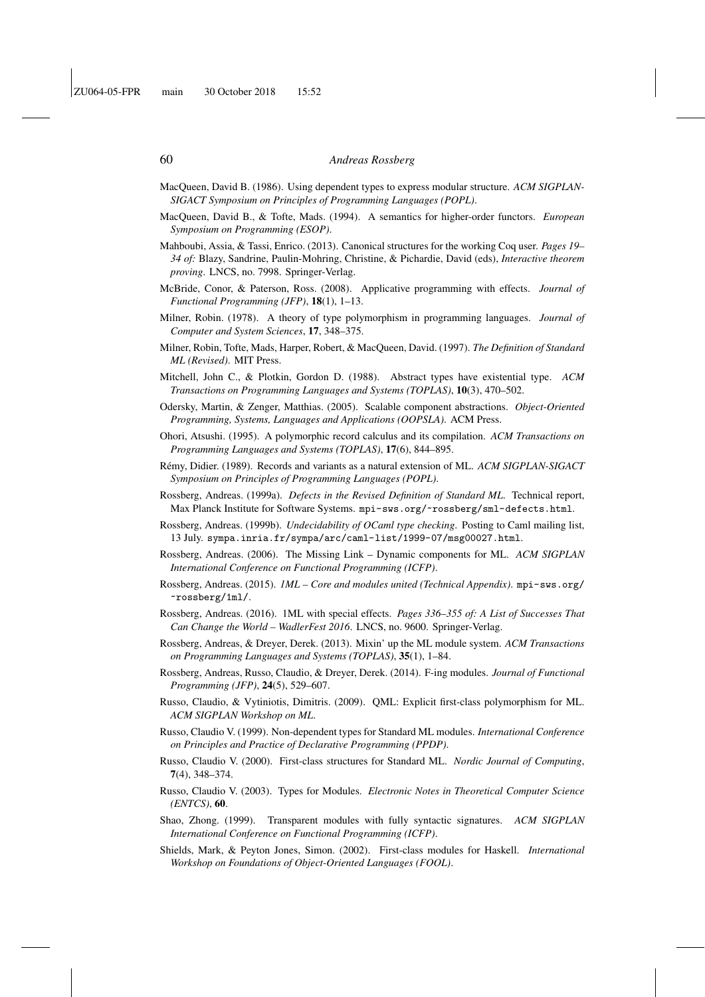- MacQueen, David B. (1986). Using dependent types to express modular structure. *ACM SIGPLAN-SIGACT Symposium on Principles of Programming Languages (POPL)*.
- MacQueen, David B., & Tofte, Mads. (1994). A semantics for higher-order functors. *European Symposium on Programming (ESOP)*.
- Mahboubi, Assia, & Tassi, Enrico. (2013). Canonical structures for the working Coq user. *Pages 19– 34 of:* Blazy, Sandrine, Paulin-Mohring, Christine, & Pichardie, David (eds), *Interactive theorem proving*. LNCS, no. 7998. Springer-Verlag.
- McBride, Conor, & Paterson, Ross. (2008). Applicative programming with effects. *Journal of Functional Programming (JFP)*, 18(1), 1–13.
- Milner, Robin. (1978). A theory of type polymorphism in programming languages. *Journal of Computer and System Sciences*, 17, 348–375.
- Milner, Robin, Tofte, Mads, Harper, Robert, & MacQueen, David. (1997). *The Definition of Standard ML (Revised)*. MIT Press.
- Mitchell, John C., & Plotkin, Gordon D. (1988). Abstract types have existential type. *ACM Transactions on Programming Languages and Systems (TOPLAS)*, 10(3), 470–502.
- Odersky, Martin, & Zenger, Matthias. (2005). Scalable component abstractions. *Object-Oriented Programming, Systems, Languages and Applications (OOPSLA)*. ACM Press.
- Ohori, Atsushi. (1995). A polymorphic record calculus and its compilation. *ACM Transactions on Programming Languages and Systems (TOPLAS)*, 17(6), 844–895.
- Rémy, Didier. (1989). Records and variants as a natural extension of ML. ACM SIGPLAN-SIGACT *Symposium on Principles of Programming Languages (POPL)*.
- Rossberg, Andreas. (1999a). *Defects in the Revised Definition of Standard ML*. Technical report, Max Planck Institute for Software Systems. mpi-sws.org/~rossberg/sml-defects.html.
- Rossberg, Andreas. (1999b). *Undecidability of OCaml type checking*. Posting to Caml mailing list, 13 July. sympa.inria.fr/sympa/arc/caml-list/1999-07/msg00027.html.
- Rossberg, Andreas. (2006). The Missing Link Dynamic components for ML. *ACM SIGPLAN International Conference on Functional Programming (ICFP)*.
- Rossberg, Andreas. (2015). *1ML Core and modules united (Technical Appendix)*. mpi-sws.org/ ~rossberg/1ml/.
- Rossberg, Andreas. (2016). 1ML with special effects. *Pages 336–355 of: A List of Successes That Can Change the World – WadlerFest 2016*. LNCS, no. 9600. Springer-Verlag.
- Rossberg, Andreas, & Dreyer, Derek. (2013). Mixin' up the ML module system. *ACM Transactions on Programming Languages and Systems (TOPLAS)*, 35(1), 1–84.
- Rossberg, Andreas, Russo, Claudio, & Dreyer, Derek. (2014). F-ing modules. *Journal of Functional Programming (JFP)*, 24(5), 529–607.
- Russo, Claudio, & Vytiniotis, Dimitris. (2009). QML: Explicit first-class polymorphism for ML. *ACM SIGPLAN Workshop on ML*.
- Russo, Claudio V. (1999). Non-dependent types for Standard ML modules. *International Conference on Principles and Practice of Declarative Programming (PPDP)*.
- Russo, Claudio V. (2000). First-class structures for Standard ML. *Nordic Journal of Computing*, 7(4), 348–374.
- Russo, Claudio V. (2003). Types for Modules. *Electronic Notes in Theoretical Computer Science (ENTCS)*, 60.
- Shao, Zhong. (1999). Transparent modules with fully syntactic signatures. *ACM SIGPLAN International Conference on Functional Programming (ICFP)*.
- Shields, Mark, & Peyton Jones, Simon. (2002). First-class modules for Haskell. *International Workshop on Foundations of Object-Oriented Languages (FOOL)*.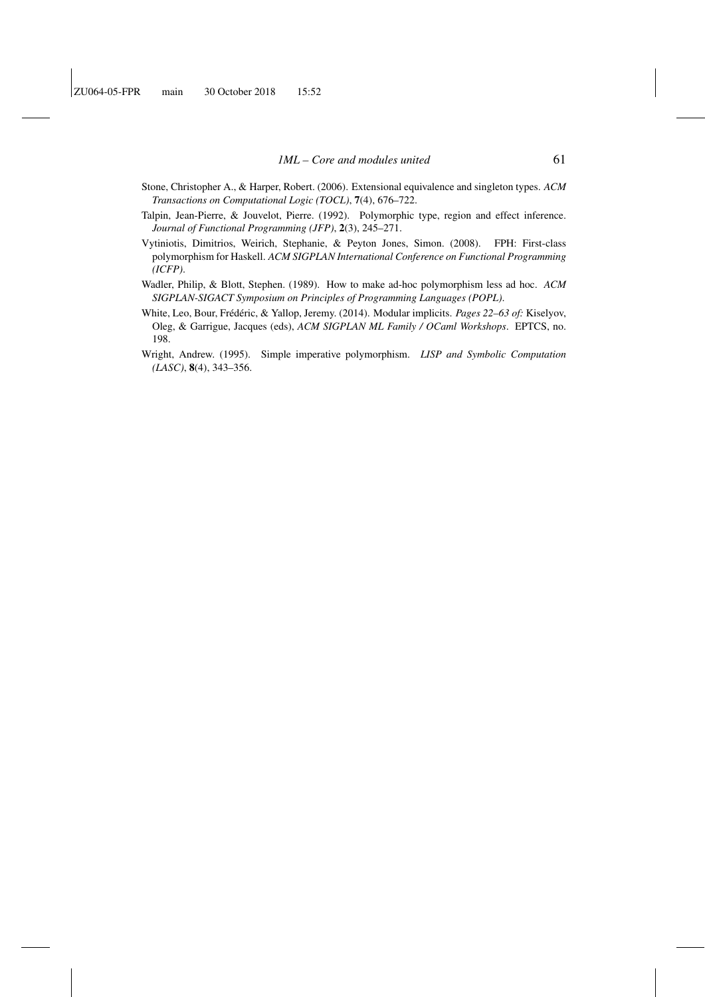- Stone, Christopher A., & Harper, Robert. (2006). Extensional equivalence and singleton types. *ACM Transactions on Computational Logic (TOCL)*, 7(4), 676–722.
- Talpin, Jean-Pierre, & Jouvelot, Pierre. (1992). Polymorphic type, region and effect inference. *Journal of Functional Programming (JFP)*, 2(3), 245–271.
- Vytiniotis, Dimitrios, Weirich, Stephanie, & Peyton Jones, Simon. (2008). FPH: First-class polymorphism for Haskell. *ACM SIGPLAN International Conference on Functional Programming (ICFP)*.
- Wadler, Philip, & Blott, Stephen. (1989). How to make ad-hoc polymorphism less ad hoc. *ACM SIGPLAN-SIGACT Symposium on Principles of Programming Languages (POPL)*.
- White, Leo, Bour, Frédéric, & Yallop, Jeremy. (2014). Modular implicits. Pages 22-63 of: Kiselyov, Oleg, & Garrigue, Jacques (eds), *ACM SIGPLAN ML Family / OCaml Workshops*. EPTCS, no. 198.
- Wright, Andrew. (1995). Simple imperative polymorphism. *LISP and Symbolic Computation (LASC)*, 8(4), 343–356.